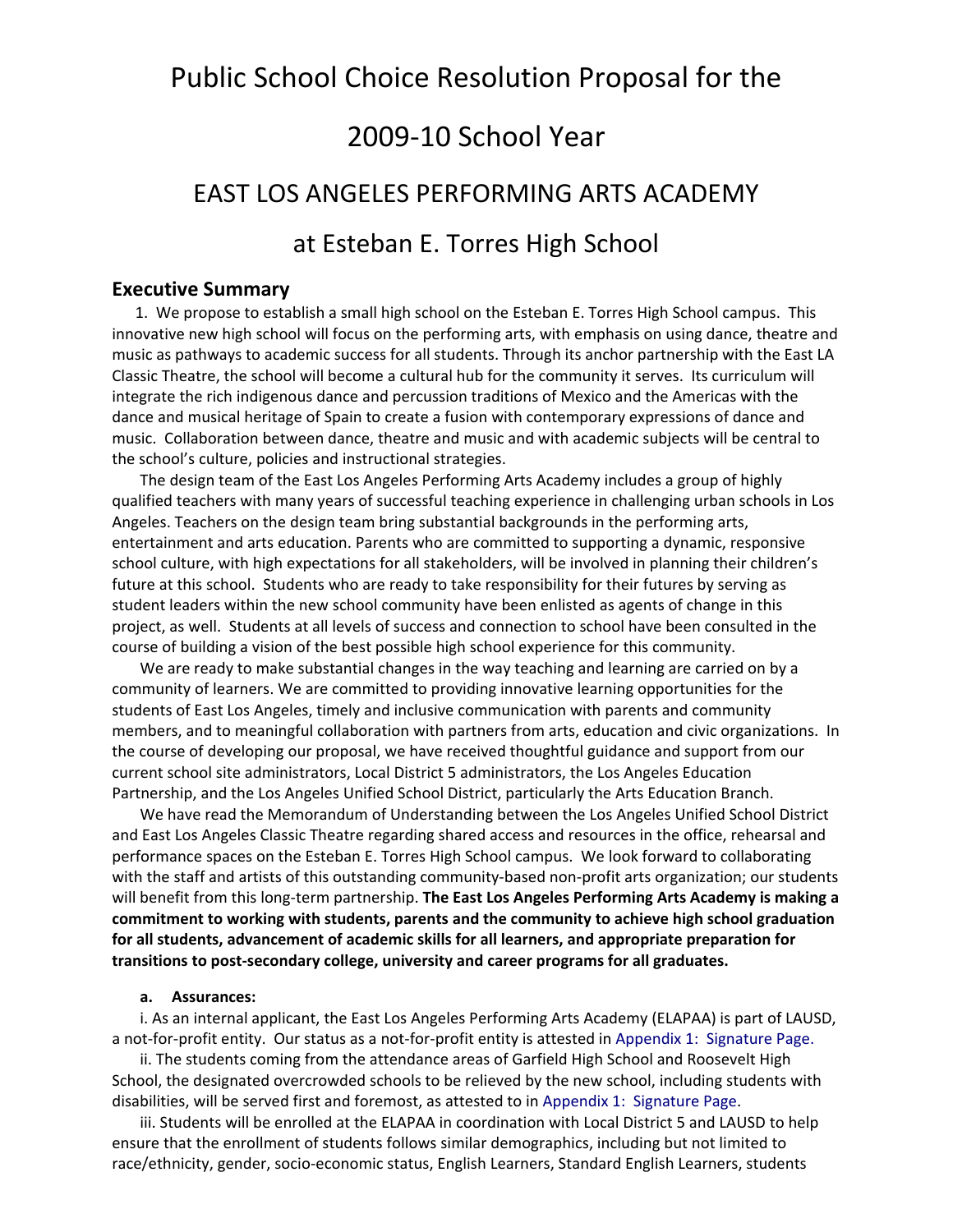# Public School Choice Resolution Proposal for the

# 2009‐10 School Year

# EAST LOS ANGELES PERFORMING ARTS ACADEMY

# at Esteban E. Torres High School

## **Executive Summary**

 1. We propose to establish a small high school on the Esteban E. Torres High School campus. This innovative new high school will focus on the performing arts, with emphasis on using dance, theatre and music as pathways to academic success for all students. Through its anchor partnership with the East LA Classic Theatre, the school will become a cultural hub for the community it serves. Its curriculum will integrate the rich indigenous dance and percussion traditions of Mexico and the Americas with the dance and musical heritage of Spain to create a fusion with contemporary expressions of dance and music. Collaboration between dance, theatre and music and with academic subjects will be central to the school's culture, policies and instructional strategies.

The design team of the East Los Angeles Performing Arts Academy includes a group of highly qualified teachers with many years of successful teaching experience in challenging urban schools in Los Angeles. Teachers on the design team bring substantial backgrounds in the performing arts, entertainment and arts education. Parents who are committed to supporting a dynamic, responsive school culture, with high expectations for all stakeholders, will be involved in planning their children's future at this school. Students who are ready to take responsibility for their futures by serving as student leaders within the new school community have been enlisted as agents of change in this project, as well. Students at all levels of success and connection to school have been consulted in the course of building a vision of the best possible high school experience for this community.

We are ready to make substantial changes in the way teaching and learning are carried on by a community of learners. We are committed to providing innovative learning opportunities for the students of East Los Angeles, timely and inclusive communication with parents and community members, and to meaningful collaboration with partners from arts, education and civic organizations. In the course of developing our proposal, we have received thoughtful guidance and support from our current school site administrators, Local District 5 administrators, the Los Angeles Education Partnership, and the Los Angeles Unified School District, particularly the Arts Education Branch.

We have read the Memorandum of Understanding between the Los Angeles Unified School District and East Los Angeles Classic Theatre regarding shared access and resources in the office, rehearsal and performance spaces on the Esteban E. Torres High School campus. We look forward to collaborating with the staff and artists of this outstanding community-based non-profit arts organization; our students will benefit from this long‐term partnership. **The East Los Angeles Performing Arts Academy is making a commitment to working with students, parents and the community to achieve high school graduation for all students, advancement of academic skills for all learners, and appropriate preparation for transitions to post‐secondary college, university and career programs for all graduates.**

#### **a. Assurances:**

i. As an internal applicant, the East Los Angeles Performing Arts Academy (ELAPAA) is part of LAUSD, a not-for-profit entity. Our status as a not-for-profit entity is attested in Appendix 1: Signature Page.

ii. The students coming from the attendance areas of Garfield High School and Roosevelt High School, the designated overcrowded schools to be relieved by the new school, including students with disabilities, will be served first and foremost, as attested to in Appendix 1: Signature Page.

iii. Students will be enrolled at the ELAPAA in coordination with Local District 5 and LAUSD to help ensure that the enrollment of students follows similar demographics, including but not limited to race/ethnicity, gender, socio‐economic status, English Learners, Standard English Learners, students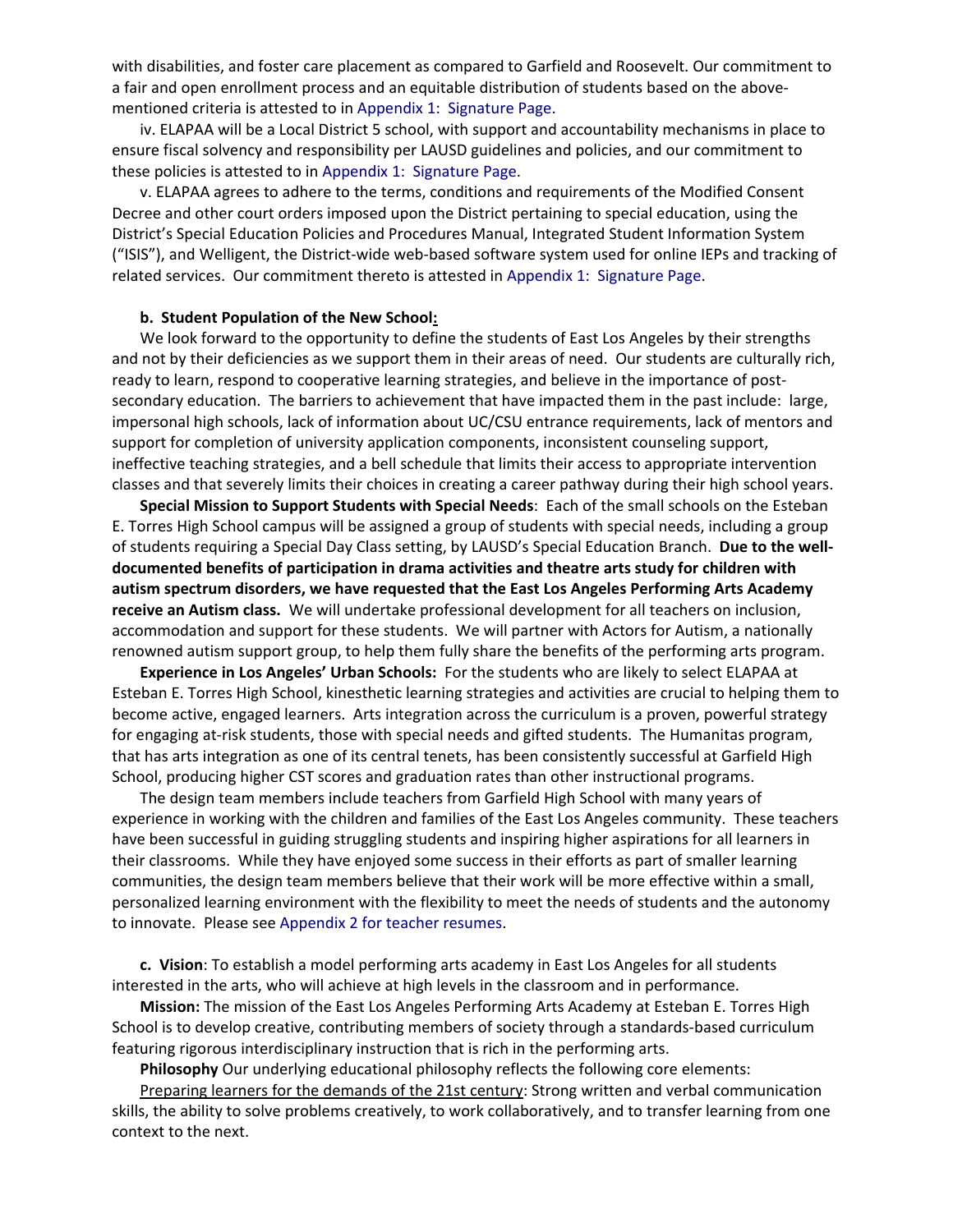with disabilities, and foster care placement as compared to Garfield and Roosevelt. Our commitment to a fair and open enrollment process and an equitable distribution of students based on the above‐ mentioned criteria is attested to in Appendix 1: Signature Page.

iv. ELAPAA will be a Local District 5 school, with support and accountability mechanisms in place to ensure fiscal solvency and responsibility per LAUSD guidelines and policies, and our commitment to these policies is attested to in Appendix 1: Signature Page.

v. ELAPAA agrees to adhere to the terms, conditions and requirements of the Modified Consent Decree and other court orders imposed upon the District pertaining to special education, using the District's Special Education Policies and Procedures Manual, Integrated Student Information System ("ISIS"), and Welligent, the District‐wide web‐based software system used for online IEPs and tracking of related services. Our commitment thereto is attested in Appendix 1: Signature Page.

#### **b. Student Population of the New School:**

We look forward to the opportunity to define the students of East Los Angeles by their strengths and not by their deficiencies as we support them in their areas of need. Our students are culturally rich, ready to learn, respond to cooperative learning strategies, and believe in the importance of postsecondary education. The barriers to achievement that have impacted them in the past include: large, impersonal high schools, lack of information about UC/CSU entrance requirements, lack of mentors and support for completion of university application components, inconsistent counseling support, ineffective teaching strategies, and a bell schedule that limits their access to appropriate intervention classes and that severely limits their choices in creating a career pathway during their high school years.

**Special Mission to Support Students with Special Needs**: Each of the small schools on the Esteban E. Torres High School campus will be assigned a group of students with special needs, including a group of students requiring a Special Day Class setting, by LAUSD's Special Education Branch. **Due to the well‐ documented benefits of participation in drama activities and theatre arts study for children with autism spectrum disorders, we have requested that the East Los Angeles Performing Arts Academy receive an Autism class.** We will undertake professional development for all teachers on inclusion, accommodation and support for these students. We will partner with Actors for Autism, a nationally renowned autism support group, to help them fully share the benefits of the performing arts program.

**Experience in Los Angeles' Urban Schools:** For the students who are likely to select ELAPAA at Esteban E. Torres High School, kinesthetic learning strategies and activities are crucial to helping them to become active, engaged learners. Arts integration across the curriculum is a proven, powerful strategy for engaging at-risk students, those with special needs and gifted students. The Humanitas program, that has arts integration as one of its central tenets, has been consistently successful at Garfield High School, producing higher CST scores and graduation rates than other instructional programs.

The design team members include teachers from Garfield High School with many years of experience in working with the children and families of the East Los Angeles community. These teachers have been successful in guiding struggling students and inspiring higher aspirations for all learners in their classrooms. While they have enjoyed some success in their efforts as part of smaller learning communities, the design team members believe that their work will be more effective within a small, personalized learning environment with the flexibility to meet the needs of students and the autonomy to innovate. Please see Appendix 2 for teacher resumes.

**c. Vision**: To establish a model performing arts academy in East Los Angeles for all students interested in the arts, who will achieve at high levels in the classroom and in performance.

**Mission:** The mission of the East Los Angeles Performing Arts Academy at Esteban E. Torres High School is to develop creative, contributing members of society through a standards-based curriculum featuring rigorous interdisciplinary instruction that is rich in the performing arts.

**Philosophy** Our underlying educational philosophy reflects the following core elements:

Preparing learners for the demands of the 21st century: Strong written and verbal communication skills, the ability to solve problems creatively, to work collaboratively, and to transfer learning from one context to the next.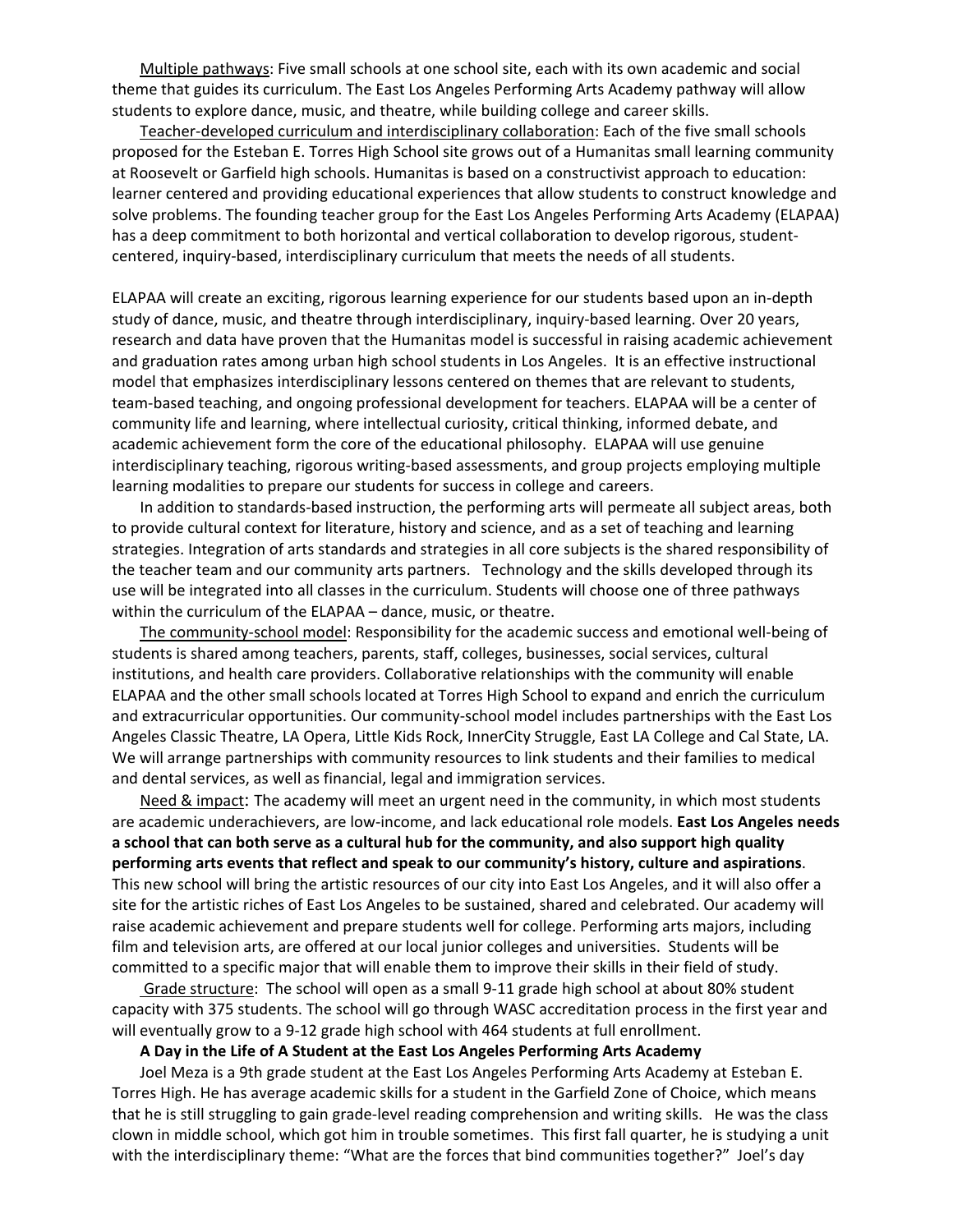Multiple pathways: Five small schools at one school site, each with its own academic and social theme that guides its curriculum. The East Los Angeles Performing Arts Academy pathway will allow students to explore dance, music, and theatre, while building college and career skills.

Teacher‐developed curriculum and interdisciplinary collaboration: Each of the five small schools proposed for the Esteban E. Torres High School site grows out of a Humanitas small learning community at Roosevelt or Garfield high schools. Humanitas is based on a constructivist approach to education: learner centered and providing educational experiences that allow students to construct knowledge and solve problems. The founding teacher group for the East Los Angeles Performing Arts Academy (ELAPAA) has a deep commitment to both horizontal and vertical collaboration to develop rigorous, studentcentered, inquiry‐based, interdisciplinary curriculum that meets the needs of all students.

ELAPAA will create an exciting, rigorous learning experience for our students based upon an in‐depth study of dance, music, and theatre through interdisciplinary, inquiry‐based learning. Over 20 years, research and data have proven that the Humanitas model is successful in raising academic achievement and graduation rates among urban high school students in Los Angeles. It is an effective instructional model that emphasizes interdisciplinary lessons centered on themes that are relevant to students, team‐based teaching, and ongoing professional development for teachers. ELAPAA will be a center of community life and learning, where intellectual curiosity, critical thinking, informed debate, and academic achievement form the core of the educational philosophy. ELAPAA will use genuine interdisciplinary teaching, rigorous writing‐based assessments, and group projects employing multiple learning modalities to prepare our students for success in college and careers.

In addition to standards‐based instruction, the performing arts will permeate all subject areas, both to provide cultural context for literature, history and science, and as a set of teaching and learning strategies. Integration of arts standards and strategies in all core subjects is the shared responsibility of the teacher team and our community arts partners. Technology and the skills developed through its use will be integrated into all classes in the curriculum. Students will choose one of three pathways within the curriculum of the ELAPAA – dance, music, or theatre.

The community-school model: Responsibility for the academic success and emotional well-being of students is shared among teachers, parents, staff, colleges, businesses, social services, cultural institutions, and health care providers. Collaborative relationships with the community will enable ELAPAA and the other small schools located at Torres High School to expand and enrich the curriculum and extracurricular opportunities. Our community‐school model includes partnerships with the East Los Angeles Classic Theatre, LA Opera, Little Kids Rock, InnerCity Struggle, East LA College and Cal State, LA. We will arrange partnerships with community resources to link students and their families to medical and dental services, as well as financial, legal and immigration services.

Need & impact: The academy will meet an urgent need in the community, in which most students are academic underachievers, are low‐income, and lack educational role models. **East Los Angeles needs a school that can both serve as a cultural hub for the community, and also support high quality performing arts events that reflect and speak to our community's history, culture and aspirations**. This new school will bring the artistic resources of our city into East Los Angeles, and it will also offer a site for the artistic riches of East Los Angeles to be sustained, shared and celebrated. Our academy will raise academic achievement and prepare students well for college. Performing arts majors, including film and television arts, are offered at our local junior colleges and universities. Students will be committed to a specific major that will enable them to improve their skills in their field of study.

Grade structure: The school will open as a small 9‐11 grade high school at about 80% student capacity with 375 students. The school will go through WASC accreditation process in the first year and will eventually grow to a 9-12 grade high school with 464 students at full enrollment.

#### **A Day in the Life of A Student at the East Los Angeles Performing Arts Academy**

Joel Meza is a 9th grade student at the East Los Angeles Performing Arts Academy at Esteban E. Torres High. He has average academic skills for a student in the Garfield Zone of Choice, which means that he is still struggling to gain grade‐level reading comprehension and writing skills. He was the class clown in middle school, which got him in trouble sometimes. This first fall quarter, he is studying a unit with the interdisciplinary theme: "What are the forces that bind communities together?" Joel's day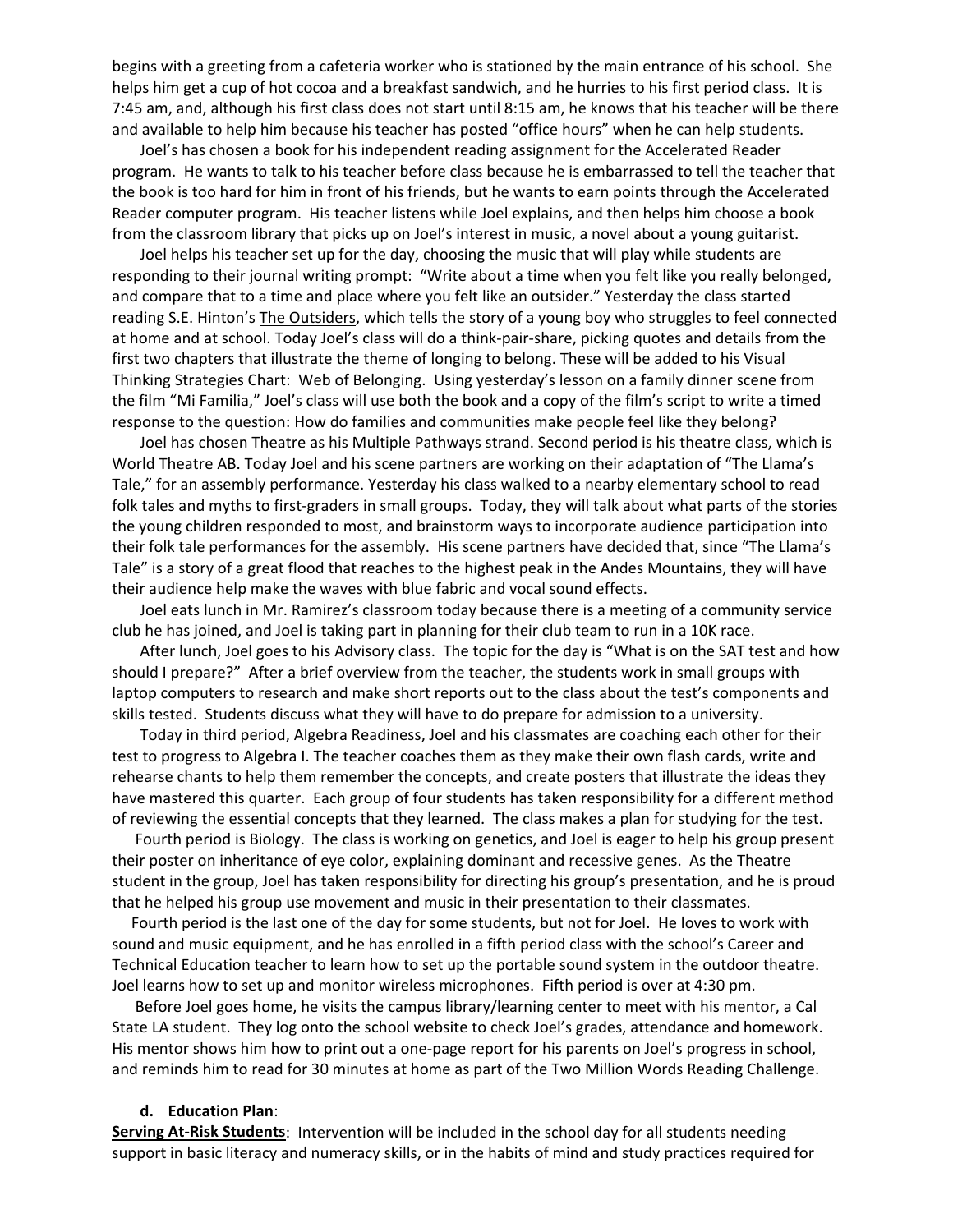begins with a greeting from a cafeteria worker who is stationed by the main entrance of his school. She helps him get a cup of hot cocoa and a breakfast sandwich, and he hurries to his first period class. It is 7:45 am, and, although his first class does not start until 8:15 am, he knows that his teacher will be there and available to help him because his teacher has posted "office hours" when he can help students.

Joel's has chosen a book for his independent reading assignment for the Accelerated Reader program. He wants to talk to his teacher before class because he is embarrassed to tell the teacher that the book is too hard for him in front of his friends, but he wants to earn points through the Accelerated Reader computer program. His teacher listens while Joel explains, and then helps him choose a book from the classroom library that picks up on Joel's interest in music, a novel about a young guitarist.

Joel helps his teacher set up for the day, choosing the music that will play while students are responding to their journal writing prompt: "Write about a time when you felt like you really belonged, and compare that to a time and place where you felt like an outsider." Yesterday the class started reading S.E. Hinton's The Outsiders, which tells the story of a young boy who struggles to feel connected at home and at school. Today Joel's class will do a think‐pair‐share, picking quotes and details from the first two chapters that illustrate the theme of longing to belong. These will be added to his Visual Thinking Strategies Chart: Web of Belonging. Using yesterday's lesson on a family dinner scene from the film "Mi Familia," Joel's class will use both the book and a copy of the film's script to write a timed response to the question: How do families and communities make people feel like they belong?

Joel has chosen Theatre as his Multiple Pathways strand. Second period is his theatre class, which is World Theatre AB. Today Joel and his scene partners are working on their adaptation of "The Llama's Tale," for an assembly performance. Yesterday his class walked to a nearby elementary school to read folk tales and myths to first‐graders in small groups. Today, they will talk about what parts of the stories the young children responded to most, and brainstorm ways to incorporate audience participation into their folk tale performances for the assembly. His scene partners have decided that, since "The Llama's Tale" is a story of a great flood that reaches to the highest peak in the Andes Mountains, they will have their audience help make the waves with blue fabric and vocal sound effects.

Joel eats lunch in Mr. Ramirez's classroom today because there is a meeting of a community service club he has joined, and Joel is taking part in planning for their club team to run in a 10K race.

After lunch, Joel goes to his Advisory class. The topic for the day is "What is on the SAT test and how should I prepare?" After a brief overview from the teacher, the students work in small groups with laptop computers to research and make short reports out to the class about the test's components and skills tested. Students discuss what they will have to do prepare for admission to a university.

Today in third period, Algebra Readiness, Joel and his classmates are coaching each other for their test to progress to Algebra I. The teacher coaches them as they make their own flash cards, write and rehearse chants to help them remember the concepts, and create posters that illustrate the ideas they have mastered this quarter. Each group of four students has taken responsibility for a different method of reviewing the essential concepts that they learned. The class makes a plan for studying for the test.

 Fourth period is Biology. The class is working on genetics, and Joel is eager to help his group present their poster on inheritance of eye color, explaining dominant and recessive genes. As the Theatre student in the group, Joel has taken responsibility for directing his group's presentation, and he is proud that he helped his group use movement and music in their presentation to their classmates.

 Fourth period is the last one of the day for some students, but not for Joel. He loves to work with sound and music equipment, and he has enrolled in a fifth period class with the school's Career and Technical Education teacher to learn how to set up the portable sound system in the outdoor theatre. Joel learns how to set up and monitor wireless microphones. Fifth period is over at 4:30 pm.

 Before Joel goes home, he visits the campus library/learning center to meet with his mentor, a Cal State LA student. They log onto the school website to check Joel's grades, attendance and homework. His mentor shows him how to print out a one‐page report for his parents on Joel's progress in school, and reminds him to read for 30 minutes at home as part of the Two Million Words Reading Challenge.

#### **d. Education Plan**:

**Serving At‐Risk Students**: Intervention will be included in the school day for all students needing support in basic literacy and numeracy skills, or in the habits of mind and study practices required for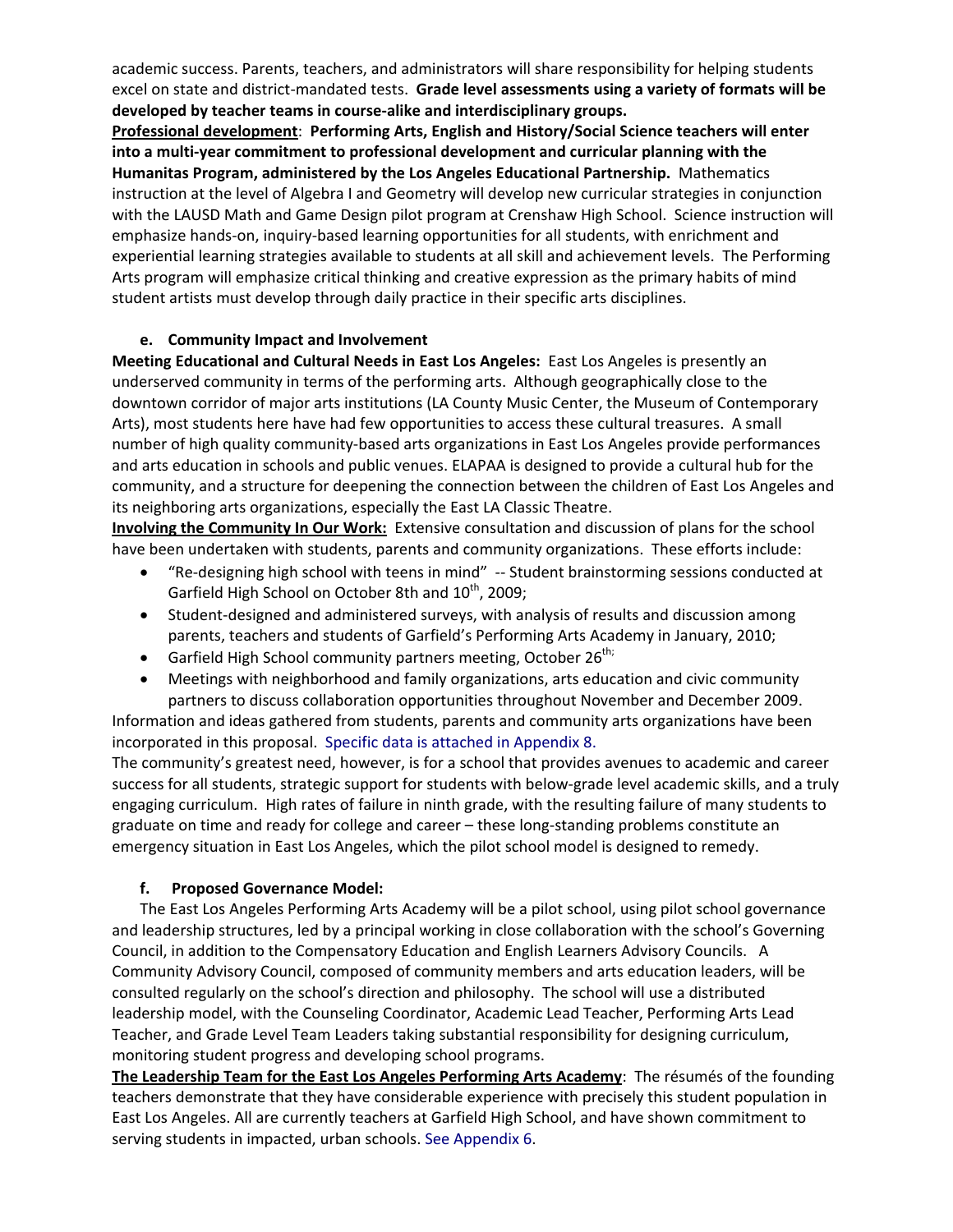academic success. Parents, teachers, and administrators will share responsibility for helping students excel on state and district‐mandated tests. **Grade level assessments using a variety of formats will be developed by teacher teams in course‐alike and interdisciplinary groups.** 

**Professional development**: **Performing Arts, English and History/Social Science teachers will enter into a multi‐year commitment to professional development and curricular planning with the Humanitas Program, administered by the Los Angeles Educational Partnership.** Mathematics instruction at the level of Algebra I and Geometry will develop new curricular strategies in conjunction with the LAUSD Math and Game Design pilot program at Crenshaw High School. Science instruction will emphasize hands‐on, inquiry‐based learning opportunities for all students, with enrichment and experiential learning strategies available to students at all skill and achievement levels. The Performing Arts program will emphasize critical thinking and creative expression as the primary habits of mind student artists must develop through daily practice in their specific arts disciplines.

#### **e. Community Impact and Involvement**

**Meeting Educational and Cultural Needs in East Los Angeles:** East Los Angeles is presently an underserved community in terms of the performing arts. Although geographically close to the downtown corridor of major arts institutions (LA County Music Center, the Museum of Contemporary Arts), most students here have had few opportunities to access these cultural treasures. A small number of high quality community-based arts organizations in East Los Angeles provide performances and arts education in schools and public venues. ELAPAA is designed to provide a cultural hub for the community, and a structure for deepening the connection between the children of East Los Angeles and its neighboring arts organizations, especially the East LA Classic Theatre.

**Involving the Community In Our Work:** Extensive consultation and discussion of plans for the school have been undertaken with students, parents and community organizations. These efforts include:

- "Re‐designing high school with teens in mind" ‐‐ Student brainstorming sessions conducted at Garfield High School on October 8th and  $10^{th}$ , 2009;
- Student-designed and administered surveys, with analysis of results and discussion among parents, teachers and students of Garfield's Performing Arts Academy in January, 2010;
- Garfield High School community partners meeting, October  $26^{th}$ ;
- Meetings with neighborhood and family organizations, arts education and civic community partners to discuss collaboration opportunities throughout November and December 2009.

Information and ideas gathered from students, parents and community arts organizations have been incorporated in this proposal. Specific data is attached in Appendix 8.

The community's greatest need, however, is for a school that provides avenues to academic and career success for all students, strategic support for students with below-grade level academic skills, and a truly engaging curriculum. High rates of failure in ninth grade, with the resulting failure of many students to graduate on time and ready for college and career – these long-standing problems constitute an emergency situation in East Los Angeles, which the pilot school model is designed to remedy.

## **f. Proposed Governance Model:**

The East Los Angeles Performing Arts Academy will be a pilot school, using pilot school governance and leadership structures, led by a principal working in close collaboration with the school's Governing Council, in addition to the Compensatory Education and English Learners Advisory Councils. A Community Advisory Council, composed of community members and arts education leaders, will be consulted regularly on the school's direction and philosophy. The school will use a distributed leadership model, with the Counseling Coordinator, Academic Lead Teacher, Performing Arts Lead Teacher, and Grade Level Team Leaders taking substantial responsibility for designing curriculum, monitoring student progress and developing school programs.

**The Leadership Team for the East Los Angeles Performing Arts Academy**: The résumés of the founding teachers demonstrate that they have considerable experience with precisely this student population in East Los Angeles. All are currently teachers at Garfield High School, and have shown commitment to serving students in impacted, urban schools. See Appendix 6.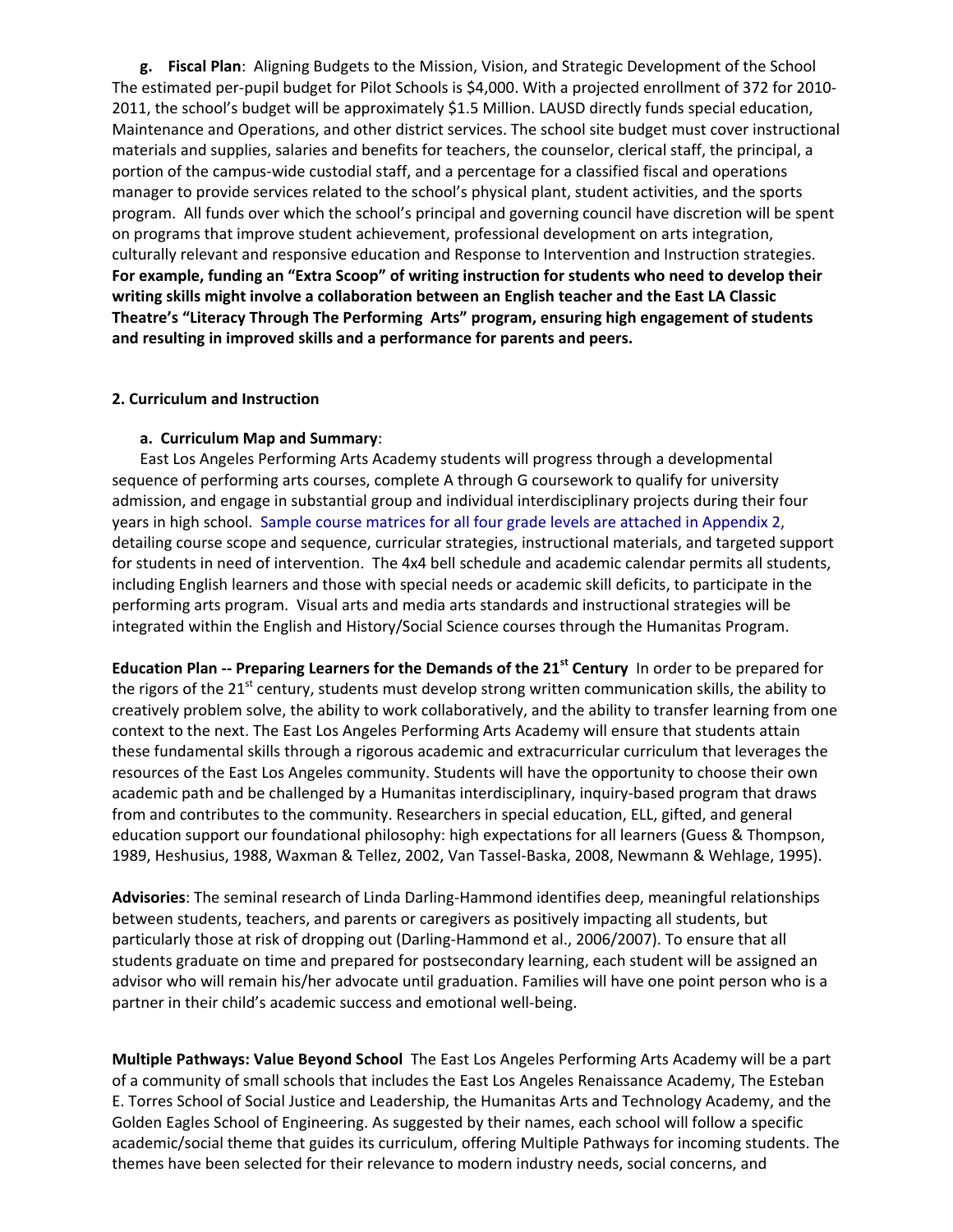**g. Fiscal Plan**: Aligning Budgets to the Mission, Vision, and Strategic Development of the School The estimated per-pupil budget for Pilot Schools is \$4,000. With a projected enrollment of 372 for 2010-2011, the school's budget will be approximately \$1.5 Million. LAUSD directly funds special education, Maintenance and Operations, and other district services. The school site budget must cover instructional materials and supplies, salaries and benefits for teachers, the counselor, clerical staff, the principal, a portion of the campus‐wide custodial staff, and a percentage for a classified fiscal and operations manager to provide services related to the school's physical plant, student activities, and the sports program. All funds over which the school's principal and governing council have discretion will be spent on programs that improve student achievement, professional development on arts integration, culturally relevant and responsive education and Response to Intervention and Instruction strategies. **For example, funding an "Extra Scoop" of writing instruction for students who need to develop their writing skills might involve a collaboration between an English teacher and the East LA Classic Theatre's "Literacy Through The Performing Arts" program, ensuring high engagement of students and resulting in improved skills and a performance for parents and peers.** 

#### **2. Curriculum and Instruction**

#### **a. Curriculum Map and Summary**:

East Los Angeles Performing Arts Academy students will progress through a developmental sequence of performing arts courses, complete A through G coursework to qualify for university admission, and engage in substantial group and individual interdisciplinary projects during their four years in high school. Sample course matrices for all four grade levels are attached in Appendix 2, detailing course scope and sequence, curricular strategies, instructional materials, and targeted support for students in need of intervention. The 4x4 bell schedule and academic calendar permits all students, including English learners and those with special needs or academic skill deficits, to participate in the performing arts program. Visual arts and media arts standards and instructional strategies will be integrated within the English and History/Social Science courses through the Humanitas Program.

**Education Plan ‐‐ Preparing Learners for the Demands of the 21st Century** In order to be prepared for the rigors of the 21<sup>st</sup> century, students must develop strong written communication skills, the ability to creatively problem solve, the ability to work collaboratively, and the ability to transfer learning from one context to the next. The East Los Angeles Performing Arts Academy will ensure that students attain these fundamental skills through a rigorous academic and extracurricular curriculum that leverages the resources of the East Los Angeles community. Students will have the opportunity to choose their own academic path and be challenged by a Humanitas interdisciplinary, inquiry‐based program that draws from and contributes to the community. Researchers in special education, ELL, gifted, and general education support our foundational philosophy: high expectations for all learners (Guess & Thompson, 1989, Heshusius, 1988, Waxman & Tellez, 2002, Van Tassel‐Baska, 2008, Newmann & Wehlage, 1995).

**Advisories**: The seminal research of Linda Darling‐Hammond identifies deep, meaningful relationships between students, teachers, and parents or caregivers as positively impacting all students, but particularly those at risk of dropping out (Darling-Hammond et al., 2006/2007). To ensure that all students graduate on time and prepared for postsecondary learning, each student will be assigned an advisor who will remain his/her advocate until graduation. Families will have one point person who is a partner in their child's academic success and emotional well‐being.

**Multiple Pathways: Value Beyond School** The East Los Angeles Performing Arts Academy will be a part of a community of small schools that includes the East Los Angeles Renaissance Academy, The Esteban E. Torres School of Social Justice and Leadership, the Humanitas Arts and Technology Academy, and the Golden Eagles School of Engineering. As suggested by their names, each school will follow a specific academic/social theme that guides its curriculum, offering Multiple Pathways for incoming students. The themes have been selected for their relevance to modern industry needs, social concerns, and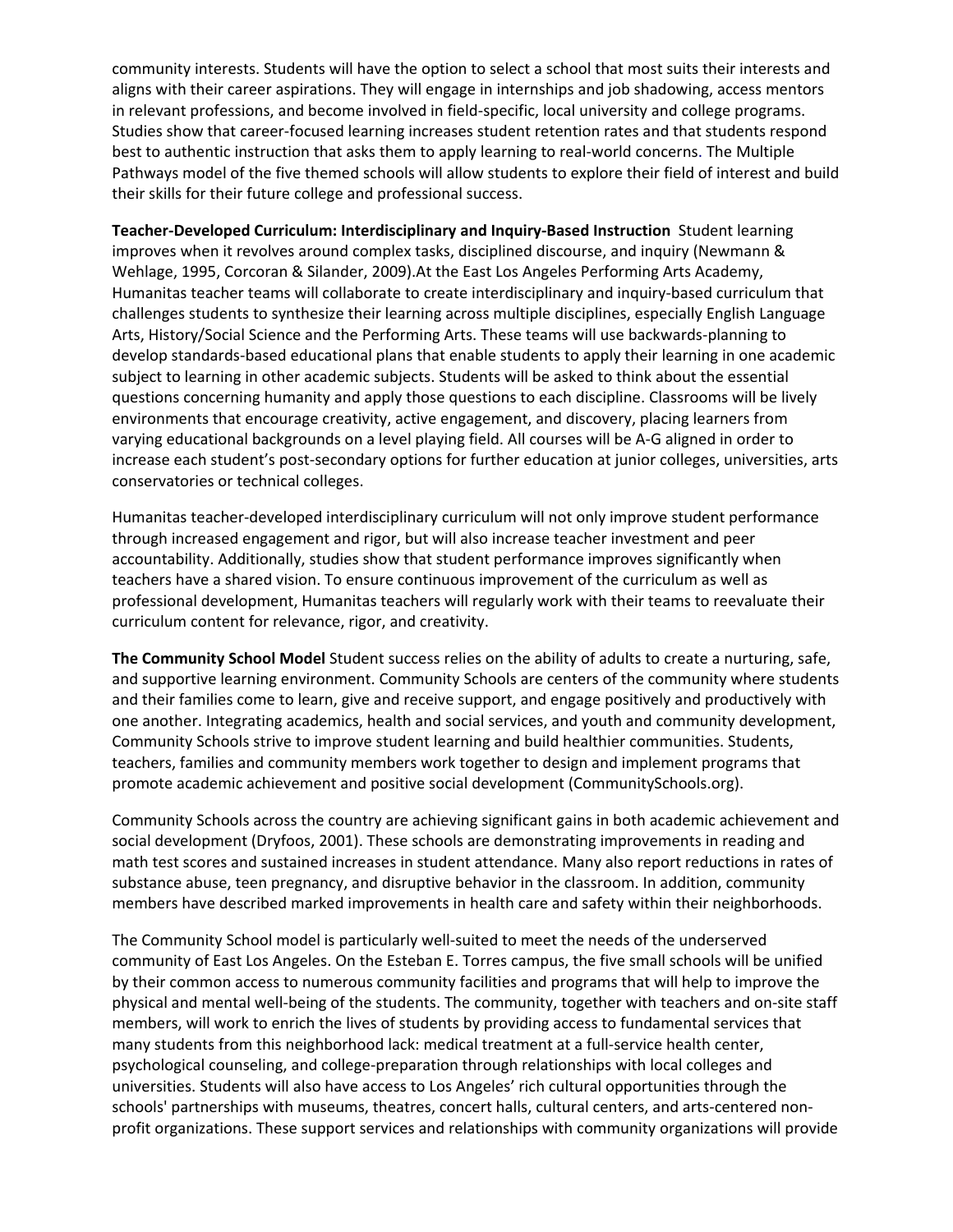community interests. Students will have the option to select a school that most suits their interests and aligns with their career aspirations. They will engage in internships and job shadowing, access mentors in relevant professions, and become involved in field‐specific, local university and college programs. Studies show that career‐focused learning increases student retention rates and that students respond best to authentic instruction that asks them to apply learning to real‐world concerns. The Multiple Pathways model of the five themed schools will allow students to explore their field of interest and build their skills for their future college and professional success.

**Teacher‐Developed Curriculum: Interdisciplinary and Inquiry‐Based Instruction** Student learning improves when it revolves around complex tasks, disciplined discourse, and inquiry (Newmann & Wehlage, 1995, Corcoran & Silander, 2009).At the East Los Angeles Performing Arts Academy, Humanitas teacher teams will collaborate to create interdisciplinary and inquiry‐based curriculum that challenges students to synthesize their learning across multiple disciplines, especially English Language Arts, History/Social Science and the Performing Arts. These teams will use backwards‐planning to develop standards‐based educational plans that enable students to apply their learning in one academic subject to learning in other academic subjects. Students will be asked to think about the essential questions concerning humanity and apply those questions to each discipline. Classrooms will be lively environments that encourage creativity, active engagement, and discovery, placing learners from varying educational backgrounds on a level playing field. All courses will be A‐G aligned in order to increase each student's post‐secondary options for further education at junior colleges, universities, arts conservatories or technical colleges.

Humanitas teacher‐developed interdisciplinary curriculum will not only improve student performance through increased engagement and rigor, but will also increase teacher investment and peer accountability. Additionally, studies show that student performance improves significantly when teachers have a shared vision. To ensure continuous improvement of the curriculum as well as professional development, Humanitas teachers will regularly work with their teams to reevaluate their curriculum content for relevance, rigor, and creativity.

**The Community School Model** Student success relies on the ability of adults to create a nurturing, safe, and supportive learning environment. Community Schools are centers of the community where students and their families come to learn, give and receive support, and engage positively and productively with one another. Integrating academics, health and social services, and youth and community development, Community Schools strive to improve student learning and build healthier communities. Students, teachers, families and community members work together to design and implement programs that promote academic achievement and positive social development (CommunitySchools.org).

Community Schools across the country are achieving significant gains in both academic achievement and social development (Dryfoos, 2001). These schools are demonstrating improvements in reading and math test scores and sustained increases in student attendance. Many also report reductions in rates of substance abuse, teen pregnancy, and disruptive behavior in the classroom. In addition, community members have described marked improvements in health care and safety within their neighborhoods.

The Community School model is particularly well‐suited to meet the needs of the underserved community of East Los Angeles. On the Esteban E. Torres campus, the five small schools will be unified by their common access to numerous community facilities and programs that will help to improve the physical and mental well‐being of the students. The community, together with teachers and on‐site staff members, will work to enrich the lives of students by providing access to fundamental services that many students from this neighborhood lack: medical treatment at a full-service health center, psychological counseling, and college‐preparation through relationships with local colleges and universities. Students will also have access to Los Angeles' rich cultural opportunities through the schools' partnerships with museums, theatres, concert halls, cultural centers, and arts‐centered non‐ profit organizations. These support services and relationships with community organizations will provide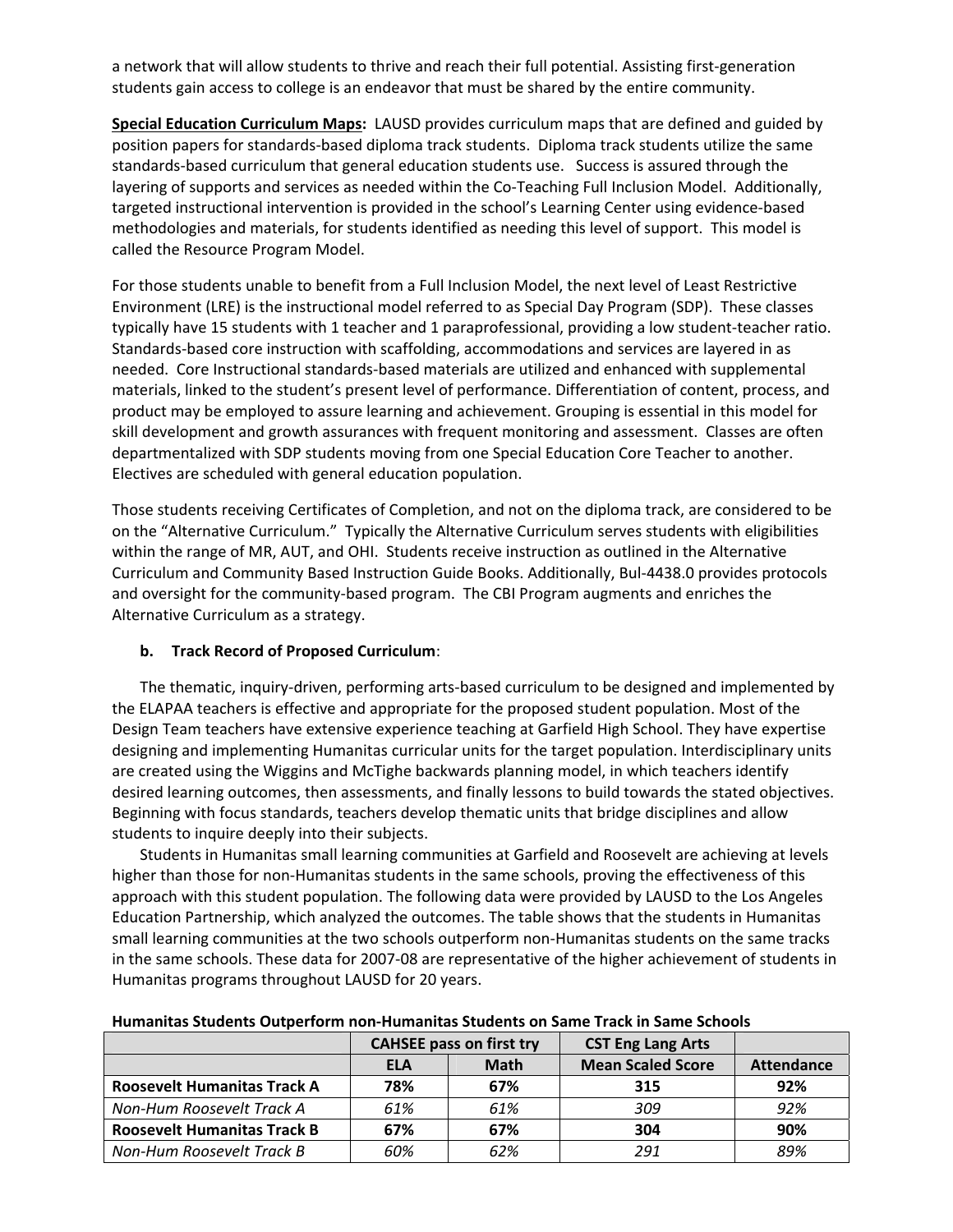a network that will allow students to thrive and reach their full potential. Assisting first‐generation students gain access to college is an endeavor that must be shared by the entire community.

**Special Education Curriculum Maps:** LAUSD provides curriculum maps that are defined and guided by position papers for standards‐based diploma track students. Diploma track students utilize the same standards‐based curriculum that general education students use. Success is assured through the layering of supports and services as needed within the Co-Teaching Full Inclusion Model. Additionally, targeted instructional intervention is provided in the school's Learning Center using evidence‐based methodologies and materials, for students identified as needing this level of support. This model is called the Resource Program Model.

For those students unable to benefit from a Full Inclusion Model, the next level of Least Restrictive Environment (LRE) is the instructional model referred to as Special Day Program (SDP). These classes typically have 15 students with 1 teacher and 1 paraprofessional, providing a low student‐teacher ratio. Standards‐based core instruction with scaffolding, accommodations and services are layered in as needed. Core Instructional standards‐based materials are utilized and enhanced with supplemental materials, linked to the student's present level of performance. Differentiation of content, process, and product may be employed to assure learning and achievement. Grouping is essential in this model for skill development and growth assurances with frequent monitoring and assessment. Classes are often departmentalized with SDP students moving from one Special Education Core Teacher to another. Electives are scheduled with general education population.

Those students receiving Certificates of Completion, and not on the diploma track, are considered to be on the "Alternative Curriculum." Typically the Alternative Curriculum serves students with eligibilities within the range of MR, AUT, and OHI. Students receive instruction as outlined in the Alternative Curriculum and Community Based Instruction Guide Books. Additionally, Bul‐4438.0 provides protocols and oversight for the community-based program. The CBI Program augments and enriches the Alternative Curriculum as a strategy.

## **b. Track Record of Proposed Curriculum**:

The thematic, inquiry‐driven, performing arts‐based curriculum to be designed and implemented by the ELAPAA teachers is effective and appropriate for the proposed student population. Most of the Design Team teachers have extensive experience teaching at Garfield High School. They have expertise designing and implementing Humanitas curricular units for the target population. Interdisciplinary units are created using the Wiggins and McTighe backwards planning model, in which teachers identify desired learning outcomes, then assessments, and finally lessons to build towards the stated objectives. Beginning with focus standards, teachers develop thematic units that bridge disciplines and allow students to inquire deeply into their subjects.

Students in Humanitas small learning communities at Garfield and Roosevelt are achieving at levels higher than those for non-Humanitas students in the same schools, proving the effectiveness of this approach with this student population. The following data were provided by LAUSD to the Los Angeles Education Partnership, which analyzed the outcomes. The table shows that the students in Humanitas small learning communities at the two schools outperform non‐Humanitas students on the same tracks in the same schools. These data for 2007‐08 are representative of the higher achievement of students in Humanitas programs throughout LAUSD for 20 years.

|                                    | <b>CAHSEE pass on first try</b> |             | <b>CST Eng Lang Arts</b> |                   |
|------------------------------------|---------------------------------|-------------|--------------------------|-------------------|
|                                    | <b>ELA</b>                      | <b>Math</b> | <b>Mean Scaled Score</b> | <b>Attendance</b> |
| <b>Roosevelt Humanitas Track A</b> | 78%                             | 67%         | 315                      | 92%               |
| Non-Hum Roosevelt Track A          | 61%                             | 61%         | 309                      | 92%               |
| <b>Roosevelt Humanitas Track B</b> | 67%                             | 67%         | 304                      | 90%               |
| Non-Hum Roosevelt Track B          | 60%                             | 62%         | 291                      | 89%               |

## **Humanitas Students Outperform non‐Humanitas Students on Same Track in Same Schools**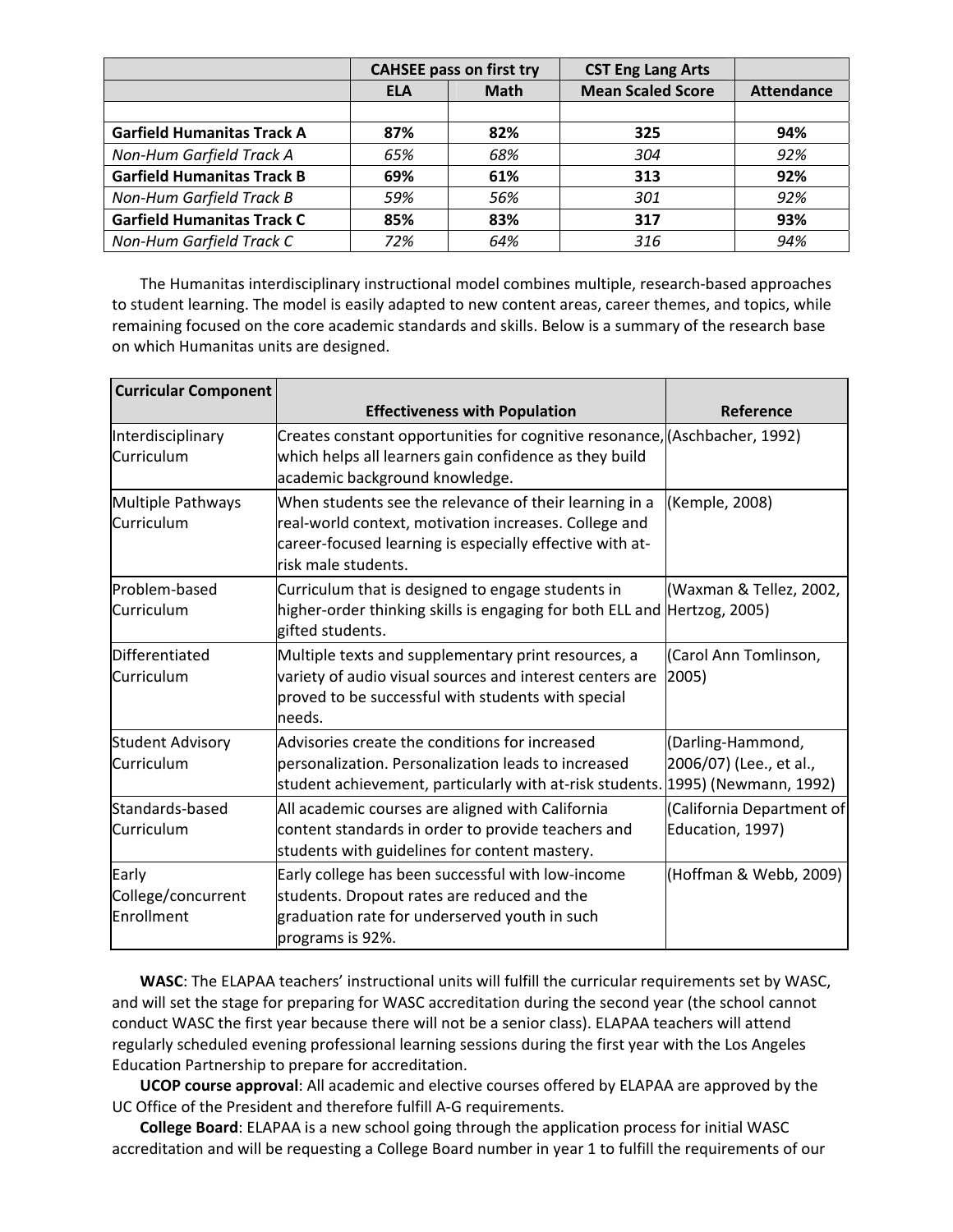|                                   |            | <b>CAHSEE pass on first try</b> | <b>CST Eng Lang Arts</b> |                   |
|-----------------------------------|------------|---------------------------------|--------------------------|-------------------|
|                                   | <b>ELA</b> | <b>Math</b>                     | <b>Mean Scaled Score</b> | <b>Attendance</b> |
| <b>Garfield Humanitas Track A</b> | 87%        | 82%                             | 325                      | 94%               |
| Non-Hum Garfield Track A          | 65%        | 68%                             | 304                      | 92%               |
| <b>Garfield Humanitas Track B</b> | 69%        | 61%                             | 313                      | 92%               |
| Non-Hum Garfield Track B          | 59%        | 56%                             | 301                      | 92%               |
| <b>Garfield Humanitas Track C</b> | 85%        | 83%                             | 317                      | 93%               |
| Non-Hum Garfield Track C          | 72%        | 64%                             | 316                      | 94%               |

The Humanitas interdisciplinary instructional model combines multiple, research‐based approaches to student learning. The model is easily adapted to new content areas, career themes, and topics, while remaining focused on the core academic standards and skills. Below is a summary of the research base on which Humanitas units are designed.

| <b>Curricular Component</b>               |                                                                                                                                                                                                    |                                               |
|-------------------------------------------|----------------------------------------------------------------------------------------------------------------------------------------------------------------------------------------------------|-----------------------------------------------|
|                                           | <b>Effectiveness with Population</b>                                                                                                                                                               | Reference                                     |
| Interdisciplinary<br>Curriculum           | Creates constant opportunities for cognitive resonance, (Aschbacher, 1992)<br>which helps all learners gain confidence as they build<br>academic background knowledge.                             |                                               |
| Multiple Pathways<br>Curriculum           | When students see the relevance of their learning in a<br>real-world context, motivation increases. College and<br>career-focused learning is especially effective with at-<br>risk male students. | (Kemple, 2008)                                |
| Problem-based<br>Curriculum               | Curriculum that is designed to engage students in<br>higher-order thinking skills is engaging for both ELL and Hertzog, 2005)<br>gifted students.                                                  | (Waxman & Tellez, 2002,                       |
| Differentiated<br>Curriculum              | Multiple texts and supplementary print resources, a<br>variety of audio visual sources and interest centers are<br>proved to be successful with students with special<br>needs.                    | (Carol Ann Tomlinson,<br>2005)                |
| <b>Student Advisory</b><br>Curriculum     | Advisories create the conditions for increased<br>personalization. Personalization leads to increased<br>student achievement, particularly with at-risk students. 1995) (Newmann, 1992)            | (Darling-Hammond,<br>2006/07) (Lee., et al.,  |
| Standards-based<br>Curriculum             | All academic courses are aligned with California<br>content standards in order to provide teachers and<br>students with guidelines for content mastery.                                            | (California Department of<br>Education, 1997) |
| Early<br>College/concurrent<br>Enrollment | Early college has been successful with low-income<br>students. Dropout rates are reduced and the<br>graduation rate for underserved youth in such<br>programs is 92%.                              | (Hoffman & Webb, 2009)                        |

**WASC**: The ELAPAA teachers' instructional units will fulfill the curricular requirements set by WASC, and will set the stage for preparing for WASC accreditation during the second year (the school cannot conduct WASC the first year because there will not be a senior class). ELAPAA teachers will attend regularly scheduled evening professional learning sessions during the first year with the Los Angeles Education Partnership to prepare for accreditation.

**UCOP course approval**: All academic and elective courses offered by ELAPAA are approved by the UC Office of the President and therefore fulfill A‐G requirements.

**College Board**: ELAPAA is a new school going through the application process for initial WASC accreditation and will be requesting a College Board number in year 1 to fulfill the requirements of our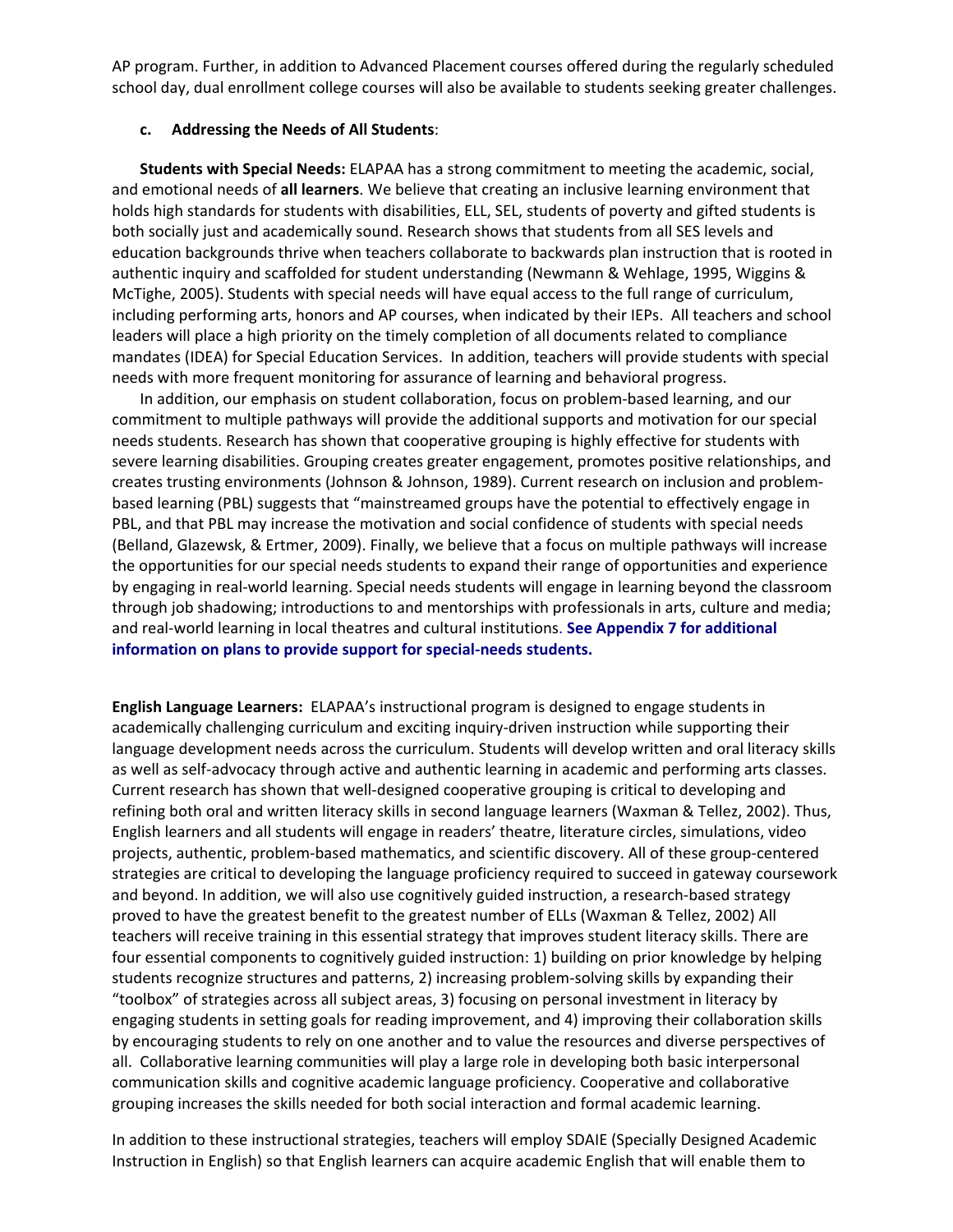AP program. Further, in addition to Advanced Placement courses offered during the regularly scheduled school day, dual enrollment college courses will also be available to students seeking greater challenges.

#### **c. Addressing the Needs of All Students**:

**Students with Special Needs:** ELAPAA has a strong commitment to meeting the academic, social, and emotional needs of **all learners**. We believe that creating an inclusive learning environment that holds high standards for students with disabilities, ELL, SEL, students of poverty and gifted students is both socially just and academically sound. Research shows that students from all SES levels and education backgrounds thrive when teachers collaborate to backwards plan instruction that is rooted in authentic inquiry and scaffolded for student understanding (Newmann & Wehlage, 1995, Wiggins & McTighe, 2005). Students with special needs will have equal access to the full range of curriculum, including performing arts, honors and AP courses, when indicated by their IEPs. All teachers and school leaders will place a high priority on the timely completion of all documents related to compliance mandates (IDEA) for Special Education Services. In addition, teachers will provide students with special needs with more frequent monitoring for assurance of learning and behavioral progress.

In addition, our emphasis on student collaboration, focus on problem‐based learning, and our commitment to multiple pathways will provide the additional supports and motivation for our special needs students. Research has shown that cooperative grouping is highly effective for students with severe learning disabilities. Grouping creates greater engagement, promotes positive relationships, and creates trusting environments (Johnson & Johnson, 1989). Current research on inclusion and problem‐ based learning (PBL) suggests that "mainstreamed groups have the potential to effectively engage in PBL, and that PBL may increase the motivation and social confidence of students with special needs (Belland, Glazewsk, & Ertmer, 2009). Finally, we believe that a focus on multiple pathways will increase the opportunities for our special needs students to expand their range of opportunities and experience by engaging in real‐world learning. Special needs students will engage in learning beyond the classroom through job shadowing; introductions to and mentorships with professionals in arts, culture and media; and real‐world learning in local theatres and cultural institutions. **See Appendix 7 for additional information on plans to provide support for special‐needs students.**

**English Language Learners:** ELAPAA's instructional program is designed to engage students in academically challenging curriculum and exciting inquiry‐driven instruction while supporting their language development needs across the curriculum. Students will develop written and oral literacy skills as well as self-advocacy through active and authentic learning in academic and performing arts classes. Current research has shown that well‐designed cooperative grouping is critical to developing and refining both oral and written literacy skills in second language learners (Waxman & Tellez, 2002). Thus, English learners and all students will engage in readers' theatre, literature circles, simulations, video projects, authentic, problem‐based mathematics, and scientific discovery. All of these group‐centered strategies are critical to developing the language proficiency required to succeed in gateway coursework and beyond. In addition, we will also use cognitively guided instruction, a research-based strategy proved to have the greatest benefit to the greatest number of ELLs (Waxman & Tellez, 2002) All teachers will receive training in this essential strategy that improves student literacy skills. There are four essential components to cognitively guided instruction: 1) building on prior knowledge by helping students recognize structures and patterns, 2) increasing problem‐solving skills by expanding their "toolbox" of strategies across all subject areas, 3) focusing on personal investment in literacy by engaging students in setting goals for reading improvement, and 4) improving their collaboration skills by encouraging students to rely on one another and to value the resources and diverse perspectives of all. Collaborative learning communities will play a large role in developing both basic interpersonal communication skills and cognitive academic language proficiency. Cooperative and collaborative grouping increases the skills needed for both social interaction and formal academic learning.

In addition to these instructional strategies, teachers will employ SDAIE (Specially Designed Academic Instruction in English) so that English learners can acquire academic English that will enable them to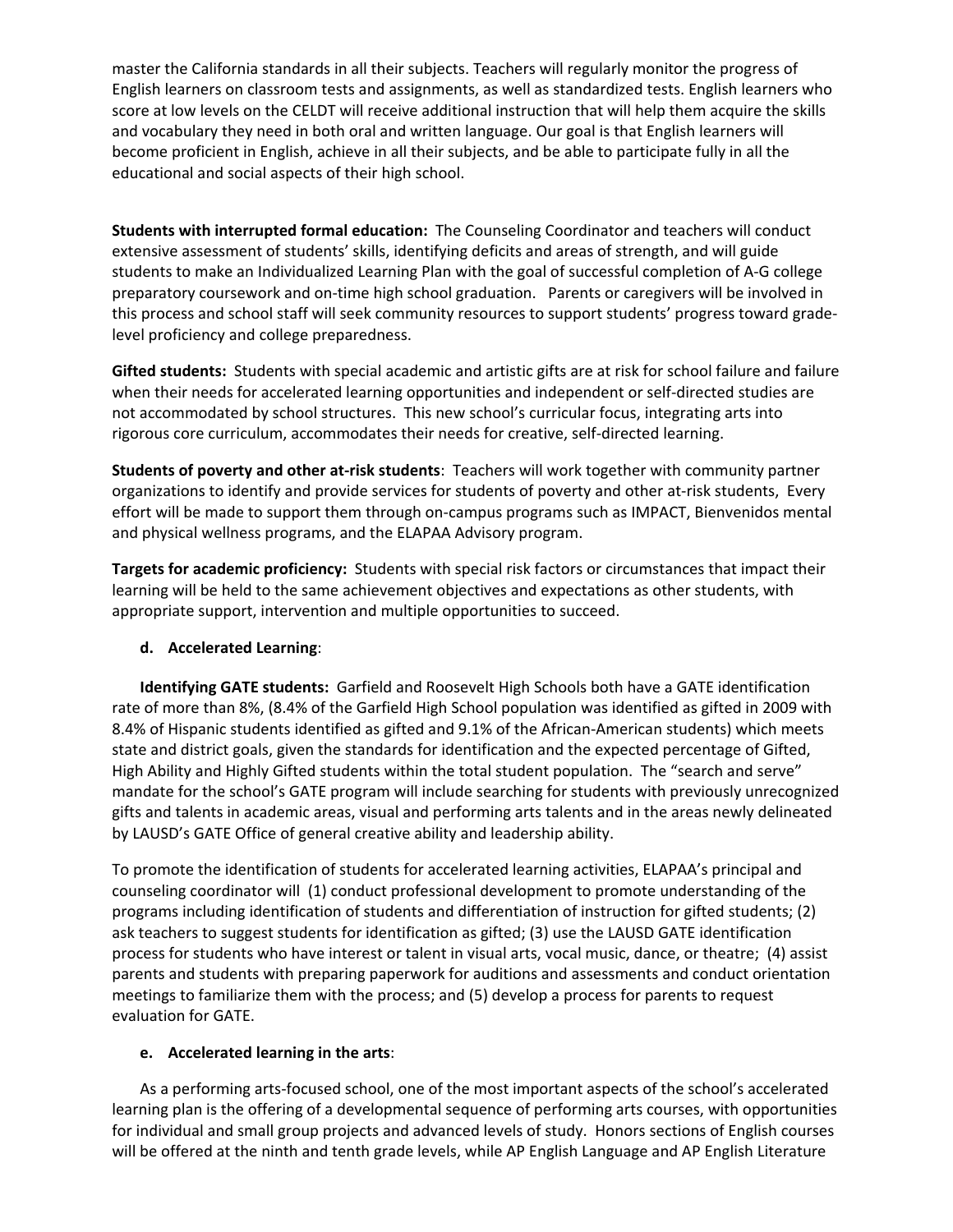master the California standards in all their subjects. Teachers will regularly monitor the progress of English learners on classroom tests and assignments, as well as standardized tests. English learners who score at low levels on the CELDT will receive additional instruction that will help them acquire the skills and vocabulary they need in both oral and written language. Our goal is that English learners will become proficient in English, achieve in all their subjects, and be able to participate fully in all the educational and social aspects of their high school.

**Students with interrupted formal education:** The Counseling Coordinator and teachers will conduct extensive assessment of students' skills, identifying deficits and areas of strength, and will guide students to make an Individualized Learning Plan with the goal of successful completion of A‐G college preparatory coursework and on‐time high school graduation. Parents or caregivers will be involved in this process and school staff will seek community resources to support students' progress toward grade‐ level proficiency and college preparedness.

**Gifted students:** Students with special academic and artistic gifts are at risk for school failure and failure when their needs for accelerated learning opportunities and independent or self-directed studies are not accommodated by school structures. This new school's curricular focus, integrating arts into rigorous core curriculum, accommodates their needs for creative, self‐directed learning.

**Students of poverty and other at‐risk students**: Teachers will work together with community partner organizations to identify and provide services for students of poverty and other at‐risk students, Every effort will be made to support them through on‐campus programs such as IMPACT, Bienvenidos mental and physical wellness programs, and the ELAPAA Advisory program.

**Targets for academic proficiency:** Students with special risk factors or circumstances that impact their learning will be held to the same achievement objectives and expectations as other students, with appropriate support, intervention and multiple opportunities to succeed.

## **d. Accelerated Learning**:

**Identifying GATE students:** Garfield and Roosevelt High Schools both have a GATE identification rate of more than 8%, (8.4% of the Garfield High School population was identified as gifted in 2009 with 8.4% of Hispanic students identified as gifted and 9.1% of the African-American students) which meets state and district goals, given the standards for identification and the expected percentage of Gifted, High Ability and Highly Gifted students within the total student population. The "search and serve" mandate for the school's GATE program will include searching for students with previously unrecognized gifts and talents in academic areas, visual and performing arts talents and in the areas newly delineated by LAUSD's GATE Office of general creative ability and leadership ability.

To promote the identification of students for accelerated learning activities, ELAPAA's principal and counseling coordinator will (1) conduct professional development to promote understanding of the programs including identification of students and differentiation of instruction for gifted students; (2) ask teachers to suggest students for identification as gifted; (3) use the LAUSD GATE identification process for students who have interest or talent in visual arts, vocal music, dance, or theatre; (4) assist parents and students with preparing paperwork for auditions and assessments and conduct orientation meetings to familiarize them with the process; and (5) develop a process for parents to request evaluation for GATE.

#### **e. Accelerated learning in the arts**:

As a performing arts‐focused school, one of the most important aspects of the school's accelerated learning plan is the offering of a developmental sequence of performing arts courses, with opportunities for individual and small group projects and advanced levels of study. Honors sections of English courses will be offered at the ninth and tenth grade levels, while AP English Language and AP English Literature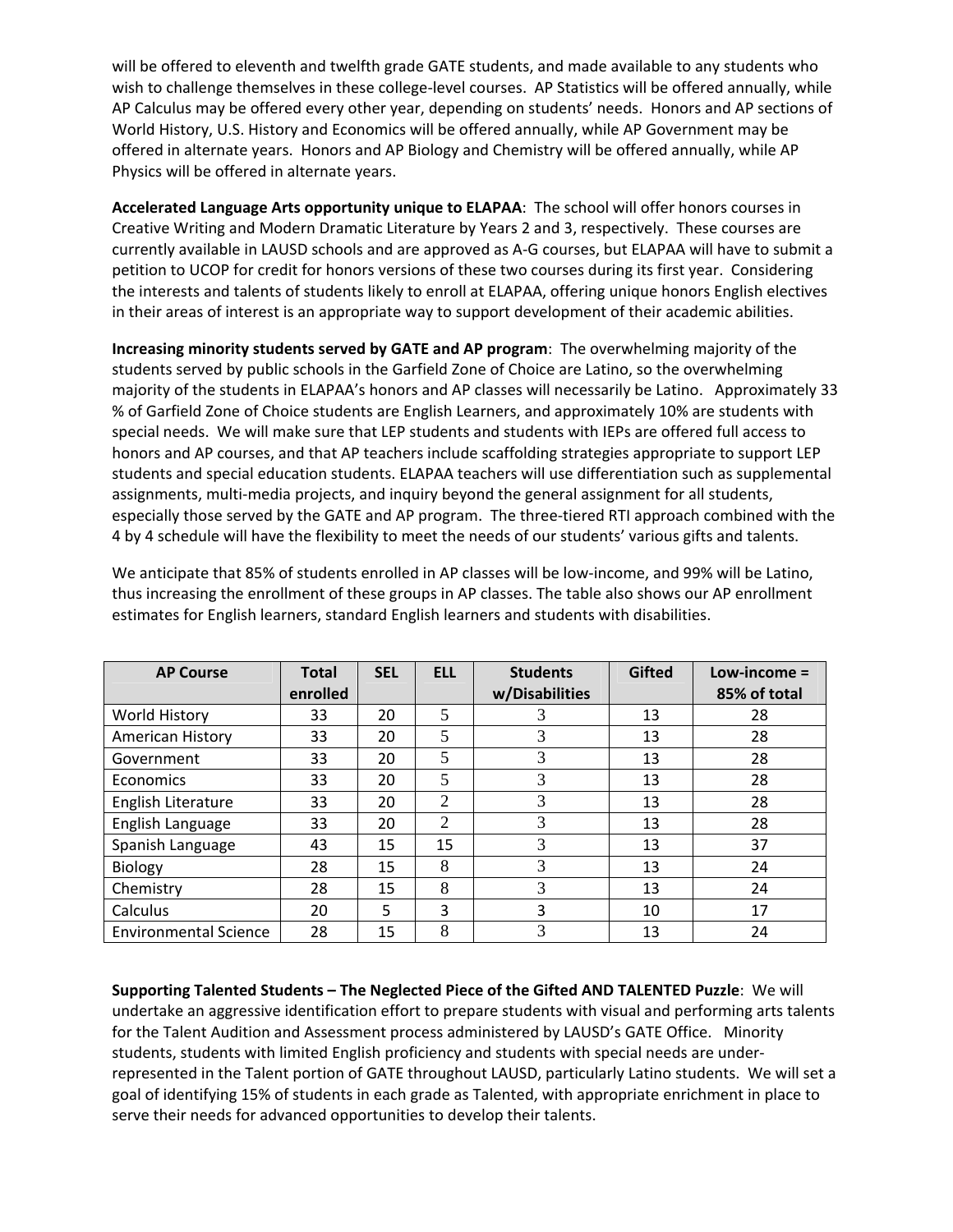will be offered to eleventh and twelfth grade GATE students, and made available to any students who wish to challenge themselves in these college-level courses. AP Statistics will be offered annually, while AP Calculus may be offered every other year, depending on students' needs. Honors and AP sections of World History, U.S. History and Economics will be offered annually, while AP Government may be offered in alternate years. Honors and AP Biology and Chemistry will be offered annually, while AP Physics will be offered in alternate years.

**Accelerated Language Arts opportunity unique to ELAPAA**: The school will offer honors courses in Creative Writing and Modern Dramatic Literature by Years 2 and 3, respectively. These courses are currently available in LAUSD schools and are approved as A‐G courses, but ELAPAA will have to submit a petition to UCOP for credit for honors versions of these two courses during its first year. Considering the interests and talents of students likely to enroll at ELAPAA, offering unique honors English electives in their areas of interest is an appropriate way to support development of their academic abilities.

**Increasing minority students served by GATE and AP program**: The overwhelming majority of the students served by public schools in the Garfield Zone of Choice are Latino, so the overwhelming majority of the students in ELAPAA's honors and AP classes will necessarily be Latino. Approximately 33 % of Garfield Zone of Choice students are English Learners, and approximately 10% are students with special needs. We will make sure that LEP students and students with IEPs are offered full access to honors and AP courses, and that AP teachers include scaffolding strategies appropriate to support LEP students and special education students. ELAPAA teachers will use differentiation such as supplemental assignments, multi‐media projects, and inquiry beyond the general assignment for all students, especially those served by the GATE and AP program. The three‐tiered RTI approach combined with the 4 by 4 schedule will have the flexibility to meet the needs of our students' various gifts and talents.

We anticipate that 85% of students enrolled in AP classes will be low-income, and 99% will be Latino, thus increasing the enrollment of these groups in AP classes. The table also shows our AP enrollment estimates for English learners, standard English learners and students with disabilities.

| <b>AP Course</b>             | <b>Total</b> | <b>SEL</b> | <b>ELL</b>     | <b>Students</b> | <b>Gifted</b> | $Low\text{-}income =$ |
|------------------------------|--------------|------------|----------------|-----------------|---------------|-----------------------|
|                              | enrolled     |            |                | w/Disabilities  |               | 85% of total          |
| World History                | 33           | 20         | 5              |                 | 13            | 28                    |
| American History             | 33           | 20         | 5              | 3               | 13            | 28                    |
| Government                   | 33           | 20         | 5              | 3               | 13            | 28                    |
| Economics                    | 33           | 20         | 5              | 3               | 13            | 28                    |
| English Literature           | 33           | 20         | $\overline{2}$ | 3               | 13            | 28                    |
| English Language             | 33           | 20         | $\mathfrak{D}$ | 3               | 13            | 28                    |
| Spanish Language             | 43           | 15         | 15             | 3               | 13            | 37                    |
| Biology                      | 28           | 15         | 8              | 3               | 13            | 24                    |
| Chemistry                    | 28           | 15         | 8              | 3               | 13            | 24                    |
| Calculus                     | 20           | 5.         | 3              | 3               | 10            | 17                    |
| <b>Environmental Science</b> | 28           | 15         | 8              | 3               | 13            | 24                    |

**Supporting Talented Students – The Neglected Piece of the Gifted AND TALENTED Puzzle**: We will undertake an aggressive identification effort to prepare students with visual and performing arts talents for the Talent Audition and Assessment process administered by LAUSD's GATE Office. Minority students, students with limited English proficiency and students with special needs are under‐ represented in the Talent portion of GATE throughout LAUSD, particularly Latino students. We will set a goal of identifying 15% of students in each grade as Talented, with appropriate enrichment in place to serve their needs for advanced opportunities to develop their talents.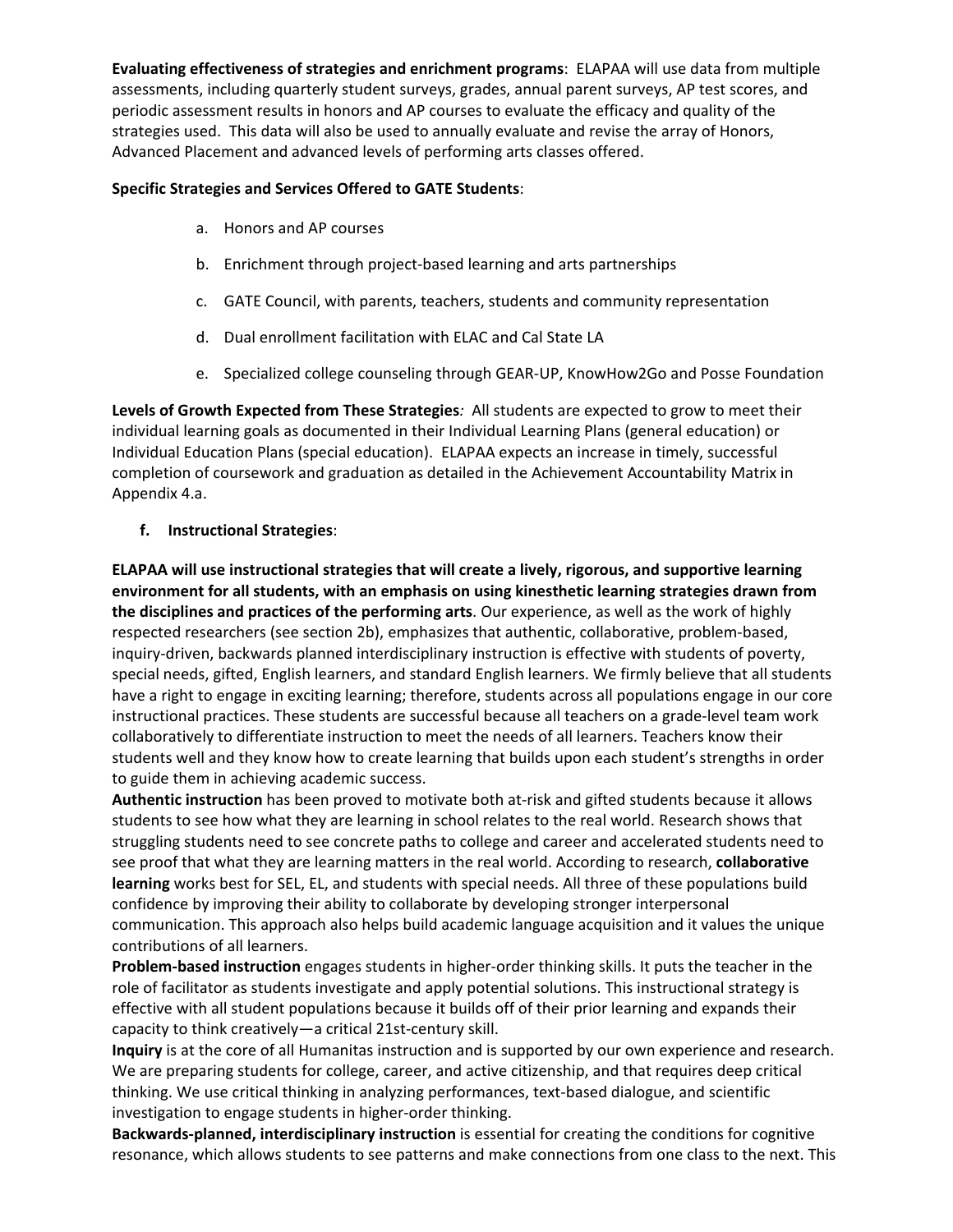**Evaluating effectiveness of strategies and enrichment programs**: ELAPAA will use data from multiple assessments, including quarterly student surveys, grades, annual parent surveys, AP test scores, and periodic assessment results in honors and AP courses to evaluate the efficacy and quality of the strategies used. This data will also be used to annually evaluate and revise the array of Honors, Advanced Placement and advanced levels of performing arts classes offered.

## **Specific Strategies and Services Offered to GATE Students**:

- a. Honors and AP courses
- b. Enrichment through project‐based learning and arts partnerships
- c. GATE Council, with parents, teachers, students and community representation
- d. Dual enrollment facilitation with ELAC and Cal State LA
- e. Specialized college counseling through GEAR‐UP, KnowHow2Go and Posse Foundation

**Levels of Growth Expected from These Strategies***:* All students are expected to grow to meet their individual learning goals as documented in their Individual Learning Plans (general education) or Individual Education Plans (special education). ELAPAA expects an increase in timely, successful completion of coursework and graduation as detailed in the Achievement Accountability Matrix in Appendix 4.a.

## **f. Instructional Strategies**:

**ELAPAA will use instructional strategies that will create a lively, rigorous, and supportive learning environment for all students, with an emphasis on using kinesthetic learning strategies drawn from the disciplines and practices of the performing arts**. Our experience, as well as the work of highly respected researchers (see section 2b), emphasizes that authentic, collaborative, problem‐based, inquiry‐driven, backwards planned interdisciplinary instruction is effective with students of poverty, special needs, gifted, English learners, and standard English learners. We firmly believe that all students have a right to engage in exciting learning; therefore, students across all populations engage in our core instructional practices. These students are successful because all teachers on a grade‐level team work collaboratively to differentiate instruction to meet the needs of all learners. Teachers know their students well and they know how to create learning that builds upon each student's strengths in order to guide them in achieving academic success.

**Authentic instruction** has been proved to motivate both at‐risk and gifted students because it allows students to see how what they are learning in school relates to the real world. Research shows that struggling students need to see concrete paths to college and career and accelerated students need to see proof that what they are learning matters in the real world. According to research, **collaborative learning** works best for SEL, EL, and students with special needs. All three of these populations build confidence by improving their ability to collaborate by developing stronger interpersonal communication. This approach also helps build academic language acquisition and it values the unique contributions of all learners.

**Problem‐based instruction** engages students in higher‐order thinking skills. It puts the teacher in the role of facilitator as students investigate and apply potential solutions. This instructional strategy is effective with all student populations because it builds off of their prior learning and expands their capacity to think creatively—a critical 21st‐century skill.

**Inquiry** is at the core of all Humanitas instruction and is supported by our own experience and research. We are preparing students for college, career, and active citizenship, and that requires deep critical thinking. We use critical thinking in analyzing performances, text-based dialogue, and scientific investigation to engage students in higher‐order thinking.

**Backwards‐planned, interdisciplinary instruction** is essential for creating the conditions for cognitive resonance, which allows students to see patterns and make connections from one class to the next. This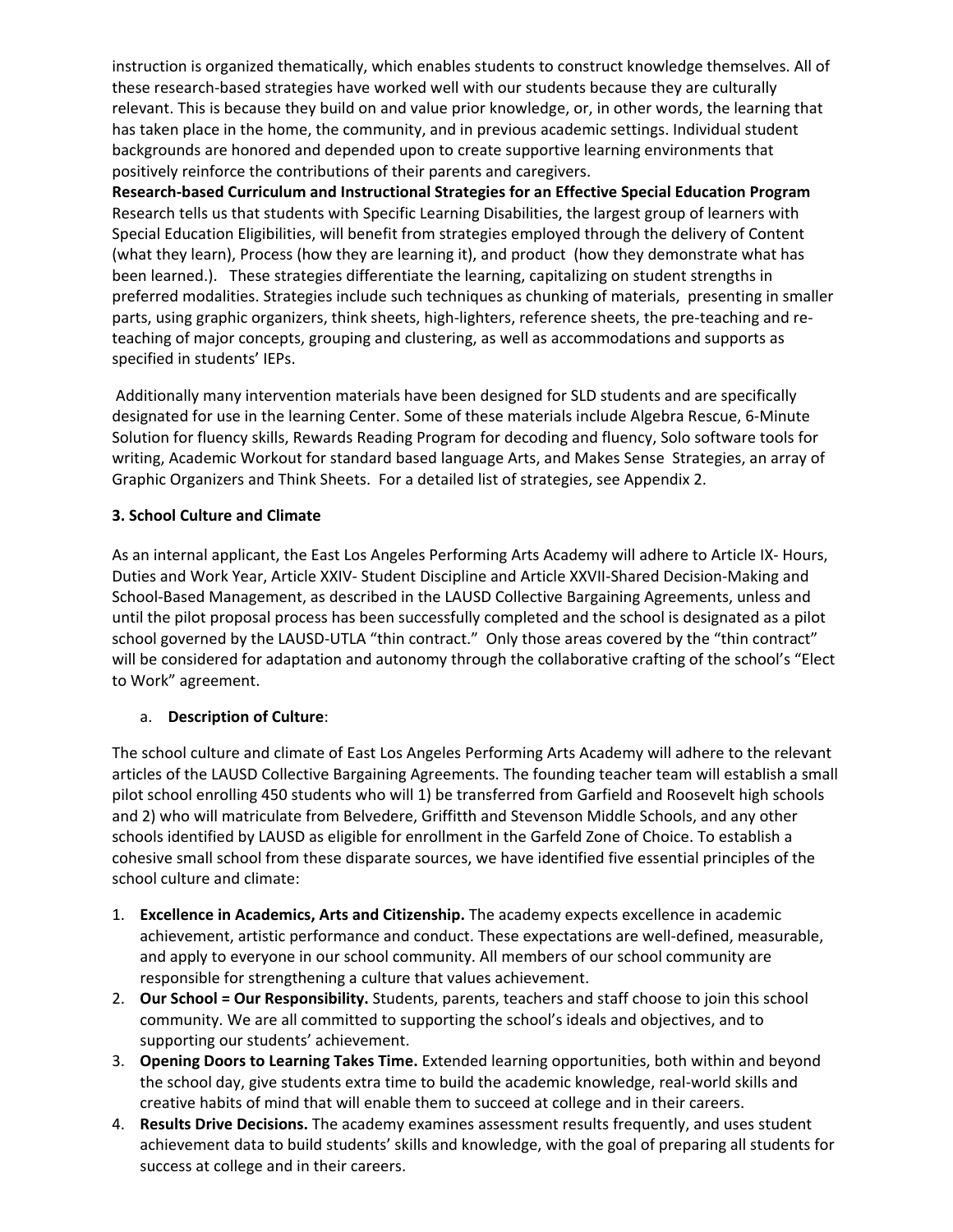instruction is organized thematically, which enables students to construct knowledge themselves. All of these research‐based strategies have worked well with our students because they are culturally relevant. This is because they build on and value prior knowledge, or, in other words, the learning that has taken place in the home, the community, and in previous academic settings. Individual student backgrounds are honored and depended upon to create supportive learning environments that positively reinforce the contributions of their parents and caregivers.

**Research‐based Curriculum and Instructional Strategies for an Effective Special Education Program** Research tells us that students with Specific Learning Disabilities, the largest group of learners with Special Education Eligibilities, will benefit from strategies employed through the delivery of Content (what they learn), Process (how they are learning it), and product (how they demonstrate what has been learned.). These strategies differentiate the learning, capitalizing on student strengths in preferred modalities. Strategies include such techniques as chunking of materials, presenting in smaller parts, using graphic organizers, think sheets, high-lighters, reference sheets, the pre-teaching and reteaching of major concepts, grouping and clustering, as well as accommodations and supports as specified in students' IEPs.

Additionally many intervention materials have been designed for SLD students and are specifically designated for use in the learning Center. Some of these materials include Algebra Rescue, 6‐Minute Solution for fluency skills, Rewards Reading Program for decoding and fluency, Solo software tools for writing, Academic Workout for standard based language Arts, and Makes Sense Strategies, an array of Graphic Organizers and Think Sheets. For a detailed list of strategies, see Appendix 2.

# **3. School Culture and Climate**

As an internal applicant, the East Los Angeles Performing Arts Academy will adhere to Article IX‐ Hours, Duties and Work Year, Article XXIV‐ Student Discipline and Article XXVII‐Shared Decision‐Making and School‐Based Management, as described in the LAUSD Collective Bargaining Agreements, unless and until the pilot proposal process has been successfully completed and the school is designated as a pilot school governed by the LAUSD-UTLA "thin contract." Only those areas covered by the "thin contract" will be considered for adaptation and autonomy through the collaborative crafting of the school's "Elect to Work" agreement.

# a. **Description of Culture**:

The school culture and climate of East Los Angeles Performing Arts Academy will adhere to the relevant articles of the LAUSD Collective Bargaining Agreements. The founding teacher team will establish a small pilot school enrolling 450 students who will 1) be transferred from Garfield and Roosevelt high schools and 2) who will matriculate from Belvedere, Griffitth and Stevenson Middle Schools, and any other schools identified by LAUSD as eligible for enrollment in the Garfeld Zone of Choice. To establish a cohesive small school from these disparate sources, we have identified five essential principles of the school culture and climate:

- 1. **Excellence in Academics, Arts and Citizenship.** The academy expects excellence in academic achievement, artistic performance and conduct. These expectations are well‐defined, measurable, and apply to everyone in our school community. All members of our school community are responsible for strengthening a culture that values achievement.
- 2. **Our School = Our Responsibility.** Students, parents, teachers and staff choose to join this school community. We are all committed to supporting the school's ideals and objectives, and to supporting our students' achievement.
- 3. **Opening Doors to Learning Takes Time.** Extended learning opportunities, both within and beyond the school day, give students extra time to build the academic knowledge, real-world skills and creative habits of mind that will enable them to succeed at college and in their careers.
- 4. **Results Drive Decisions.** The academy examines assessment results frequently, and uses student achievement data to build students' skills and knowledge, with the goal of preparing all students for success at college and in their careers.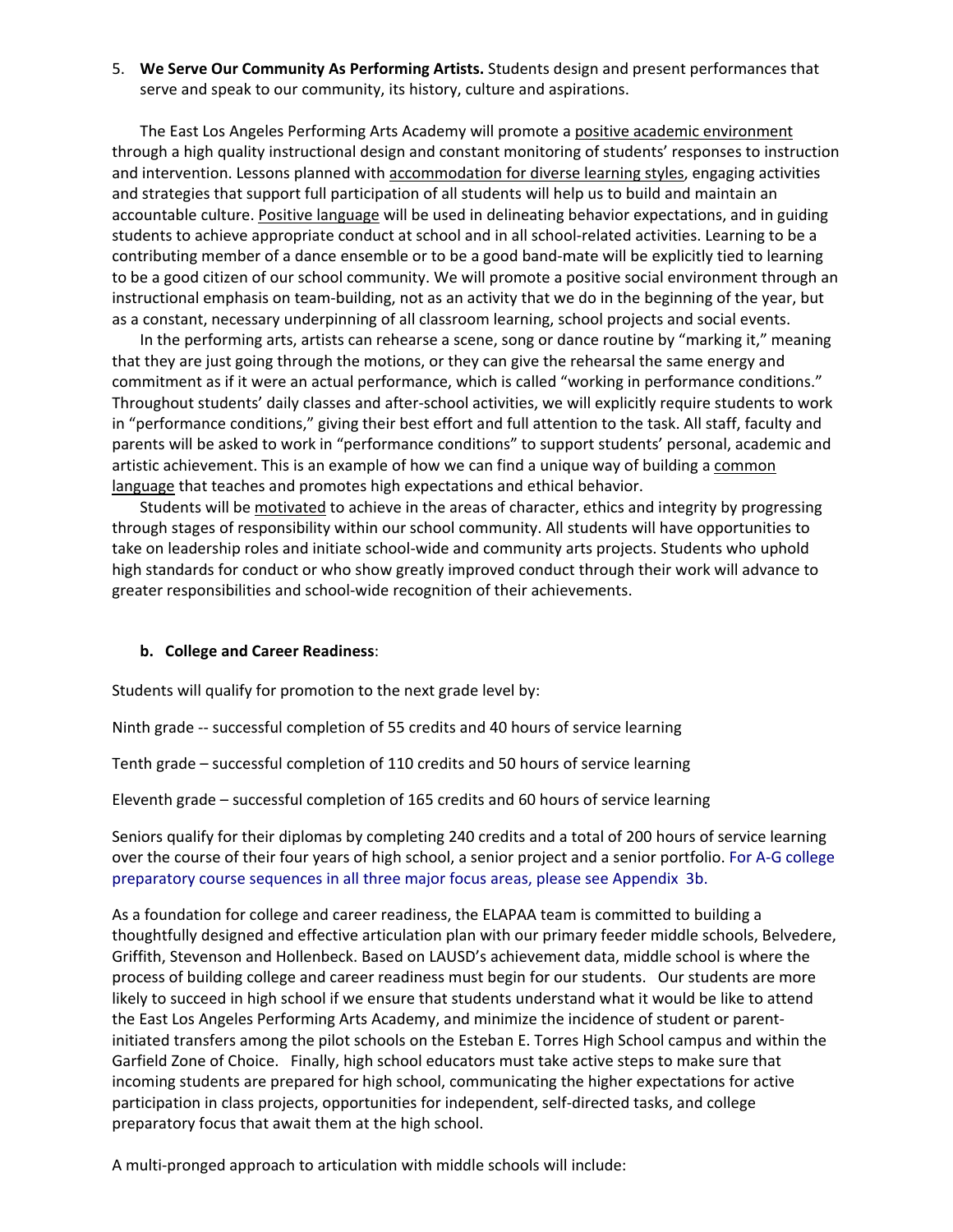5. **We Serve Our Community As Performing Artists.** Students design and present performances that serve and speak to our community, its history, culture and aspirations.

The East Los Angeles Performing Arts Academy will promote a positive academic environment through a high quality instructional design and constant monitoring of students' responses to instruction and intervention. Lessons planned with accommodation for diverse learning styles, engaging activities and strategies that support full participation of all students will help us to build and maintain an accountable culture. Positive language will be used in delineating behavior expectations, and in guiding students to achieve appropriate conduct at school and in all school‐related activities. Learning to be a contributing member of a dance ensemble or to be a good band‐mate will be explicitly tied to learning to be a good citizen of our school community. We will promote a positive social environment through an instructional emphasis on team‐building, not as an activity that we do in the beginning of the year, but as a constant, necessary underpinning of all classroom learning, school projects and social events.

In the performing arts, artists can rehearse a scene, song or dance routine by "marking it," meaning that they are just going through the motions, or they can give the rehearsal the same energy and commitment as if it were an actual performance, which is called "working in performance conditions." Throughout students' daily classes and after‐school activities, we will explicitly require students to work in "performance conditions," giving their best effort and full attention to the task. All staff, faculty and parents will be asked to work in "performance conditions" to support students' personal, academic and artistic achievement. This is an example of how we can find a unique way of building a common language that teaches and promotes high expectations and ethical behavior.

Students will be motivated to achieve in the areas of character, ethics and integrity by progressing through stages of responsibility within our school community. All students will have opportunities to take on leadership roles and initiate school‐wide and community arts projects. Students who uphold high standards for conduct or who show greatly improved conduct through their work will advance to greater responsibilities and school‐wide recognition of their achievements.

#### **b. College and Career Readiness**:

Students will qualify for promotion to the next grade level by:

Ninth grade ‐‐ successful completion of 55 credits and 40 hours of service learning

Tenth grade – successful completion of 110 credits and 50 hours of service learning

Eleventh grade – successful completion of 165 credits and 60 hours of service learning

Seniors qualify for their diplomas by completing 240 credits and a total of 200 hours of service learning over the course of their four years of high school, a senior project and a senior portfolio. For A‐G college preparatory course sequences in all three major focus areas, please see Appendix 3b.

As a foundation for college and career readiness, the ELAPAA team is committed to building a thoughtfully designed and effective articulation plan with our primary feeder middle schools, Belvedere, Griffith, Stevenson and Hollenbeck. Based on LAUSD's achievement data, middle school is where the process of building college and career readiness must begin for our students. Our students are more likely to succeed in high school if we ensure that students understand what it would be like to attend the East Los Angeles Performing Arts Academy, and minimize the incidence of student or parent‐ initiated transfers among the pilot schools on the Esteban E. Torres High School campus and within the Garfield Zone of Choice. Finally, high school educators must take active steps to make sure that incoming students are prepared for high school, communicating the higher expectations for active participation in class projects, opportunities for independent, self-directed tasks, and college preparatory focus that await them at the high school.

A multi‐pronged approach to articulation with middle schools will include: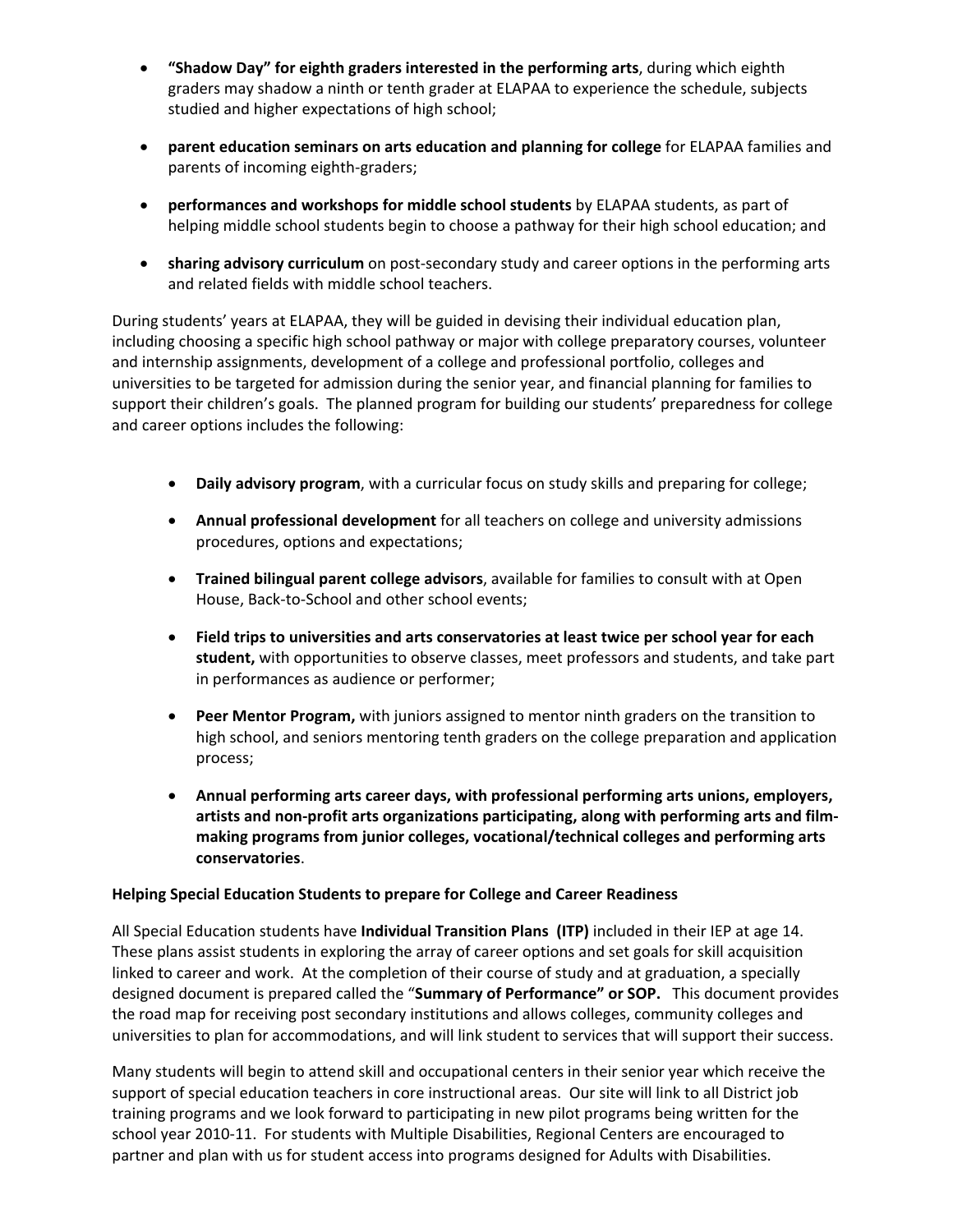- **"Shadow Day" for eighth graders interested in the performing arts**, during which eighth graders may shadow a ninth or tenth grader at ELAPAA to experience the schedule, subjects studied and higher expectations of high school;
- **parent education seminars on arts education and planning for college** for ELAPAA families and parents of incoming eighth‐graders;
- **performances and workshops for middle school students** by ELAPAA students, as part of helping middle school students begin to choose a pathway for their high school education; and
- **sharing advisory curriculum** on post‐secondary study and career options in the performing arts and related fields with middle school teachers.

During students' years at ELAPAA, they will be guided in devising their individual education plan, including choosing a specific high school pathway or major with college preparatory courses, volunteer and internship assignments, development of a college and professional portfolio, colleges and universities to be targeted for admission during the senior year, and financial planning for families to support their children's goals. The planned program for building our students' preparedness for college and career options includes the following:

- **Daily advisory program**, with a curricular focus on study skills and preparing for college;
- **Annual professional development** for all teachers on college and university admissions procedures, options and expectations;
- **Trained bilingual parent college advisors**, available for families to consult with at Open House, Back‐to‐School and other school events;
- **Field trips to universities and arts conservatories at least twice per school year for each student,** with opportunities to observe classes, meet professors and students, and take part in performances as audience or performer;
- **Peer Mentor Program,** with juniors assigned to mentor ninth graders on the transition to high school, and seniors mentoring tenth graders on the college preparation and application process;
- **Annual performing arts career days, with professional performing arts unions, employers, artists and non‐profit arts organizations participating, along with performing arts and film‐ making programs from junior colleges, vocational/technical colleges and performing arts conservatories**.

## **Helping Special Education Students to prepare for College and Career Readiness**

All Special Education students have **Individual Transition Plans (ITP)** included in their IEP at age 14. These plans assist students in exploring the array of career options and set goals for skill acquisition linked to career and work. At the completion of their course of study and at graduation, a specially designed document is prepared called the "**Summary of Performance" or SOP.** This document provides the road map for receiving post secondary institutions and allows colleges, community colleges and universities to plan for accommodations, and will link student to services that will support their success.

Many students will begin to attend skill and occupational centers in their senior year which receive the support of special education teachers in core instructional areas. Our site will link to all District job training programs and we look forward to participating in new pilot programs being written for the school year 2010‐11. For students with Multiple Disabilities, Regional Centers are encouraged to partner and plan with us for student access into programs designed for Adults with Disabilities.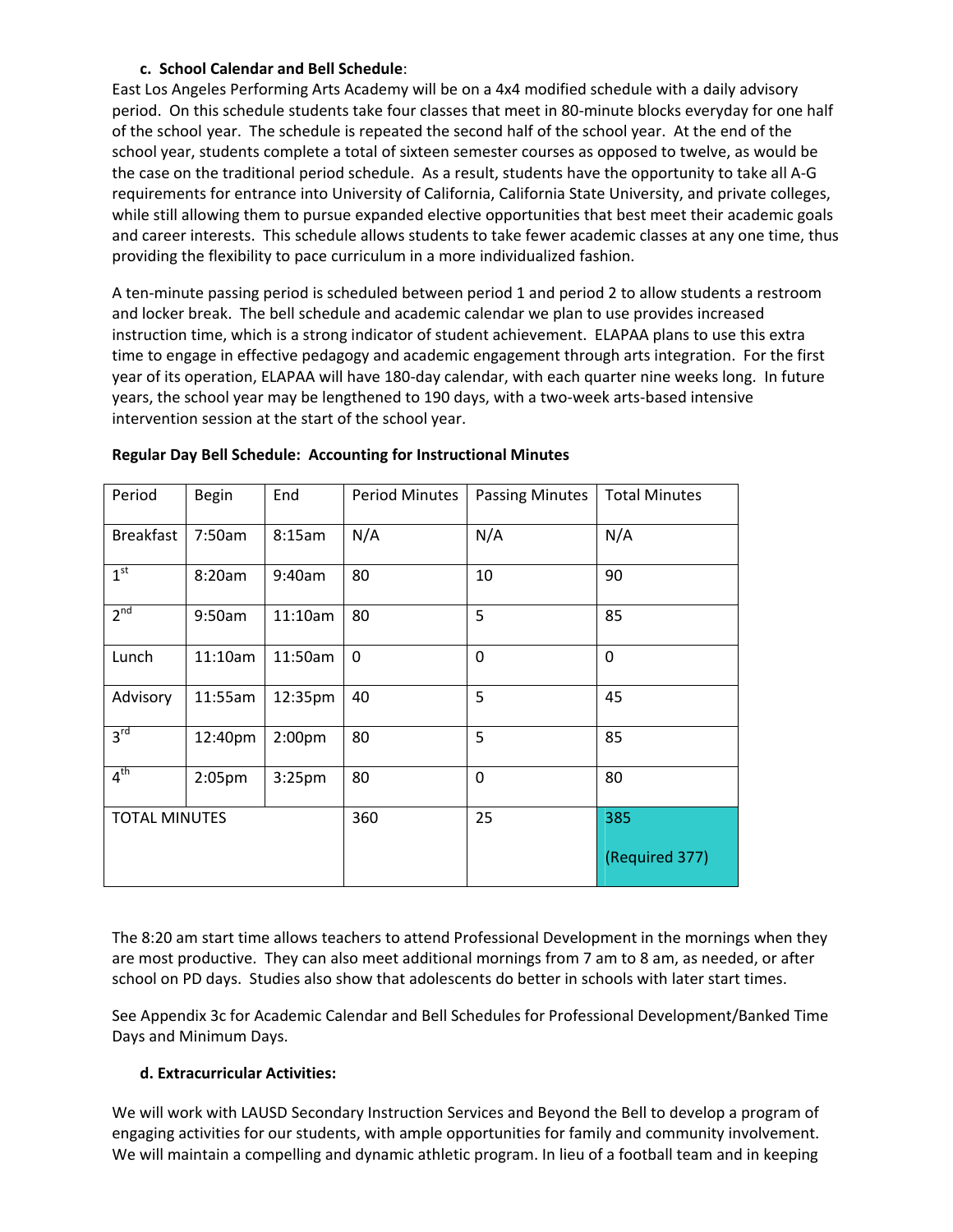## **c. School Calendar and Bell Schedule**:

East Los Angeles Performing Arts Academy will be on a 4x4 modified schedule with a daily advisory period. On this schedule students take four classes that meet in 80-minute blocks everyday for one half of the school year. The schedule is repeated the second half of the school year. At the end of the school year, students complete a total of sixteen semester courses as opposed to twelve, as would be the case on the traditional period schedule. As a result, students have the opportunity to take all A‐G requirements for entrance into University of California, California State University, and private colleges, while still allowing them to pursue expanded elective opportunities that best meet their academic goals and career interests. This schedule allows students to take fewer academic classes at any one time, thus providing the flexibility to pace curriculum in a more individualized fashion.

A ten‐minute passing period is scheduled between period 1 and period 2 to allow students a restroom and locker break. The bell schedule and academic calendar we plan to use provides increased instruction time, which is a strong indicator of student achievement. ELAPAA plans to use this extra time to engage in effective pedagogy and academic engagement through arts integration. For the first year of its operation, ELAPAA will have 180-day calendar, with each quarter nine weeks long. In future years, the school year may be lengthened to 190 days, with a two-week arts-based intensive intervention session at the start of the school year.

| Period               | <b>Begin</b> | End                | <b>Period Minutes</b> | <b>Passing Minutes</b> | <b>Total Minutes</b> |
|----------------------|--------------|--------------------|-----------------------|------------------------|----------------------|
| <b>Breakfast</b>     | 7:50am       | 8:15am             | N/A                   | N/A                    | N/A                  |
| 1 <sup>st</sup>      | 8:20am       | 9:40am             | 80                    | 10                     | 90                   |
| 2 <sup>nd</sup>      | 9:50am       | 11:10am            | 80                    | 5                      | 85                   |
| Lunch                | 11:10am      | 11:50am            | $\mathbf 0$           | $\mathbf 0$            | $\mathbf 0$          |
| Advisory             | 11:55am      | 12:35pm            | 40                    | 5                      | 45                   |
| 3 <sup>rd</sup>      | 12:40pm      | 2:00 <sub>pm</sub> | 80                    | 5                      | 85                   |
| 4 <sup>th</sup>      | $2:05$ pm    | 3:25 <sub>pm</sub> | 80                    | $\mathbf 0$            | 80                   |
| <b>TOTAL MINUTES</b> |              | 360                | 25                    | 385                    |                      |
|                      |              |                    |                       |                        | (Required 377)       |

#### **Regular Day Bell Schedule: Accounting for Instructional Minutes**

The 8:20 am start time allows teachers to attend Professional Development in the mornings when they are most productive. They can also meet additional mornings from 7 am to 8 am, as needed, or after school on PD days. Studies also show that adolescents do better in schools with later start times.

See Appendix 3c for Academic Calendar and Bell Schedules for Professional Development/Banked Time Days and Minimum Days.

# **d. Extracurricular Activities:**

We will work with LAUSD Secondary Instruction Services and Beyond the Bell to develop a program of engaging activities for our students, with ample opportunities for family and community involvement. We will maintain a compelling and dynamic athletic program. In lieu of a football team and in keeping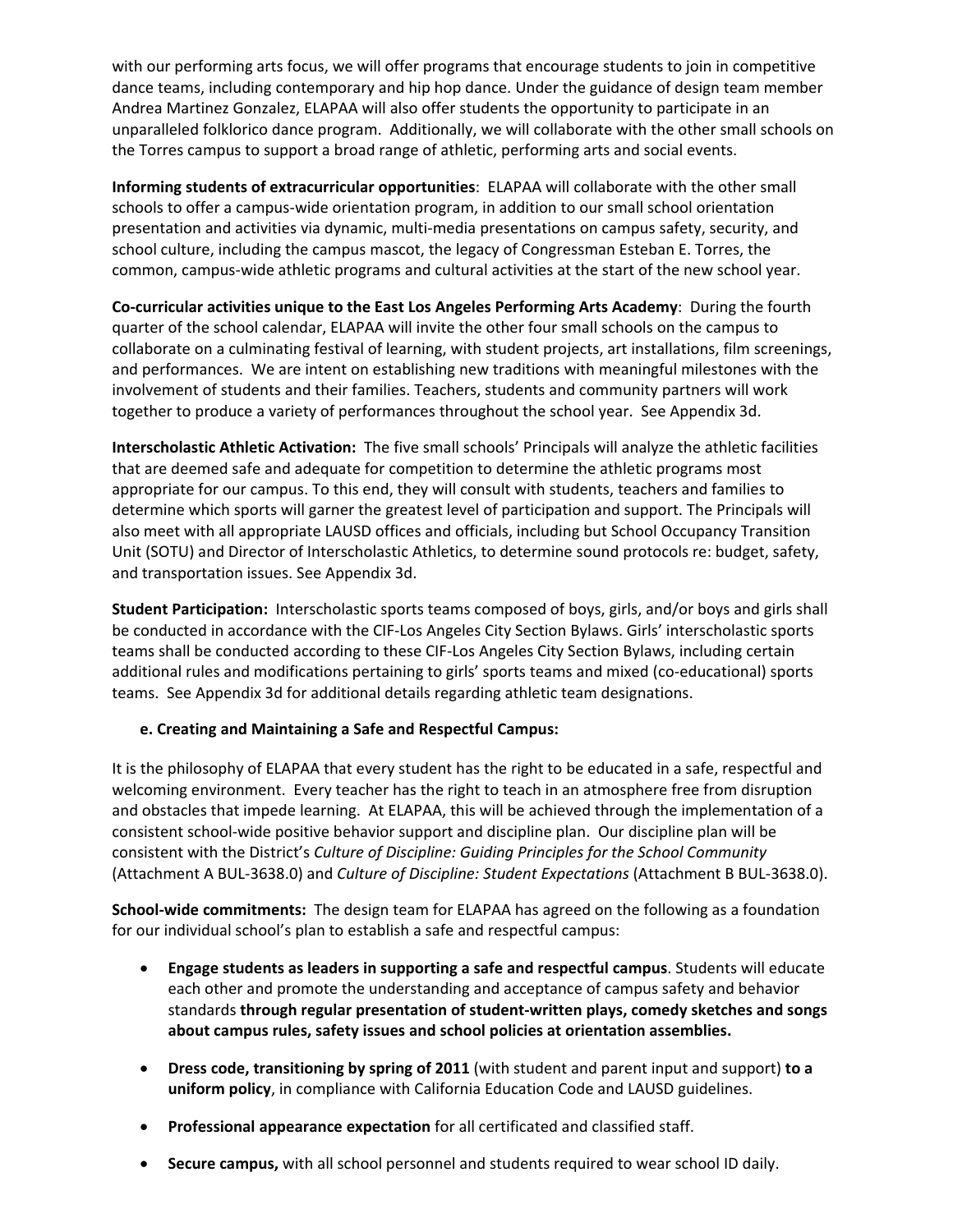with our performing arts focus, we will offer programs that encourage students to join in competitive dance teams, including contemporary and hip hop dance. Under the guidance of design team member Andrea Martinez Gonzalez, ELAPAA will also offer students the opportunity to participate in an unparalleled folklorico dance program. Additionally, we will collaborate with the other small schools on the Torres campus to support a broad range of athletic, performing arts and social events.

**Informing students of extracurricular opportunities**: ELAPAA will collaborate with the other small schools to offer a campus‐wide orientation program, in addition to our small school orientation presentation and activities via dynamic, multi‐media presentations on campus safety, security, and school culture, including the campus mascot, the legacy of Congressman Esteban E. Torres, the common, campus‐wide athletic programs and cultural activities at the start of the new school year.

**Co‐curricular activities unique to the East Los Angeles Performing Arts Academy**: During the fourth quarter of the school calendar, ELAPAA will invite the other four small schools on the campus to collaborate on a culminating festival of learning, with student projects, art installations, film screenings, and performances. We are intent on establishing new traditions with meaningful milestones with the involvement of students and their families. Teachers, students and community partners will work together to produce a variety of performances throughout the school year. See Appendix 3d.

**Interscholastic Athletic Activation:** The five small schools' Principals will analyze the athletic facilities that are deemed safe and adequate for competition to determine the athletic programs most appropriate for our campus. To this end, they will consult with students, teachers and families to determine which sports will garner the greatest level of participation and support. The Principals will also meet with all appropriate LAUSD offices and officials, including but School Occupancy Transition Unit (SOTU) and Director of Interscholastic Athletics, to determine sound protocols re: budget, safety, and transportation issues. See Appendix 3d.

**Student Participation:** Interscholastic sports teams composed of boys, girls, and/or boys and girls shall be conducted in accordance with the CIF‐Los Angeles City Section Bylaws. Girls' interscholastic sports teams shall be conducted according to these CIF‐Los Angeles City Section Bylaws, including certain additional rules and modifications pertaining to girls' sports teams and mixed (co‐educational) sports teams. See Appendix 3d for additional details regarding athletic team designations.

## **e. Creating and Maintaining a Safe and Respectful Campus:**

It is the philosophy of ELAPAA that every student has the right to be educated in a safe, respectful and welcoming environment. Every teacher has the right to teach in an atmosphere free from disruption and obstacles that impede learning. At ELAPAA, this will be achieved through the implementation of a consistent school‐wide positive behavior support and discipline plan. Our discipline plan will be consistent with the District's *Culture of Discipline: Guiding Principles for the School Community* (Attachment A BUL‐3638.0) and *Culture of Discipline: Student Expectations* (Attachment B BUL‐3638.0).

**School‐wide commitments:** The design team for ELAPAA has agreed on the following as a foundation for our individual school's plan to establish a safe and respectful campus:

- **Engage students as leaders in supporting a safe and respectful campus**. Students will educate each other and promote the understanding and acceptance of campus safety and behavior standards **through regular presentation of student‐written plays, comedy sketches and songs about campus rules, safety issues and school policies at orientation assemblies.**
- **Dress code, transitioning by spring of 2011** (with student and parent input and support) **to a uniform policy**, in compliance with California Education Code and LAUSD guidelines.
- **Professional appearance expectation** for all certificated and classified staff.
- **Secure campus,** with all school personnel and students required to wear school ID daily.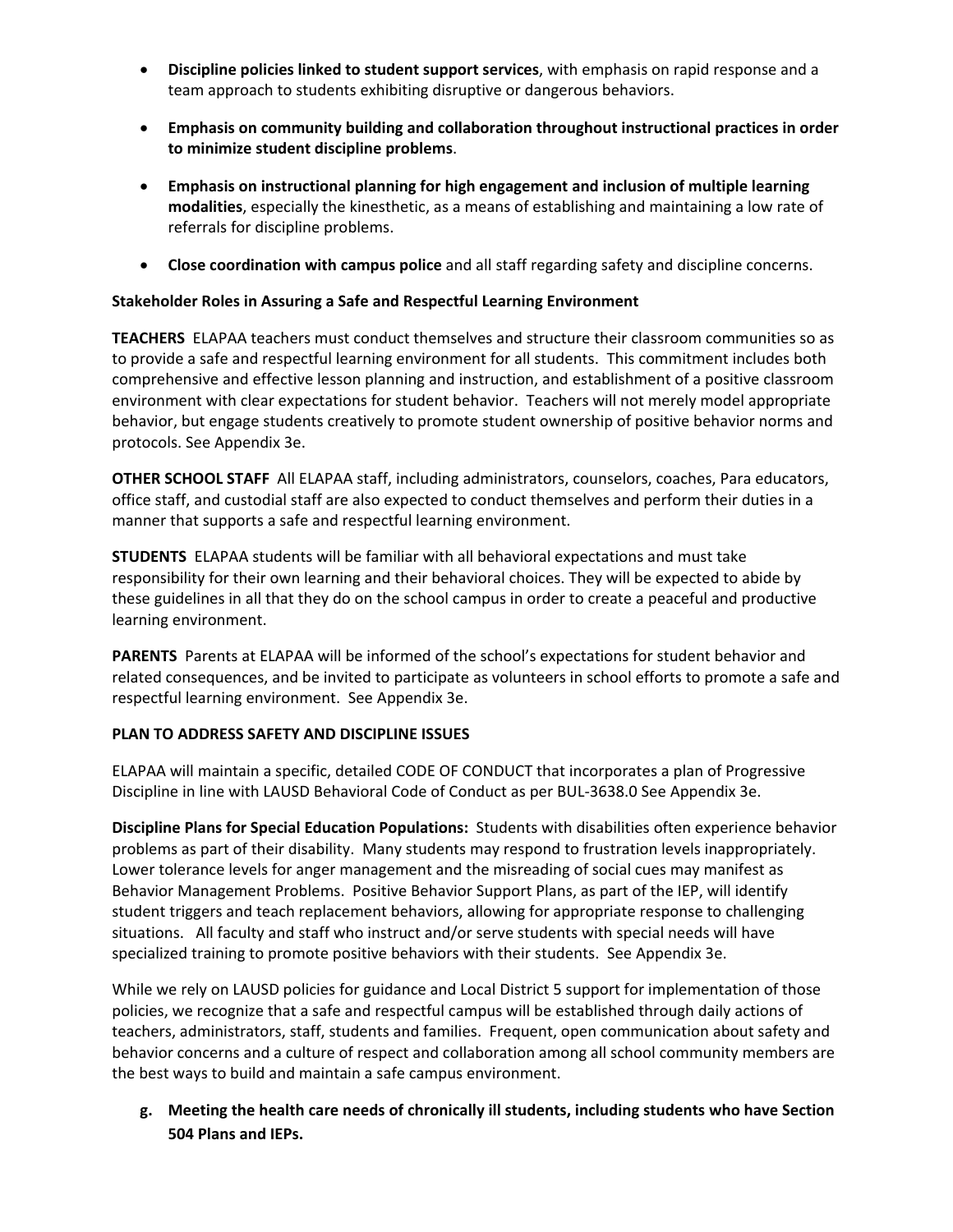- **Discipline policies linked to student support services**, with emphasis on rapid response and a team approach to students exhibiting disruptive or dangerous behaviors.
- **Emphasis on community building and collaboration throughout instructional practices in order to minimize student discipline problems**.
- **Emphasis on instructional planning for high engagement and inclusion of multiple learning modalities**, especially the kinesthetic, as a means of establishing and maintaining a low rate of referrals for discipline problems.
- **Close coordination with campus police** and all staff regarding safety and discipline concerns.

## **Stakeholder Roles in Assuring a Safe and Respectful Learning Environment**

**TEACHERS** ELAPAA teachers must conduct themselves and structure their classroom communities so as to provide a safe and respectful learning environment for all students. This commitment includes both comprehensive and effective lesson planning and instruction, and establishment of a positive classroom environment with clear expectations for student behavior. Teachers will not merely model appropriate behavior, but engage students creatively to promote student ownership of positive behavior norms and protocols. See Appendix 3e.

**OTHER SCHOOL STAFF** All ELAPAA staff, including administrators, counselors, coaches, Para educators, office staff, and custodial staff are also expected to conduct themselves and perform their duties in a manner that supports a safe and respectful learning environment.

**STUDENTS** ELAPAA students will be familiar with all behavioral expectations and must take responsibility for their own learning and their behavioral choices. They will be expected to abide by these guidelines in all that they do on the school campus in order to create a peaceful and productive learning environment.

**PARENTS** Parents at ELAPAA will be informed of the school's expectations for student behavior and related consequences, and be invited to participate as volunteers in school efforts to promote a safe and respectful learning environment. See Appendix 3e.

## **PLAN TO ADDRESS SAFETY AND DISCIPLINE ISSUES**

ELAPAA will maintain a specific, detailed CODE OF CONDUCT that incorporates a plan of Progressive Discipline in line with LAUSD Behavioral Code of Conduct as per BUL‐3638.0 See Appendix 3e.

**Discipline Plans for Special Education Populations:** Students with disabilities often experience behavior problems as part of their disability. Many students may respond to frustration levels inappropriately. Lower tolerance levels for anger management and the misreading of social cues may manifest as Behavior Management Problems. Positive Behavior Support Plans, as part of the IEP, will identify student triggers and teach replacement behaviors, allowing for appropriate response to challenging situations. All faculty and staff who instruct and/or serve students with special needs will have specialized training to promote positive behaviors with their students. See Appendix 3e.

While we rely on LAUSD policies for guidance and Local District 5 support for implementation of those policies, we recognize that a safe and respectful campus will be established through daily actions of teachers, administrators, staff, students and families. Frequent, open communication about safety and behavior concerns and a culture of respect and collaboration among all school community members are the best ways to build and maintain a safe campus environment.

**g. Meeting the health care needs of chronically ill students, including students who have Section 504 Plans and IEPs.**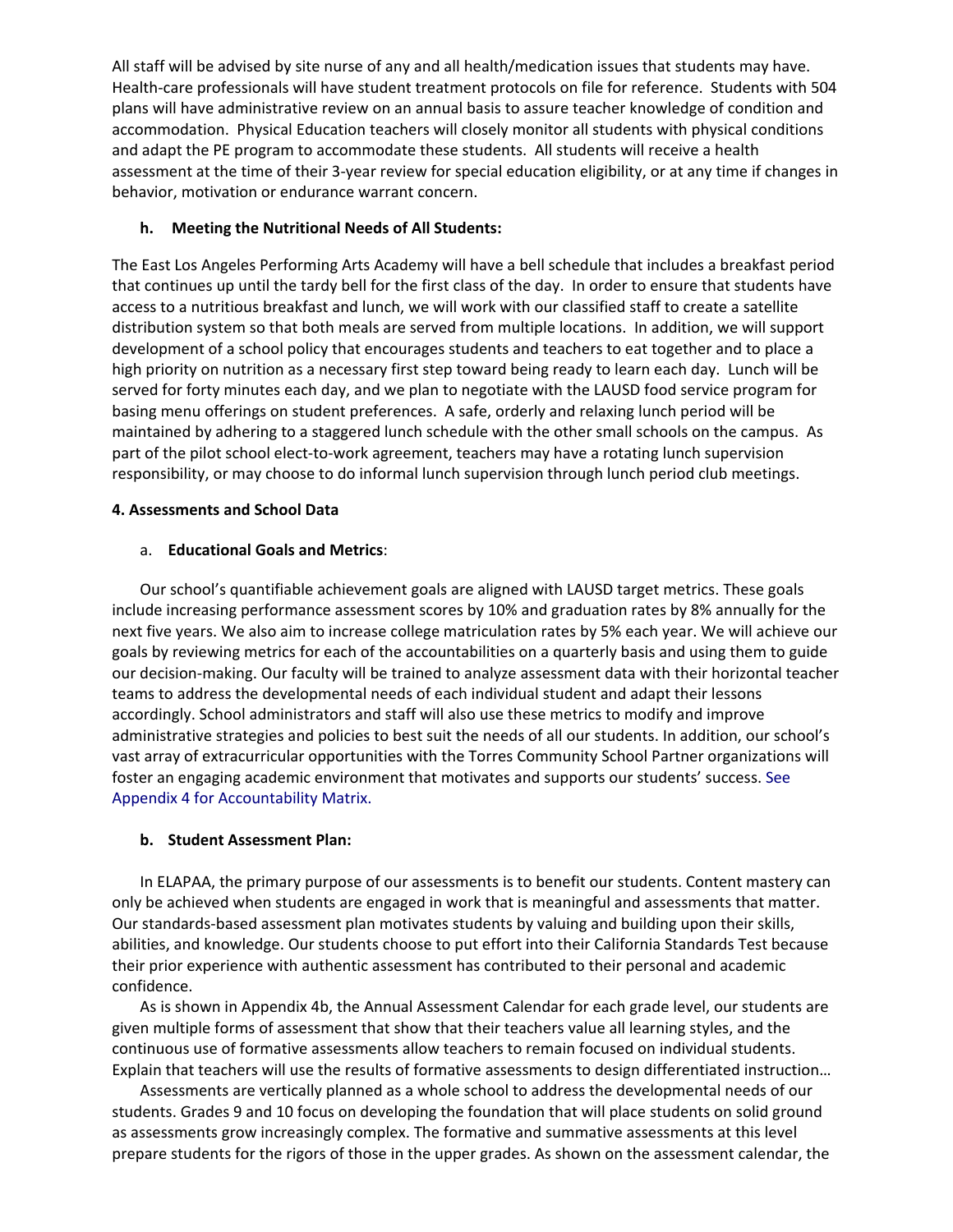All staff will be advised by site nurse of any and all health/medication issues that students may have. Health-care professionals will have student treatment protocols on file for reference. Students with 504 plans will have administrative review on an annual basis to assure teacher knowledge of condition and accommodation. Physical Education teachers will closely monitor all students with physical conditions and adapt the PE program to accommodate these students. All students will receive a health assessment at the time of their 3‐year review for special education eligibility, or at any time if changes in behavior, motivation or endurance warrant concern.

#### **h. Meeting the Nutritional Needs of All Students:**

The East Los Angeles Performing Arts Academy will have a bell schedule that includes a breakfast period that continues up until the tardy bell for the first class of the day. In order to ensure that students have access to a nutritious breakfast and lunch, we will work with our classified staff to create a satellite distribution system so that both meals are served from multiple locations. In addition, we will support development of a school policy that encourages students and teachers to eat together and to place a high priority on nutrition as a necessary first step toward being ready to learn each day. Lunch will be served for forty minutes each day, and we plan to negotiate with the LAUSD food service program for basing menu offerings on student preferences. A safe, orderly and relaxing lunch period will be maintained by adhering to a staggered lunch schedule with the other small schools on the campus. As part of the pilot school elect-to-work agreement, teachers may have a rotating lunch supervision responsibility, or may choose to do informal lunch supervision through lunch period club meetings.

#### **4. Assessments and School Data**

#### a. **Educational Goals and Metrics**:

Our school's quantifiable achievement goals are aligned with LAUSD target metrics. These goals include increasing performance assessment scores by 10% and graduation rates by 8% annually for the next five years. We also aim to increase college matriculation rates by 5% each year. We will achieve our goals by reviewing metrics for each of the accountabilities on a quarterly basis and using them to guide our decision‐making. Our faculty will be trained to analyze assessment data with their horizontal teacher teams to address the developmental needs of each individual student and adapt their lessons accordingly. School administrators and staff will also use these metrics to modify and improve administrative strategies and policies to best suit the needs of all our students. In addition, our school's vast array of extracurricular opportunities with the Torres Community School Partner organizations will foster an engaging academic environment that motivates and supports our students' success. See Appendix 4 for Accountability Matrix.

#### **b. Student Assessment Plan:**

In ELAPAA, the primary purpose of our assessments is to benefit our students. Content mastery can only be achieved when students are engaged in work that is meaningful and assessments that matter. Our standards‐based assessment plan motivates students by valuing and building upon their skills, abilities, and knowledge. Our students choose to put effort into their California Standards Test because their prior experience with authentic assessment has contributed to their personal and academic confidence.

As is shown in Appendix 4b, the Annual Assessment Calendar for each grade level, our students are given multiple forms of assessment that show that their teachers value all learning styles, and the continuous use of formative assessments allow teachers to remain focused on individual students. Explain that teachers will use the results of formative assessments to design differentiated instruction…

Assessments are vertically planned as a whole school to address the developmental needs of our students. Grades 9 and 10 focus on developing the foundation that will place students on solid ground as assessments grow increasingly complex. The formative and summative assessments at this level prepare students for the rigors of those in the upper grades. As shown on the assessment calendar, the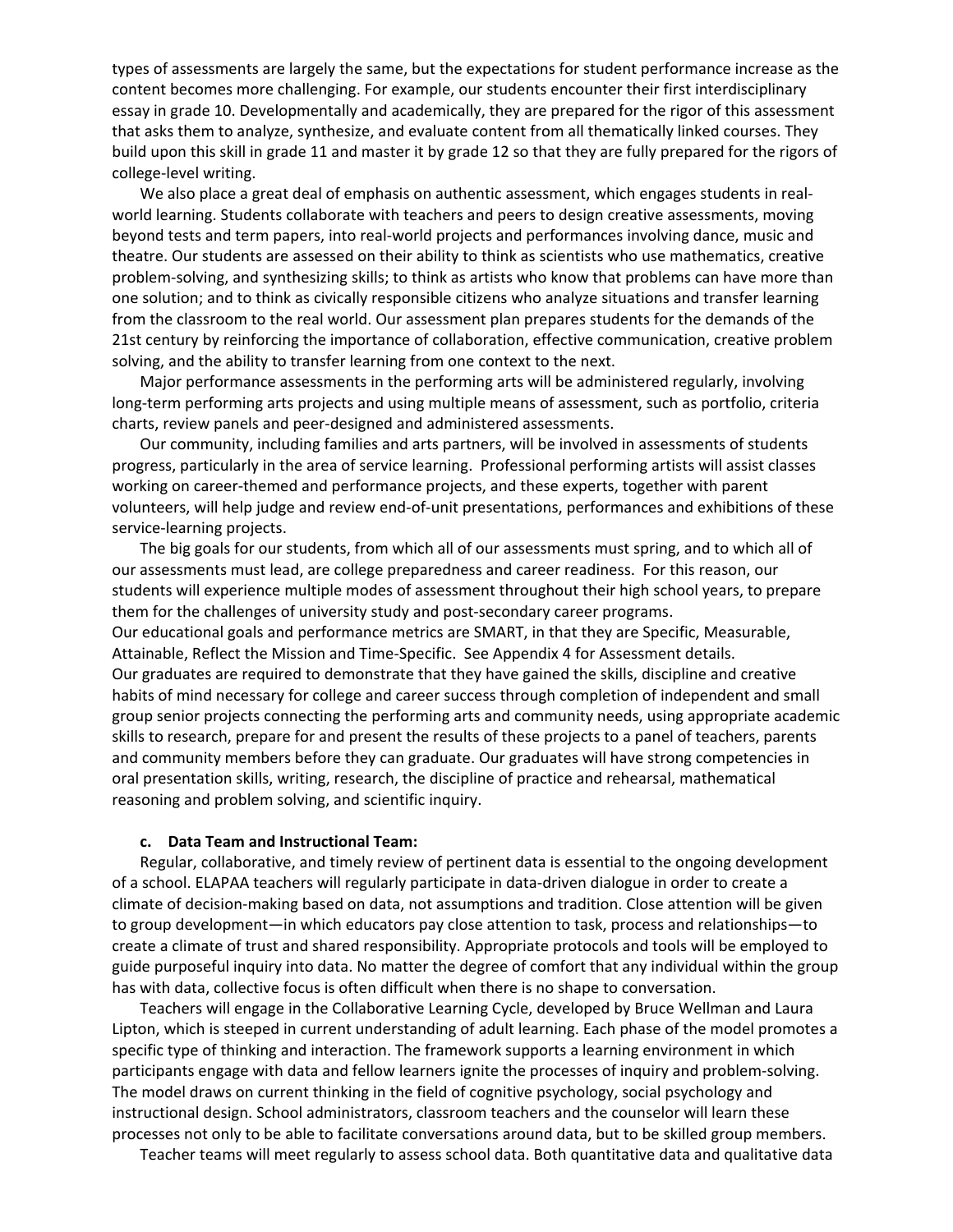types of assessments are largely the same, but the expectations for student performance increase as the content becomes more challenging. For example, our students encounter their first interdisciplinary essay in grade 10. Developmentally and academically, they are prepared for the rigor of this assessment that asks them to analyze, synthesize, and evaluate content from all thematically linked courses. They build upon this skill in grade 11 and master it by grade 12 so that they are fully prepared for the rigors of college‐level writing.

We also place a great deal of emphasis on authentic assessment, which engages students in realworld learning. Students collaborate with teachers and peers to design creative assessments, moving beyond tests and term papers, into real‐world projects and performances involving dance, music and theatre. Our students are assessed on their ability to think as scientists who use mathematics, creative problem‐solving, and synthesizing skills; to think as artists who know that problems can have more than one solution; and to think as civically responsible citizens who analyze situations and transfer learning from the classroom to the real world. Our assessment plan prepares students for the demands of the 21st century by reinforcing the importance of collaboration, effective communication, creative problem solving, and the ability to transfer learning from one context to the next.

Major performance assessments in the performing arts will be administered regularly, involving long-term performing arts projects and using multiple means of assessment, such as portfolio, criteria charts, review panels and peer‐designed and administered assessments.

Our community, including families and arts partners, will be involved in assessments of students progress, particularly in the area of service learning. Professional performing artists will assist classes working on career‐themed and performance projects, and these experts, together with parent volunteers, will help judge and review end‐of‐unit presentations, performances and exhibitions of these service‐learning projects.

The big goals for our students, from which all of our assessments must spring, and to which all of our assessments must lead, are college preparedness and career readiness. For this reason, our students will experience multiple modes of assessment throughout their high school years, to prepare them for the challenges of university study and post‐secondary career programs. Our educational goals and performance metrics are SMART, in that they are Specific, Measurable, Attainable, Reflect the Mission and Time‐Specific. See Appendix 4 for Assessment details. Our graduates are required to demonstrate that they have gained the skills, discipline and creative habits of mind necessary for college and career success through completion of independent and small group senior projects connecting the performing arts and community needs, using appropriate academic skills to research, prepare for and present the results of these projects to a panel of teachers, parents and community members before they can graduate. Our graduates will have strong competencies in oral presentation skills, writing, research, the discipline of practice and rehearsal, mathematical reasoning and problem solving, and scientific inquiry.

#### **c. Data Team and Instructional Team:**

Regular, collaborative, and timely review of pertinent data is essential to the ongoing development of a school. ELAPAA teachers will regularly participate in data‐driven dialogue in order to create a climate of decision‐making based on data, not assumptions and tradition. Close attention will be given to group development—in which educators pay close attention to task, process and relationships—to create a climate of trust and shared responsibility. Appropriate protocols and tools will be employed to guide purposeful inquiry into data. No matter the degree of comfort that any individual within the group has with data, collective focus is often difficult when there is no shape to conversation.

Teachers will engage in the Collaborative Learning Cycle, developed by Bruce Wellman and Laura Lipton, which is steeped in current understanding of adult learning. Each phase of the model promotes a specific type of thinking and interaction. The framework supports a learning environment in which participants engage with data and fellow learners ignite the processes of inquiry and problem‐solving. The model draws on current thinking in the field of cognitive psychology, social psychology and instructional design. School administrators, classroom teachers and the counselor will learn these processes not only to be able to facilitate conversations around data, but to be skilled group members.

Teacher teams will meet regularly to assess school data. Both quantitative data and qualitative data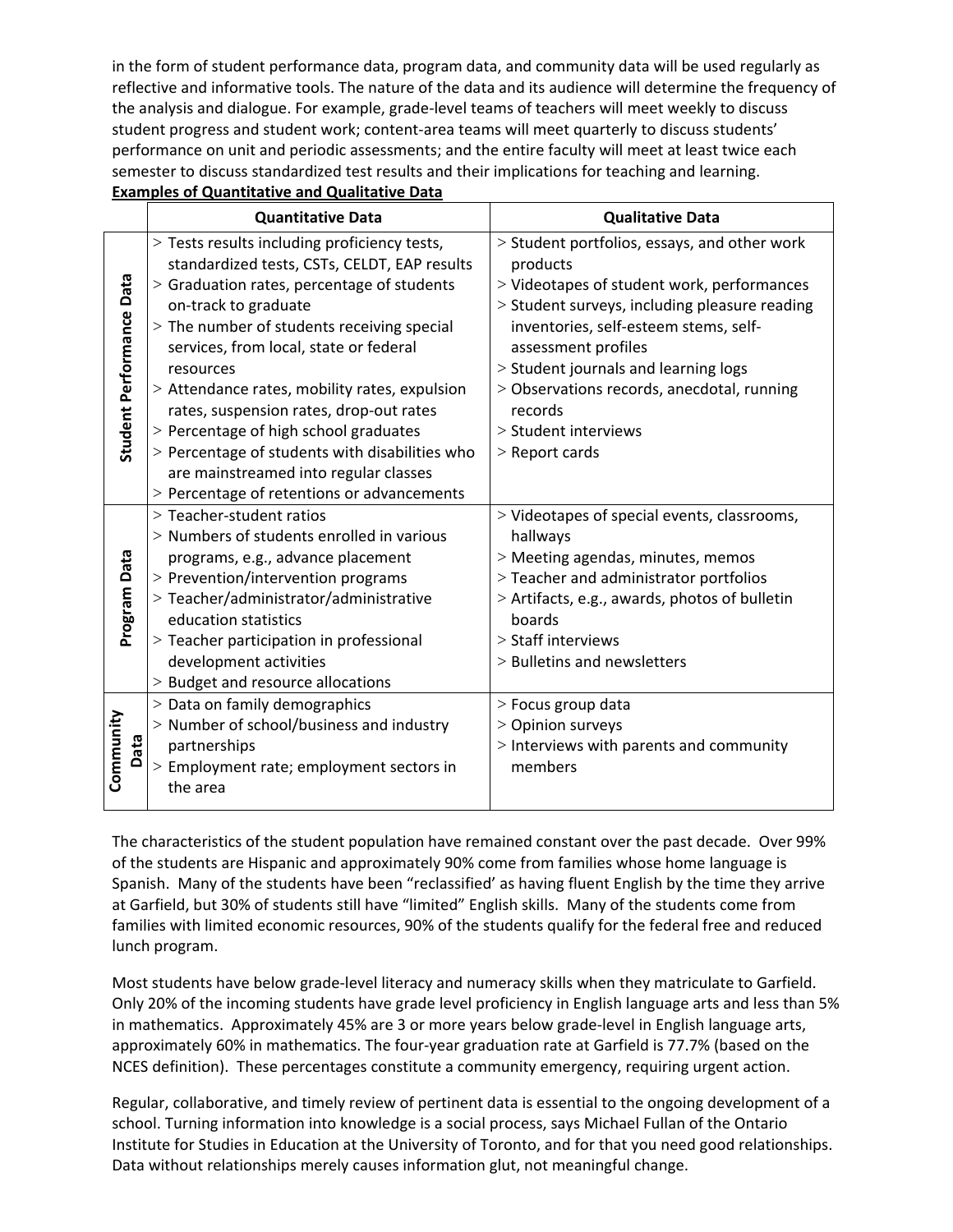in the form of student performance data, program data, and community data will be used regularly as reflective and informative tools. The nature of the data and its audience will determine the frequency of the analysis and dialogue. For example, grade‐level teams of teachers will meet weekly to discuss student progress and student work; content-area teams will meet quarterly to discuss students' performance on unit and periodic assessments; and the entire faculty will meet at least twice each semester to discuss standardized test results and their implications for teaching and learning.

| <b>Examples of Quantitative and Qualitative Data</b> |  |
|------------------------------------------------------|--|
|------------------------------------------------------|--|

|                          | <b>Quantitative Data</b>                                                                     | <b>Qualitative Data</b>                                  |
|--------------------------|----------------------------------------------------------------------------------------------|----------------------------------------------------------|
|                          | > Tests results including proficiency tests,<br>standardized tests, CSTs, CELDT, EAP results | > Student portfolios, essays, and other work<br>products |
|                          | > Graduation rates, percentage of students                                                   | > Videotapes of student work, performances               |
| Student Performance Data | on-track to graduate                                                                         | > Student surveys, including pleasure reading            |
|                          | > The number of students receiving special                                                   | inventories, self-esteem stems, self-                    |
|                          | services, from local, state or federal                                                       | assessment profiles                                      |
|                          | resources                                                                                    | > Student journals and learning logs                     |
|                          | > Attendance rates, mobility rates, expulsion<br>rates, suspension rates, drop-out rates     | > Observations records, anecdotal, running<br>records    |
|                          | > Percentage of high school graduates                                                        | > Student interviews                                     |
|                          | > Percentage of students with disabilities who                                               | $>$ Report cards                                         |
|                          | are mainstreamed into regular classes                                                        |                                                          |
|                          | > Percentage of retentions or advancements                                                   |                                                          |
|                          | > Teacher-student ratios                                                                     | > Videotapes of special events, classrooms,              |
|                          | > Numbers of students enrolled in various                                                    | hallways                                                 |
|                          | programs, e.g., advance placement                                                            | > Meeting agendas, minutes, memos                        |
|                          | > Prevention/intervention programs                                                           | > Teacher and administrator portfolios                   |
| Program Data             | > Teacher/administrator/administrative                                                       | > Artifacts, e.g., awards, photos of bulletin            |
|                          | education statistics                                                                         | boards                                                   |
|                          | > Teacher participation in professional                                                      | > Staff interviews                                       |
|                          | development activities<br>> Budget and resource allocations                                  | > Bulletins and newsletters                              |
|                          | > Data on family demographics                                                                | > Focus group data                                       |
|                          | > Number of school/business and industry                                                     | > Opinion surveys                                        |
| Community                | partnerships                                                                                 | > Interviews with parents and community                  |
| Data                     | > Employment rate; employment sectors in                                                     | members                                                  |
|                          | the area                                                                                     |                                                          |
|                          |                                                                                              |                                                          |

The characteristics of the student population have remained constant over the past decade. Over 99% of the students are Hispanic and approximately 90% come from families whose home language is Spanish. Many of the students have been "reclassified' as having fluent English by the time they arrive at Garfield, but 30% of students still have "limited" English skills. Many of the students come from families with limited economic resources, 90% of the students qualify for the federal free and reduced lunch program.

Most students have below grade‐level literacy and numeracy skills when they matriculate to Garfield. Only 20% of the incoming students have grade level proficiency in English language arts and less than 5% in mathematics. Approximately 45% are 3 or more years below grade‐level in English language arts, approximately 60% in mathematics. The four‐year graduation rate at Garfield is 77.7% (based on the NCES definition). These percentages constitute a community emergency, requiring urgent action.

Regular, collaborative, and timely review of pertinent data is essential to the ongoing development of a school. Turning information into knowledge is a social process, says Michael Fullan of the Ontario Institute for Studies in Education at the University of Toronto, and for that you need good relationships. Data without relationships merely causes information glut, not meaningful change.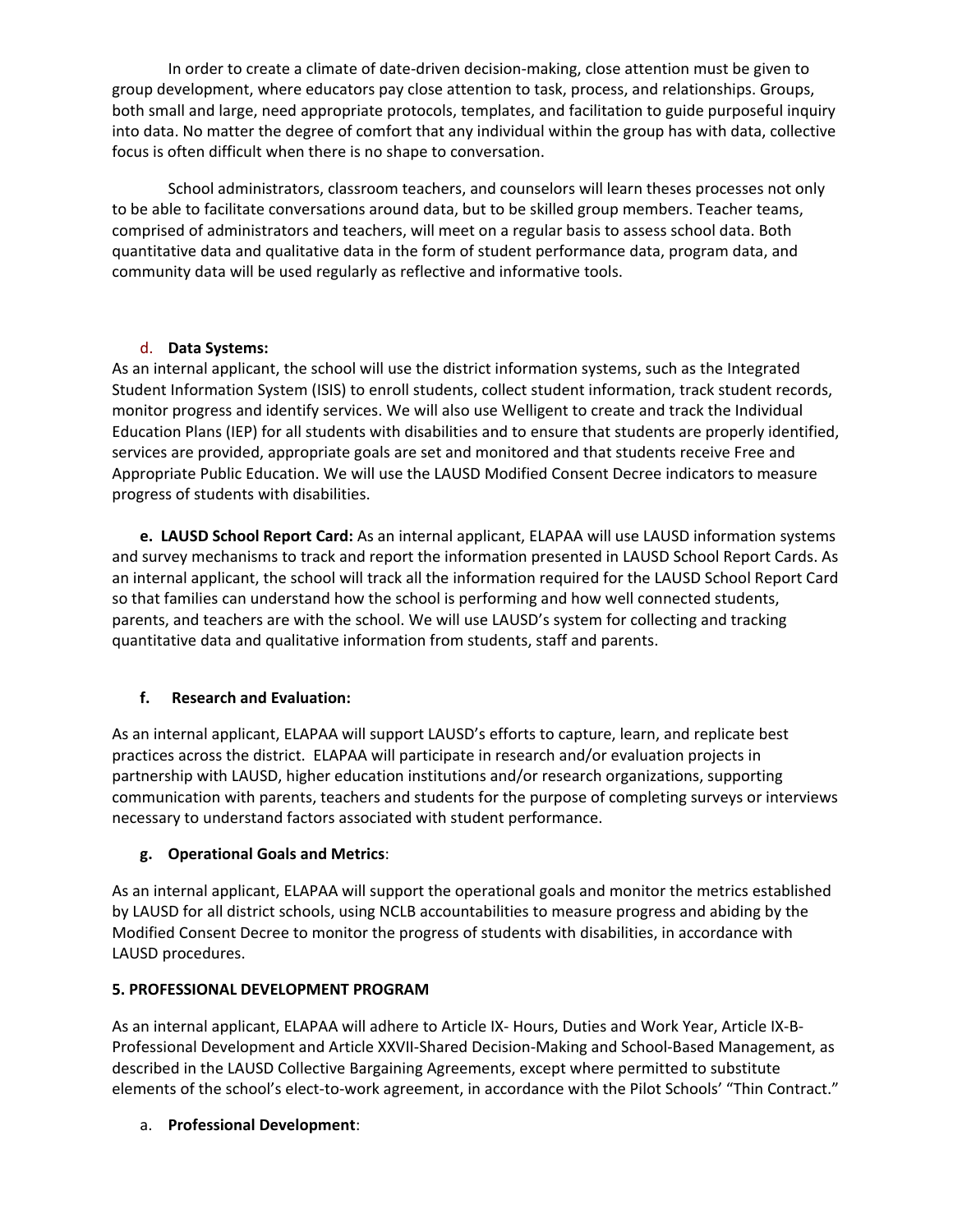In order to create a climate of date-driven decision-making, close attention must be given to group development, where educators pay close attention to task, process, and relationships. Groups, both small and large, need appropriate protocols, templates, and facilitation to guide purposeful inquiry into data. No matter the degree of comfort that any individual within the group has with data, collective focus is often difficult when there is no shape to conversation.

School administrators, classroom teachers, and counselors will learn theses processes not only to be able to facilitate conversations around data, but to be skilled group members. Teacher teams, comprised of administrators and teachers, will meet on a regular basis to assess school data. Both quantitative data and qualitative data in the form of student performance data, program data, and community data will be used regularly as reflective and informative tools.

## d. **Data Systems:**

As an internal applicant, the school will use the district information systems, such as the Integrated Student Information System (ISIS) to enroll students, collect student information, track student records, monitor progress and identify services. We will also use Welligent to create and track the Individual Education Plans (IEP) for all students with disabilities and to ensure that students are properly identified, services are provided, appropriate goals are set and monitored and that students receive Free and Appropriate Public Education. We will use the LAUSD Modified Consent Decree indicators to measure progress of students with disabilities.

**e. LAUSD School Report Card:** As an internal applicant, ELAPAA will use LAUSD information systems and survey mechanisms to track and report the information presented in LAUSD School Report Cards. As an internal applicant, the school will track all the information required for the LAUSD School Report Card so that families can understand how the school is performing and how well connected students, parents, and teachers are with the school. We will use LAUSD's system for collecting and tracking quantitative data and qualitative information from students, staff and parents.

# **f. Research and Evaluation:**

As an internal applicant, ELAPAA will support LAUSD's efforts to capture, learn, and replicate best practices across the district. ELAPAA will participate in research and/or evaluation projects in partnership with LAUSD, higher education institutions and/or research organizations, supporting communication with parents, teachers and students for the purpose of completing surveys or interviews necessary to understand factors associated with student performance.

## **g. Operational Goals and Metrics**:

As an internal applicant, ELAPAA will support the operational goals and monitor the metrics established by LAUSD for all district schools, using NCLB accountabilities to measure progress and abiding by the Modified Consent Decree to monitor the progress of students with disabilities, in accordance with LAUSD procedures.

## **5. PROFESSIONAL DEVELOPMENT PROGRAM**

As an internal applicant, ELAPAA will adhere to Article IX‐ Hours, Duties and Work Year, Article IX‐B‐ Professional Development and Article XXVII‐Shared Decision‐Making and School‐Based Management, as described in the LAUSD Collective Bargaining Agreements, except where permitted to substitute elements of the school's elect-to-work agreement, in accordance with the Pilot Schools' "Thin Contract."

## a. **Professional Development**: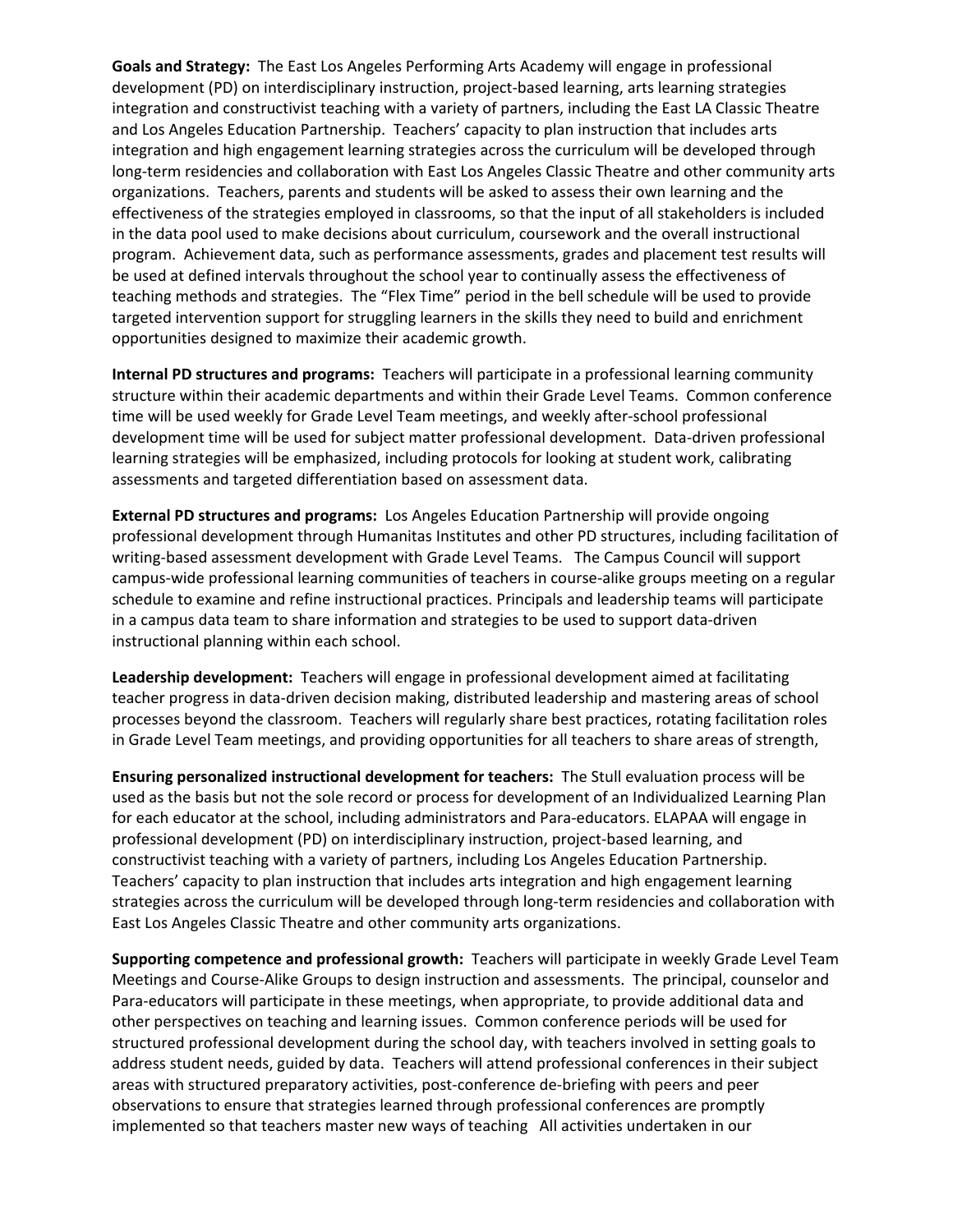**Goals and Strategy:** The East Los Angeles Performing Arts Academy will engage in professional development (PD) on interdisciplinary instruction, project-based learning, arts learning strategies integration and constructivist teaching with a variety of partners, including the East LA Classic Theatre and Los Angeles Education Partnership. Teachers' capacity to plan instruction that includes arts integration and high engagement learning strategies across the curriculum will be developed through long‐term residencies and collaboration with East Los Angeles Classic Theatre and other community arts organizations. Teachers, parents and students will be asked to assess their own learning and the effectiveness of the strategies employed in classrooms, so that the input of all stakeholders is included in the data pool used to make decisions about curriculum, coursework and the overall instructional program. Achievement data, such as performance assessments, grades and placement test results will be used at defined intervals throughout the school year to continually assess the effectiveness of teaching methods and strategies. The "Flex Time" period in the bell schedule will be used to provide targeted intervention support for struggling learners in the skills they need to build and enrichment opportunities designed to maximize their academic growth.

**Internal PD structures and programs:** Teachers will participate in a professional learning community structure within their academic departments and within their Grade Level Teams. Common conference time will be used weekly for Grade Level Team meetings, and weekly after‐school professional development time will be used for subject matter professional development. Data‐driven professional learning strategies will be emphasized, including protocols for looking at student work, calibrating assessments and targeted differentiation based on assessment data.

**External PD structures and programs:** Los Angeles Education Partnership will provide ongoing professional development through Humanitas Institutes and other PD structures, including facilitation of writing-based assessment development with Grade Level Teams. The Campus Council will support campus‐wide professional learning communities of teachers in course‐alike groups meeting on a regular schedule to examine and refine instructional practices. Principals and leadership teams will participate in a campus data team to share information and strategies to be used to support data‐driven instructional planning within each school.

**Leadership development:** Teachers will engage in professional development aimed at facilitating teacher progress in data‐driven decision making, distributed leadership and mastering areas of school processes beyond the classroom. Teachers will regularly share best practices, rotating facilitation roles in Grade Level Team meetings, and providing opportunities for all teachers to share areas of strength,

**Ensuring personalized instructional development for teachers:** The Stull evaluation process will be used as the basis but not the sole record or process for development of an Individualized Learning Plan for each educator at the school, including administrators and Para-educators. ELAPAA will engage in professional development (PD) on interdisciplinary instruction, project-based learning, and constructivist teaching with a variety of partners, including Los Angeles Education Partnership. Teachers' capacity to plan instruction that includes arts integration and high engagement learning strategies across the curriculum will be developed through long‐term residencies and collaboration with East Los Angeles Classic Theatre and other community arts organizations.

**Supporting competence and professional growth:** Teachers will participate in weekly Grade Level Team Meetings and Course‐Alike Groups to design instruction and assessments. The principal, counselor and Para‐educators will participate in these meetings, when appropriate, to provide additional data and other perspectives on teaching and learning issues. Common conference periods will be used for structured professional development during the school day, with teachers involved in setting goals to address student needs, guided by data. Teachers will attend professional conferences in their subject areas with structured preparatory activities, post-conference de-briefing with peers and peer observations to ensure that strategies learned through professional conferences are promptly implemented so that teachers master new ways of teaching All activities undertaken in our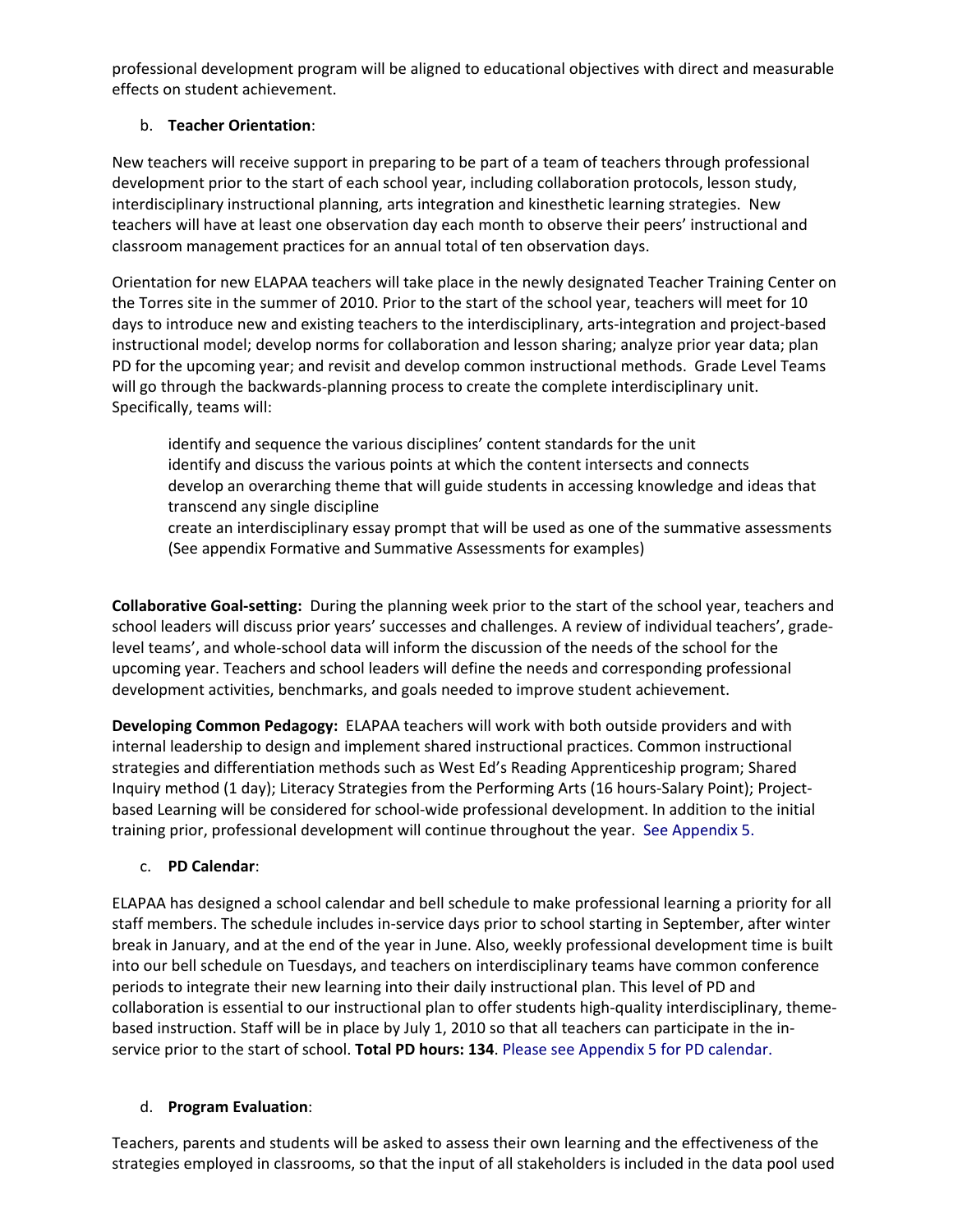professional development program will be aligned to educational objectives with direct and measurable effects on student achievement.

# b. **Teacher Orientation**:

New teachers will receive support in preparing to be part of a team of teachers through professional development prior to the start of each school year, including collaboration protocols, lesson study, interdisciplinary instructional planning, arts integration and kinesthetic learning strategies. New teachers will have at least one observation day each month to observe their peers' instructional and classroom management practices for an annual total of ten observation days.

Orientation for new ELAPAA teachers will take place in the newly designated Teacher Training Center on the Torres site in the summer of 2010. Prior to the start of the school year, teachers will meet for 10 days to introduce new and existing teachers to the interdisciplinary, arts-integration and project-based instructional model; develop norms for collaboration and lesson sharing; analyze prior year data; plan PD for the upcoming year; and revisit and develop common instructional methods. Grade Level Teams will go through the backwards-planning process to create the complete interdisciplinary unit. Specifically, teams will:

identify and sequence the various disciplines' content standards for the unit identify and discuss the various points at which the content intersects and connects develop an overarching theme that will guide students in accessing knowledge and ideas that transcend any single discipline

create an interdisciplinary essay prompt that will be used as one of the summative assessments (See appendix Formative and Summative Assessments for examples)

**Collaborative Goal‐setting:** During the planning week prior to the start of the school year, teachers and school leaders will discuss prior years' successes and challenges. A review of individual teachers', grade‐ level teams', and whole‐school data will inform the discussion of the needs of the school for the upcoming year. Teachers and school leaders will define the needs and corresponding professional development activities, benchmarks, and goals needed to improve student achievement.

**Developing Common Pedagogy:** ELAPAA teachers will work with both outside providers and with internal leadership to design and implement shared instructional practices. Common instructional strategies and differentiation methods such as West Ed's Reading Apprenticeship program; Shared Inquiry method (1 day); Literacy Strategies from the Performing Arts (16 hours‐Salary Point); Project‐ based Learning will be considered for school‐wide professional development. In addition to the initial training prior, professional development will continue throughout the year. See Appendix 5.

# c. **PD Calendar**:

ELAPAA has designed a school calendar and bell schedule to make professional learning a priority for all staff members. The schedule includes in‐service days prior to school starting in September, after winter break in January, and at the end of the year in June. Also, weekly professional development time is built into our bell schedule on Tuesdays, and teachers on interdisciplinary teams have common conference periods to integrate their new learning into their daily instructional plan. This level of PD and collaboration is essential to our instructional plan to offer students high‐quality interdisciplinary, theme‐ based instruction. Staff will be in place by July 1, 2010 so that all teachers can participate in the in‐ service prior to the start of school. **Total PD hours: 134**. Please see Appendix 5 for PD calendar.

# d. **Program Evaluation**:

Teachers, parents and students will be asked to assess their own learning and the effectiveness of the strategies employed in classrooms, so that the input of all stakeholders is included in the data pool used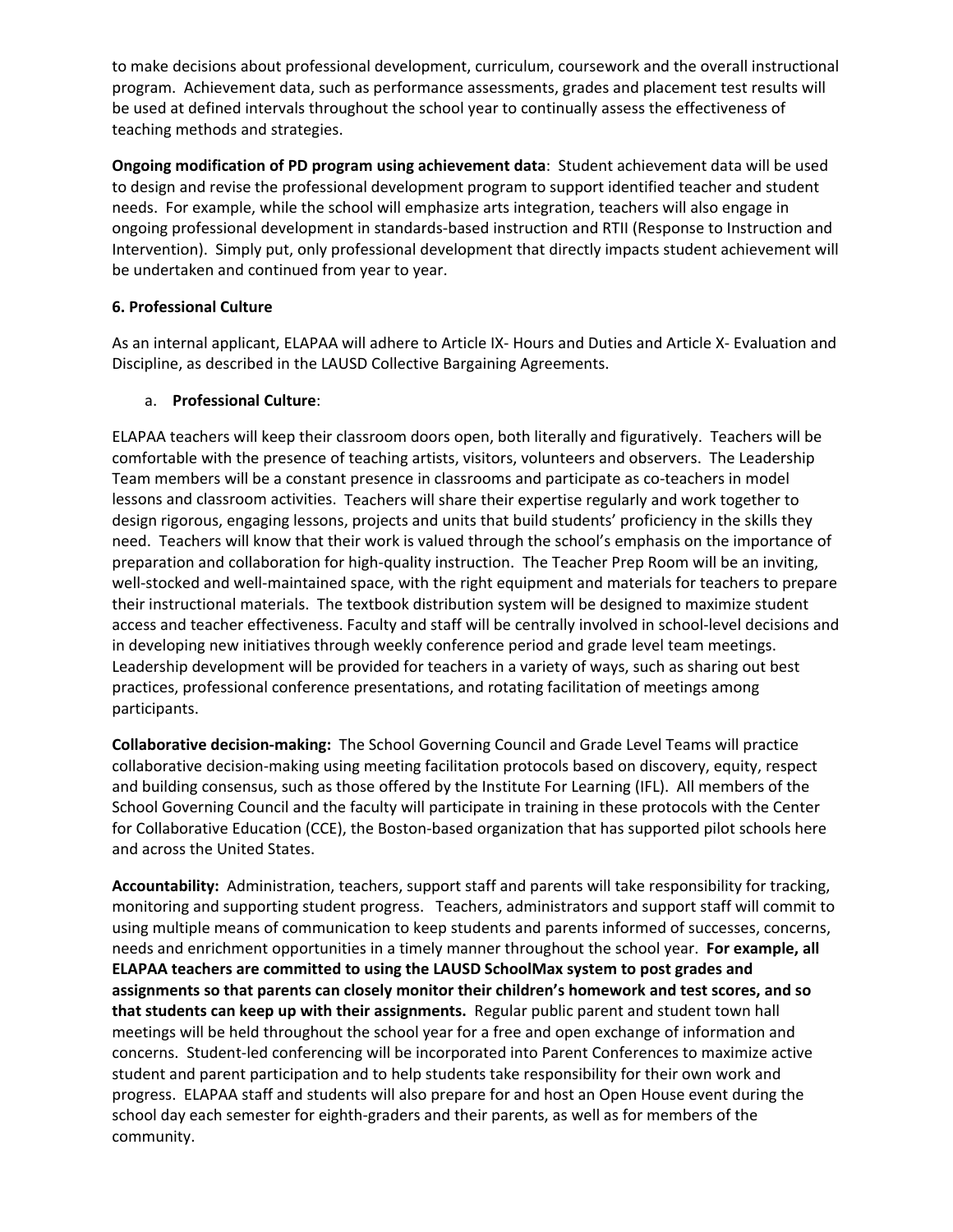to make decisions about professional development, curriculum, coursework and the overall instructional program. Achievement data, such as performance assessments, grades and placement test results will be used at defined intervals throughout the school year to continually assess the effectiveness of teaching methods and strategies.

**Ongoing modification of PD program using achievement data**: Student achievement data will be used to design and revise the professional development program to support identified teacher and student needs. For example, while the school will emphasize arts integration, teachers will also engage in ongoing professional development in standards‐based instruction and RTII (Response to Instruction and Intervention). Simply put, only professional development that directly impacts student achievement will be undertaken and continued from year to year.

# **6. Professional Culture**

As an internal applicant, ELAPAA will adhere to Article IX‐ Hours and Duties and Article X‐ Evaluation and Discipline, as described in the LAUSD Collective Bargaining Agreements.

# a. **Professional Culture**:

ELAPAA teachers will keep their classroom doors open, both literally and figuratively. Teachers will be comfortable with the presence of teaching artists, visitors, volunteers and observers. The Leadership Team members will be a constant presence in classrooms and participate as co-teachers in model lessons and classroom activities. Teachers will share their expertise regularly and work together to design rigorous, engaging lessons, projects and units that build students' proficiency in the skills they need. Teachers will know that their work is valued through the school's emphasis on the importance of preparation and collaboration for high‐quality instruction. The Teacher Prep Room will be an inviting, well-stocked and well-maintained space, with the right equipment and materials for teachers to prepare their instructional materials. The textbook distribution system will be designed to maximize student access and teacher effectiveness. Faculty and staff will be centrally involved in school-level decisions and in developing new initiatives through weekly conference period and grade level team meetings. Leadership development will be provided for teachers in a variety of ways, such as sharing out best practices, professional conference presentations, and rotating facilitation of meetings among participants.

**Collaborative decision‐making:** The School Governing Council and Grade Level Teams will practice collaborative decision‐making using meeting facilitation protocols based on discovery, equity, respect and building consensus, such as those offered by the Institute For Learning (IFL). All members of the School Governing Council and the faculty will participate in training in these protocols with the Center for Collaborative Education (CCE), the Boston-based organization that has supported pilot schools here and across the United States.

**Accountability:** Administration, teachers, support staff and parents will take responsibility for tracking, monitoring and supporting student progress. Teachers, administrators and support staff will commit to using multiple means of communication to keep students and parents informed of successes, concerns, needs and enrichment opportunities in a timely manner throughout the school year. **For example, all ELAPAA teachers are committed to using the LAUSD SchoolMax system to post grades and assignments so that parents can closely monitor their children's homework and test scores, and so that students can keep up with their assignments.** Regular public parent and student town hall meetings will be held throughout the school year for a free and open exchange of information and concerns. Student‐led conferencing will be incorporated into Parent Conferences to maximize active student and parent participation and to help students take responsibility for their own work and progress. ELAPAA staff and students will also prepare for and host an Open House event during the school day each semester for eighth‐graders and their parents, as well as for members of the community.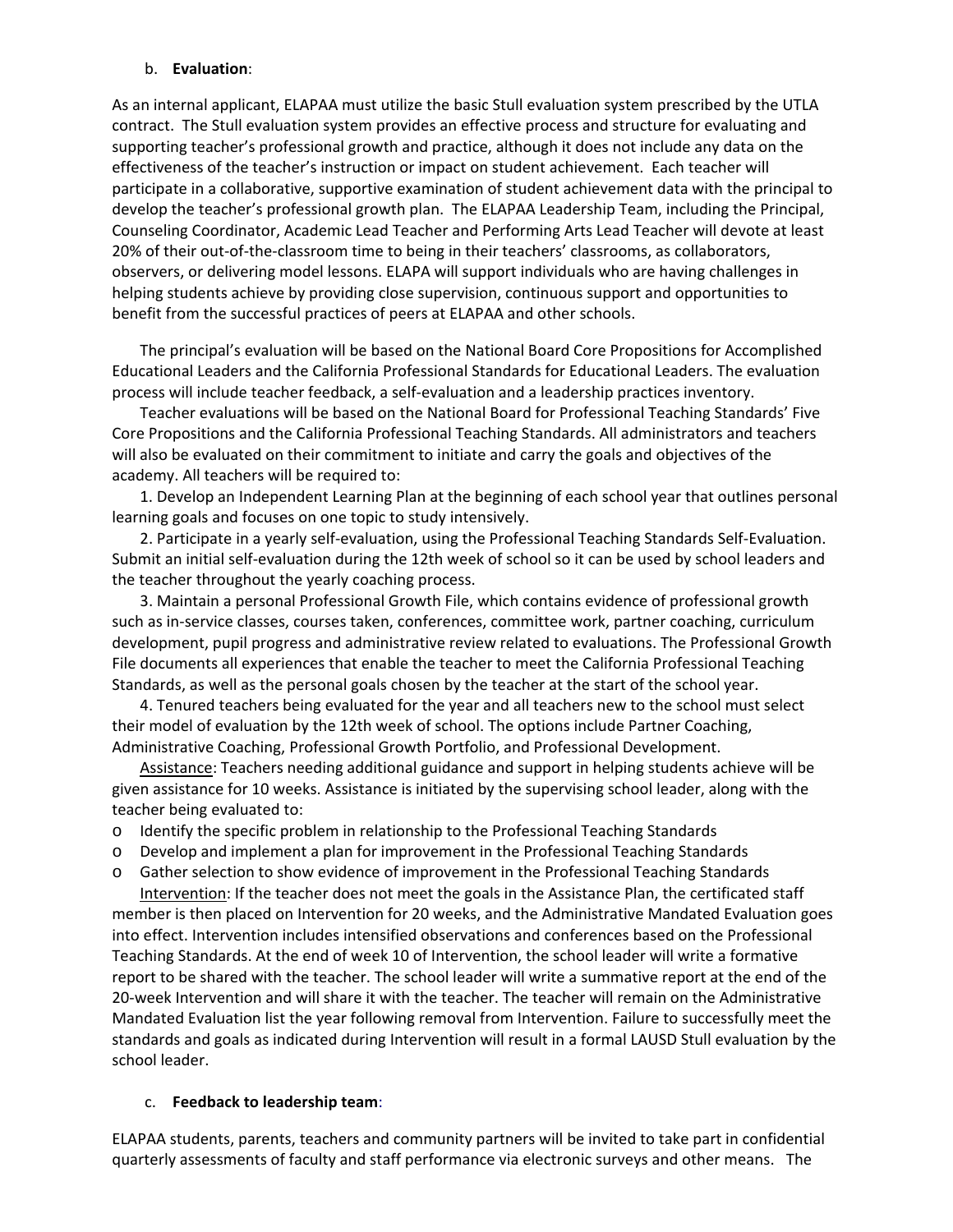## b. **Evaluation**:

As an internal applicant, ELAPAA must utilize the basic Stull evaluation system prescribed by the UTLA contract. The Stull evaluation system provides an effective process and structure for evaluating and supporting teacher's professional growth and practice, although it does not include any data on the effectiveness of the teacher's instruction or impact on student achievement. Each teacher will participate in a collaborative, supportive examination of student achievement data with the principal to develop the teacher's professional growth plan. The ELAPAA Leadership Team, including the Principal, Counseling Coordinator, Academic Lead Teacher and Performing Arts Lead Teacher will devote at least 20% of their out-of-the-classroom time to being in their teachers' classrooms, as collaborators, observers, or delivering model lessons. ELAPA will support individuals who are having challenges in helping students achieve by providing close supervision, continuous support and opportunities to benefit from the successful practices of peers at ELAPAA and other schools.

The principal's evaluation will be based on the National Board Core Propositions for Accomplished Educational Leaders and the California Professional Standards for Educational Leaders. The evaluation process will include teacher feedback, a self‐evaluation and a leadership practices inventory.

Teacher evaluations will be based on the National Board for Professional Teaching Standards' Five Core Propositions and the California Professional Teaching Standards. All administrators and teachers will also be evaluated on their commitment to initiate and carry the goals and objectives of the academy. All teachers will be required to:

1. Develop an Independent Learning Plan at the beginning of each school year that outlines personal learning goals and focuses on one topic to study intensively.

2. Participate in a yearly self‐evaluation, using the Professional Teaching Standards Self‐Evaluation. Submit an initial self‐evaluation during the 12th week of school so it can be used by school leaders and the teacher throughout the yearly coaching process.

3. Maintain a personal Professional Growth File, which contains evidence of professional growth such as in‐service classes, courses taken, conferences, committee work, partner coaching, curriculum development, pupil progress and administrative review related to evaluations. The Professional Growth File documents all experiences that enable the teacher to meet the California Professional Teaching Standards, as well as the personal goals chosen by the teacher at the start of the school year.

4. Tenured teachers being evaluated for the year and all teachers new to the school must select their model of evaluation by the 12th week of school. The options include Partner Coaching, Administrative Coaching, Professional Growth Portfolio, and Professional Development.

Assistance: Teachers needing additional guidance and support in helping students achieve will be given assistance for 10 weeks. Assistance is initiated by the supervising school leader, along with the teacher being evaluated to:

- o Identify the specific problem in relationship to the Professional Teaching Standards
- o Develop and implement a plan for improvement in the Professional Teaching Standards
- o Gather selection to show evidence of improvement in the Professional Teaching Standards

Intervention: If the teacher does not meet the goals in the Assistance Plan, the certificated staff member is then placed on Intervention for 20 weeks, and the Administrative Mandated Evaluation goes into effect. Intervention includes intensified observations and conferences based on the Professional Teaching Standards. At the end of week 10 of Intervention, the school leader will write a formative report to be shared with the teacher. The school leader will write a summative report at the end of the 20‐week Intervention and will share it with the teacher. The teacher will remain on the Administrative Mandated Evaluation list the year following removal from Intervention. Failure to successfully meet the standards and goals as indicated during Intervention will result in a formal LAUSD Stull evaluation by the school leader.

## c. **Feedback to leadership team**:

ELAPAA students, parents, teachers and community partners will be invited to take part in confidential quarterly assessments of faculty and staff performance via electronic surveys and other means. The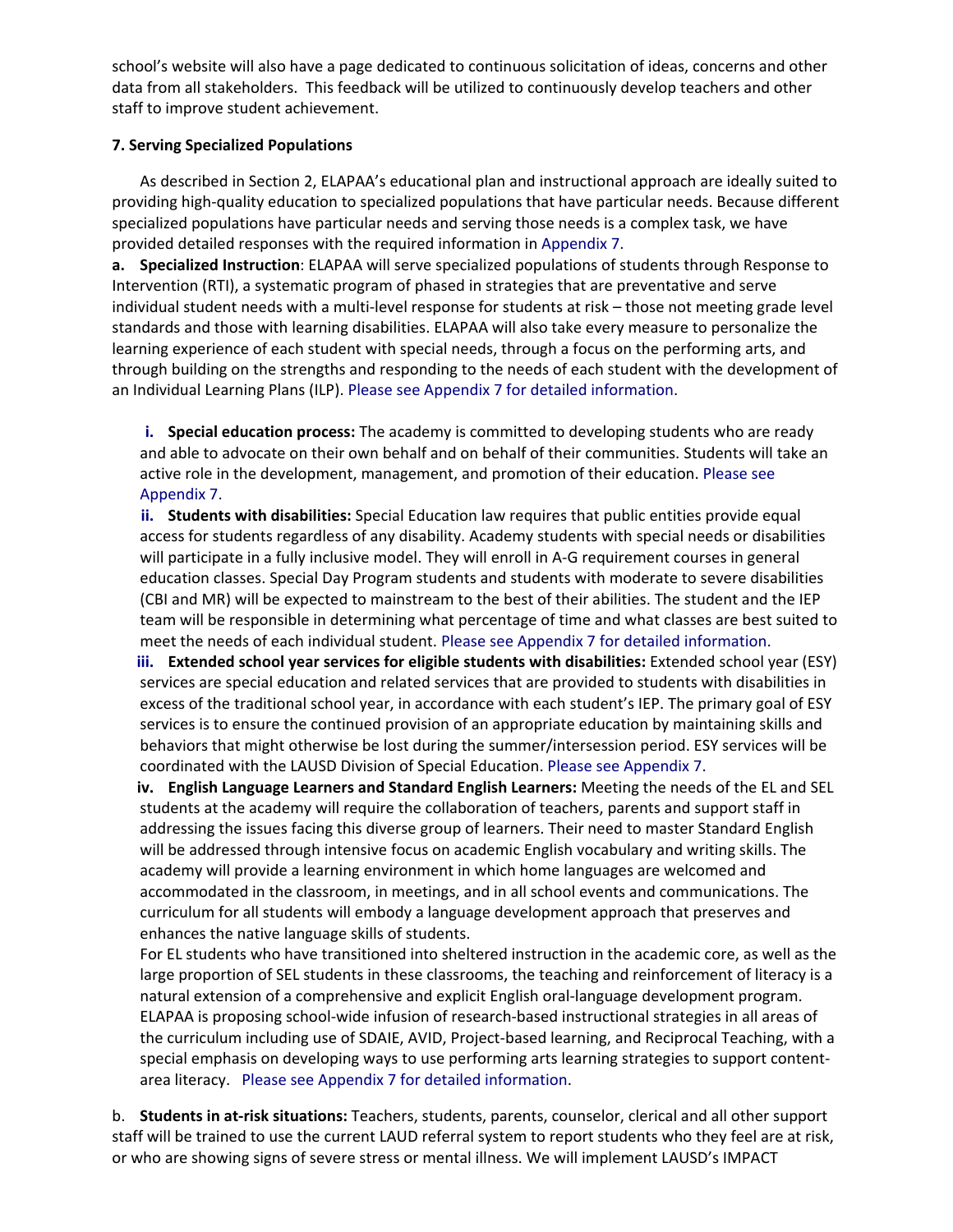school's website will also have a page dedicated to continuous solicitation of ideas, concerns and other data from all stakeholders. This feedback will be utilized to continuously develop teachers and other staff to improve student achievement.

## **7. Serving Specialized Populations**

As described in Section 2, ELAPAA's educational plan and instructional approach are ideally suited to providing high‐quality education to specialized populations that have particular needs. Because different specialized populations have particular needs and serving those needs is a complex task, we have provided detailed responses with the required information in Appendix 7.

**a. Specialized Instruction**: ELAPAA will serve specialized populations of students through Response to Intervention (RTI), a systematic program of phased in strategies that are preventative and serve individual student needs with a multi-level response for students at risk – those not meeting grade level standards and those with learning disabilities. ELAPAA will also take every measure to personalize the learning experience of each student with special needs, through a focus on the performing arts, and through building on the strengths and responding to the needs of each student with the development of an Individual Learning Plans (ILP). Please see Appendix 7 for detailed information.

**i. Special education process:** The academy is committed to developing students who are ready and able to advocate on their own behalf and on behalf of their communities. Students will take an active role in the development, management, and promotion of their education. Please see Appendix 7.

**ii. Students with disabilities:** Special Education law requires that public entities provide equal access for students regardless of any disability. Academy students with special needs or disabilities will participate in a fully inclusive model. They will enroll in A‐G requirement courses in general education classes. Special Day Program students and students with moderate to severe disabilities (CBI and MR) will be expected to mainstream to the best of their abilities. The student and the IEP team will be responsible in determining what percentage of time and what classes are best suited to meet the needs of each individual student. Please see Appendix 7 for detailed information.

**iii. Extended school year services for eligible students with disabilities:** Extended school year (ESY) services are special education and related services that are provided to students with disabilities in excess of the traditional school year, in accordance with each student's IEP. The primary goal of ESY services is to ensure the continued provision of an appropriate education by maintaining skills and behaviors that might otherwise be lost during the summer/intersession period. ESY services will be coordinated with the LAUSD Division of Special Education. Please see Appendix 7.

**iv. English Language Learners and Standard English Learners:** Meeting the needs of the EL and SEL students at the academy will require the collaboration of teachers, parents and support staff in addressing the issues facing this diverse group of learners. Their need to master Standard English will be addressed through intensive focus on academic English vocabulary and writing skills. The academy will provide a learning environment in which home languages are welcomed and accommodated in the classroom, in meetings, and in all school events and communications. The curriculum for all students will embody a language development approach that preserves and enhances the native language skills of students.

For EL students who have transitioned into sheltered instruction in the academic core, as well as the large proportion of SEL students in these classrooms, the teaching and reinforcement of literacy is a natural extension of a comprehensive and explicit English oral‐language development program. ELAPAA is proposing school‐wide infusion of research‐based instructional strategies in all areas of the curriculum including use of SDAIE, AVID, Project‐based learning, and Reciprocal Teaching, with a special emphasis on developing ways to use performing arts learning strategies to support content‐ area literacy. Please see Appendix 7 for detailed information.

b. **Students in at‐risk situations:** Teachers, students, parents, counselor, clerical and all other support staff will be trained to use the current LAUD referral system to report students who they feel are at risk, or who are showing signs of severe stress or mental illness. We will implement LAUSD's IMPACT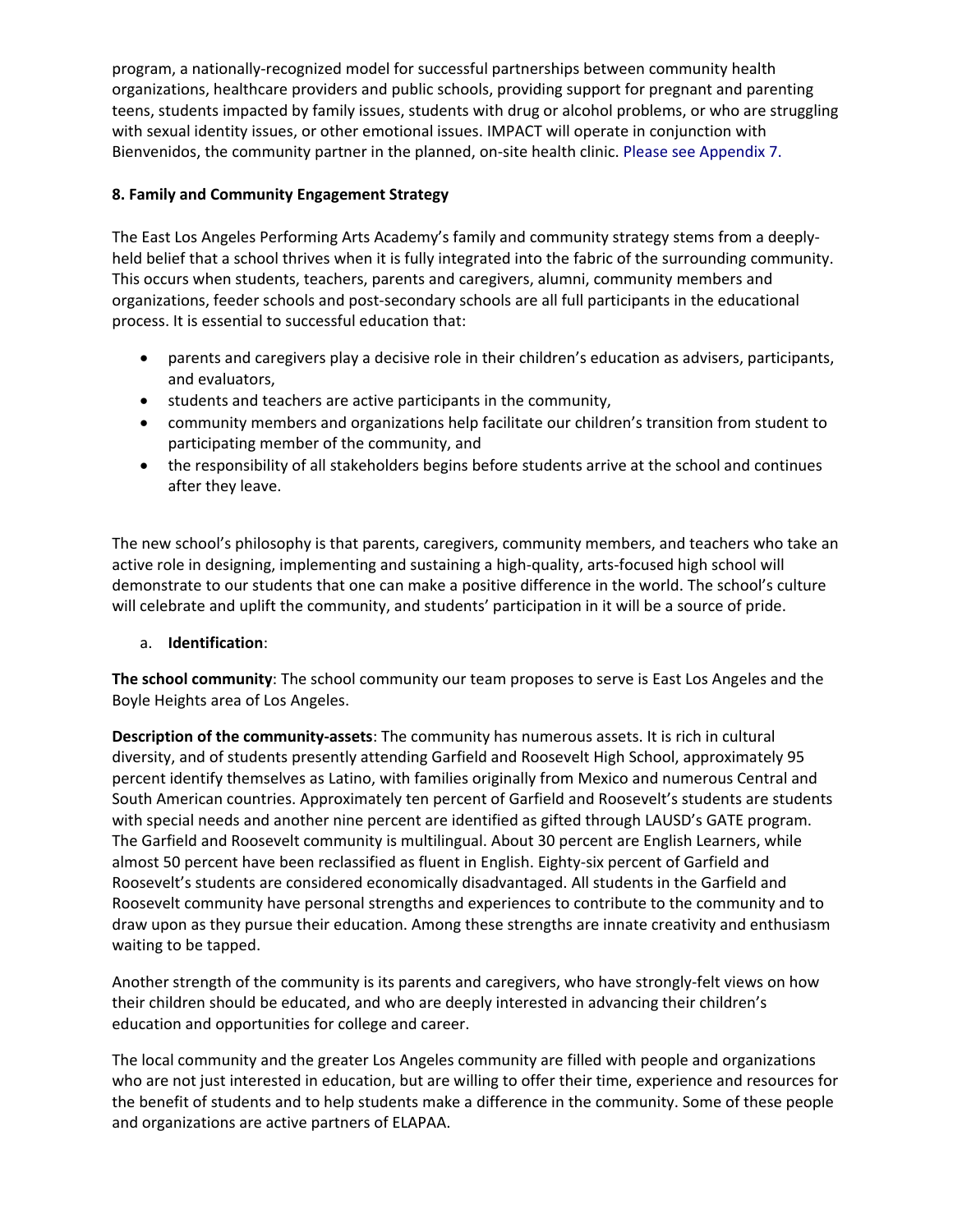program, a nationally‐recognized model for successful partnerships between community health organizations, healthcare providers and public schools, providing support for pregnant and parenting teens, students impacted by family issues, students with drug or alcohol problems, or who are struggling with sexual identity issues, or other emotional issues. IMPACT will operate in conjunction with Bienvenidos, the community partner in the planned, on-site health clinic. Please see Appendix 7.

## **8. Family and Community Engagement Strategy**

The East Los Angeles Performing Arts Academy's family and community strategy stems from a deeply‐ held belief that a school thrives when it is fully integrated into the fabric of the surrounding community. This occurs when students, teachers, parents and caregivers, alumni, community members and organizations, feeder schools and post‐secondary schools are all full participants in the educational process. It is essential to successful education that:

- parents and caregivers play a decisive role in their children's education as advisers, participants, and evaluators,
- students and teachers are active participants in the community,
- community members and organizations help facilitate our children's transition from student to participating member of the community, and
- the responsibility of all stakeholders begins before students arrive at the school and continues after they leave.

The new school's philosophy is that parents, caregivers, community members, and teachers who take an active role in designing, implementing and sustaining a high‐quality, arts‐focused high school will demonstrate to our students that one can make a positive difference in the world. The school's culture will celebrate and uplift the community, and students' participation in it will be a source of pride.

## a. **Identification**:

**The school community**: The school community our team proposes to serve is East Los Angeles and the Boyle Heights area of Los Angeles.

**Description of the community‐assets**: The community has numerous assets. It is rich in cultural diversity, and of students presently attending Garfield and Roosevelt High School, approximately 95 percent identify themselves as Latino, with families originally from Mexico and numerous Central and South American countries. Approximately ten percent of Garfield and Roosevelt's students are students with special needs and another nine percent are identified as gifted through LAUSD's GATE program. The Garfield and Roosevelt community is multilingual. About 30 percent are English Learners, while almost 50 percent have been reclassified as fluent in English. Eighty-six percent of Garfield and Roosevelt's students are considered economically disadvantaged. All students in the Garfield and Roosevelt community have personal strengths and experiences to contribute to the community and to draw upon as they pursue their education. Among these strengths are innate creativity and enthusiasm waiting to be tapped.

Another strength of the community is its parents and caregivers, who have strongly‐felt views on how their children should be educated, and who are deeply interested in advancing their children's education and opportunities for college and career.

The local community and the greater Los Angeles community are filled with people and organizations who are not just interested in education, but are willing to offer their time, experience and resources for the benefit of students and to help students make a difference in the community. Some of these people and organizations are active partners of ELAPAA.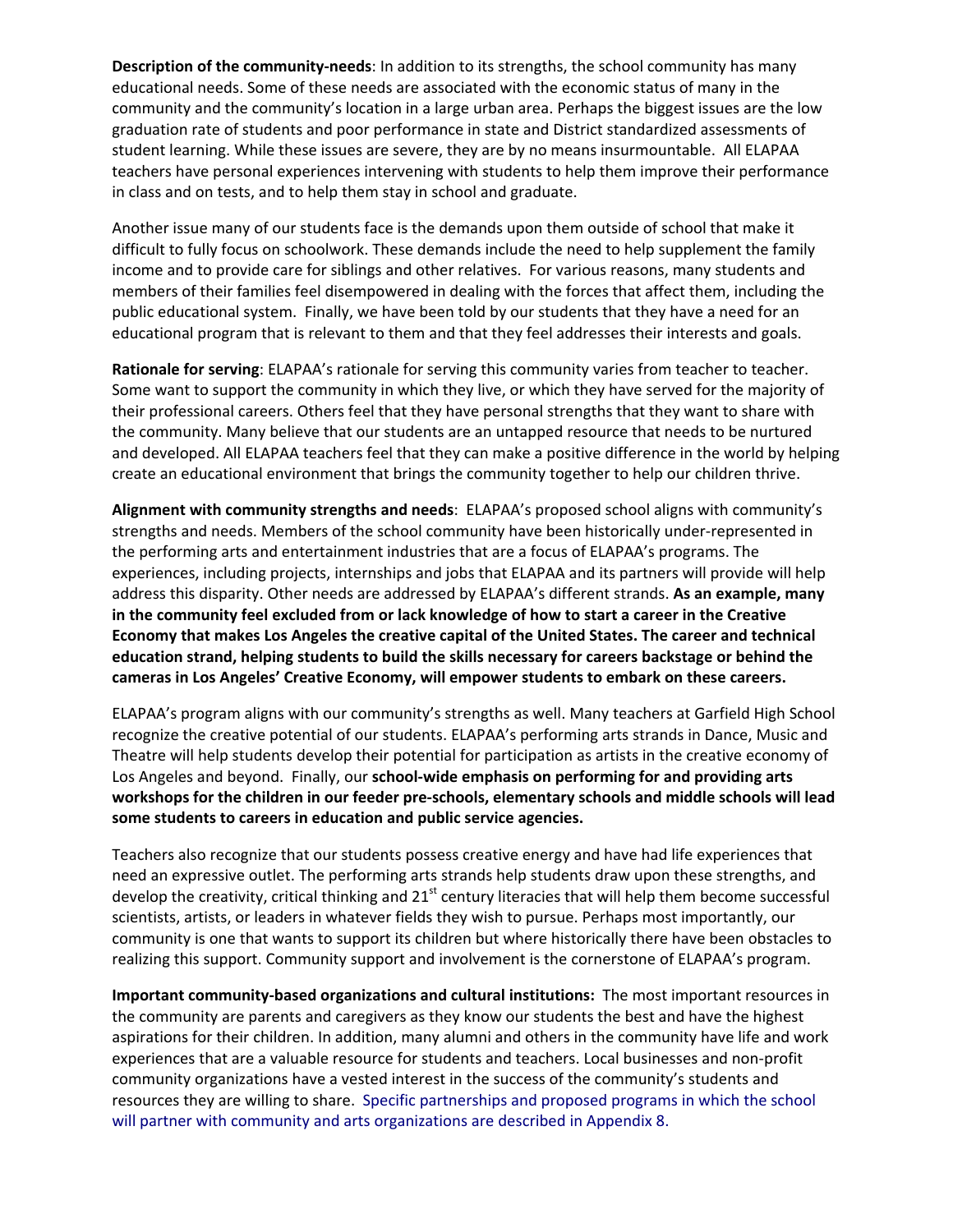**Description of the community‐needs**: In addition to its strengths, the school community has many educational needs. Some of these needs are associated with the economic status of many in the community and the community's location in a large urban area. Perhaps the biggest issues are the low graduation rate of students and poor performance in state and District standardized assessments of student learning. While these issues are severe, they are by no means insurmountable. All ELAPAA teachers have personal experiences intervening with students to help them improve their performance in class and on tests, and to help them stay in school and graduate.

Another issue many of our students face is the demands upon them outside of school that make it difficult to fully focus on schoolwork. These demands include the need to help supplement the family income and to provide care for siblings and other relatives. For various reasons, many students and members of their families feel disempowered in dealing with the forces that affect them, including the public educational system. Finally, we have been told by our students that they have a need for an educational program that is relevant to them and that they feel addresses their interests and goals.

**Rationale for serving**: ELAPAA's rationale for serving this community varies from teacher to teacher. Some want to support the community in which they live, or which they have served for the majority of their professional careers. Others feel that they have personal strengths that they want to share with the community. Many believe that our students are an untapped resource that needs to be nurtured and developed. All ELAPAA teachers feel that they can make a positive difference in the world by helping create an educational environment that brings the community together to help our children thrive.

**Alignment with community strengths and needs**: ELAPAA's proposed school aligns with community's strengths and needs. Members of the school community have been historically under-represented in the performing arts and entertainment industries that are a focus of ELAPAA's programs. The experiences, including projects, internships and jobs that ELAPAA and its partners will provide will help address this disparity. Other needs are addressed by ELAPAA's different strands. **As an example, many in the community feel excluded from or lack knowledge of how to start a career in the Creative Economy that makes Los Angeles the creative capital of the United States. The career and technical education strand, helping students to build the skills necessary for careers backstage or behind the cameras in Los Angeles' Creative Economy, will empower students to embark on these careers.** 

ELAPAA's program aligns with our community's strengths as well. Many teachers at Garfield High School recognize the creative potential of our students. ELAPAA's performing arts strands in Dance, Music and Theatre will help students develop their potential for participation as artists in the creative economy of Los Angeles and beyond. Finally, our **school‐wide emphasis on performing for and providing arts workshops for the children in our feeder pre‐schools, elementary schools and middle schools will lead some students to careers in education and public service agencies.**

Teachers also recognize that our students possess creative energy and have had life experiences that need an expressive outlet. The performing arts strands help students draw upon these strengths, and develop the creativity, critical thinking and  $21^{st}$  century literacies that will help them become successful scientists, artists, or leaders in whatever fields they wish to pursue. Perhaps most importantly, our community is one that wants to support its children but where historically there have been obstacles to realizing this support. Community support and involvement is the cornerstone of ELAPAA's program.

**Important community‐based organizations and cultural institutions:** The most important resources in the community are parents and caregivers as they know our students the best and have the highest aspirations for their children. In addition, many alumni and others in the community have life and work experiences that are a valuable resource for students and teachers. Local businesses and non‐profit community organizations have a vested interest in the success of the community's students and resources they are willing to share. Specific partnerships and proposed programs in which the school will partner with community and arts organizations are described in Appendix 8.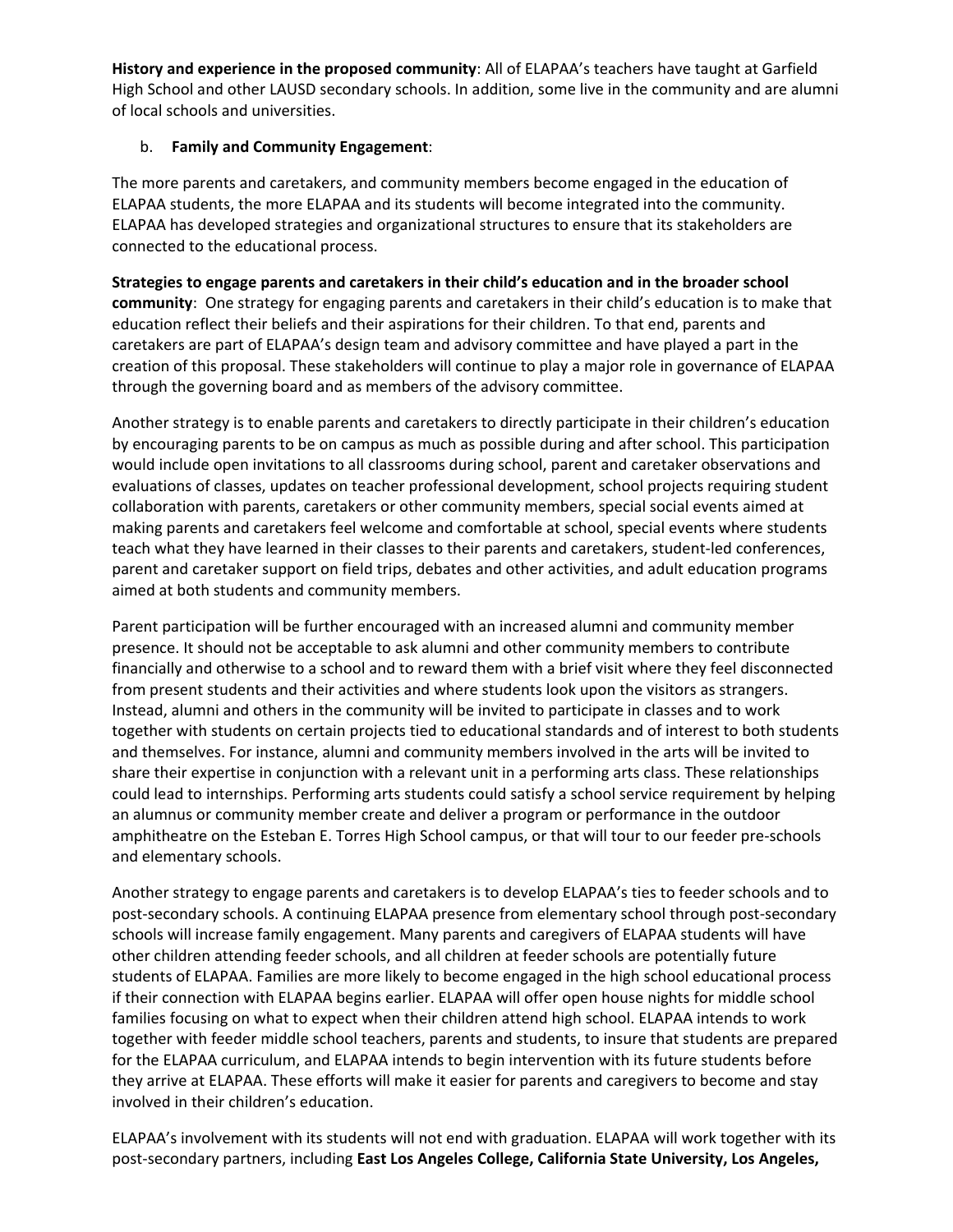**History and experience in the proposed community**: All of ELAPAA's teachers have taught at Garfield High School and other LAUSD secondary schools. In addition, some live in the community and are alumni of local schools and universities.

## b. **Family and Community Engagement**:

The more parents and caretakers, and community members become engaged in the education of ELAPAA students, the more ELAPAA and its students will become integrated into the community. ELAPAA has developed strategies and organizational structures to ensure that its stakeholders are connected to the educational process.

**Strategies to engage parents and caretakers in their child's education and in the broader school community**: One strategy for engaging parents and caretakers in their child's education is to make that education reflect their beliefs and their aspirations for their children. To that end, parents and caretakers are part of ELAPAA's design team and advisory committee and have played a part in the creation of this proposal. These stakeholders will continue to play a major role in governance of ELAPAA through the governing board and as members of the advisory committee.

Another strategy is to enable parents and caretakers to directly participate in their children's education by encouraging parents to be on campus as much as possible during and after school. This participation would include open invitations to all classrooms during school, parent and caretaker observations and evaluations of classes, updates on teacher professional development, school projects requiring student collaboration with parents, caretakers or other community members, special social events aimed at making parents and caretakers feel welcome and comfortable at school, special events where students teach what they have learned in their classes to their parents and caretakers, student‐led conferences, parent and caretaker support on field trips, debates and other activities, and adult education programs aimed at both students and community members.

Parent participation will be further encouraged with an increased alumni and community member presence. It should not be acceptable to ask alumni and other community members to contribute financially and otherwise to a school and to reward them with a brief visit where they feel disconnected from present students and their activities and where students look upon the visitors as strangers. Instead, alumni and others in the community will be invited to participate in classes and to work together with students on certain projects tied to educational standards and of interest to both students and themselves. For instance, alumni and community members involved in the arts will be invited to share their expertise in conjunction with a relevant unit in a performing arts class. These relationships could lead to internships. Performing arts students could satisfy a school service requirement by helping an alumnus or community member create and deliver a program or performance in the outdoor amphitheatre on the Esteban E. Torres High School campus, or that will tour to our feeder pre‐schools and elementary schools.

Another strategy to engage parents and caretakers is to develop ELAPAA's ties to feeder schools and to post-secondary schools. A continuing ELAPAA presence from elementary school through post-secondary schools will increase family engagement. Many parents and caregivers of ELAPAA students will have other children attending feeder schools, and all children at feeder schools are potentially future students of ELAPAA. Families are more likely to become engaged in the high school educational process if their connection with ELAPAA begins earlier. ELAPAA will offer open house nights for middle school families focusing on what to expect when their children attend high school. ELAPAA intends to work together with feeder middle school teachers, parents and students, to insure that students are prepared for the ELAPAA curriculum, and ELAPAA intends to begin intervention with its future students before they arrive at ELAPAA. These efforts will make it easier for parents and caregivers to become and stay involved in their children's education.

ELAPAA's involvement with its students will not end with graduation. ELAPAA will work together with its post‐secondary partners, including **East Los Angeles College, California State University, Los Angeles,**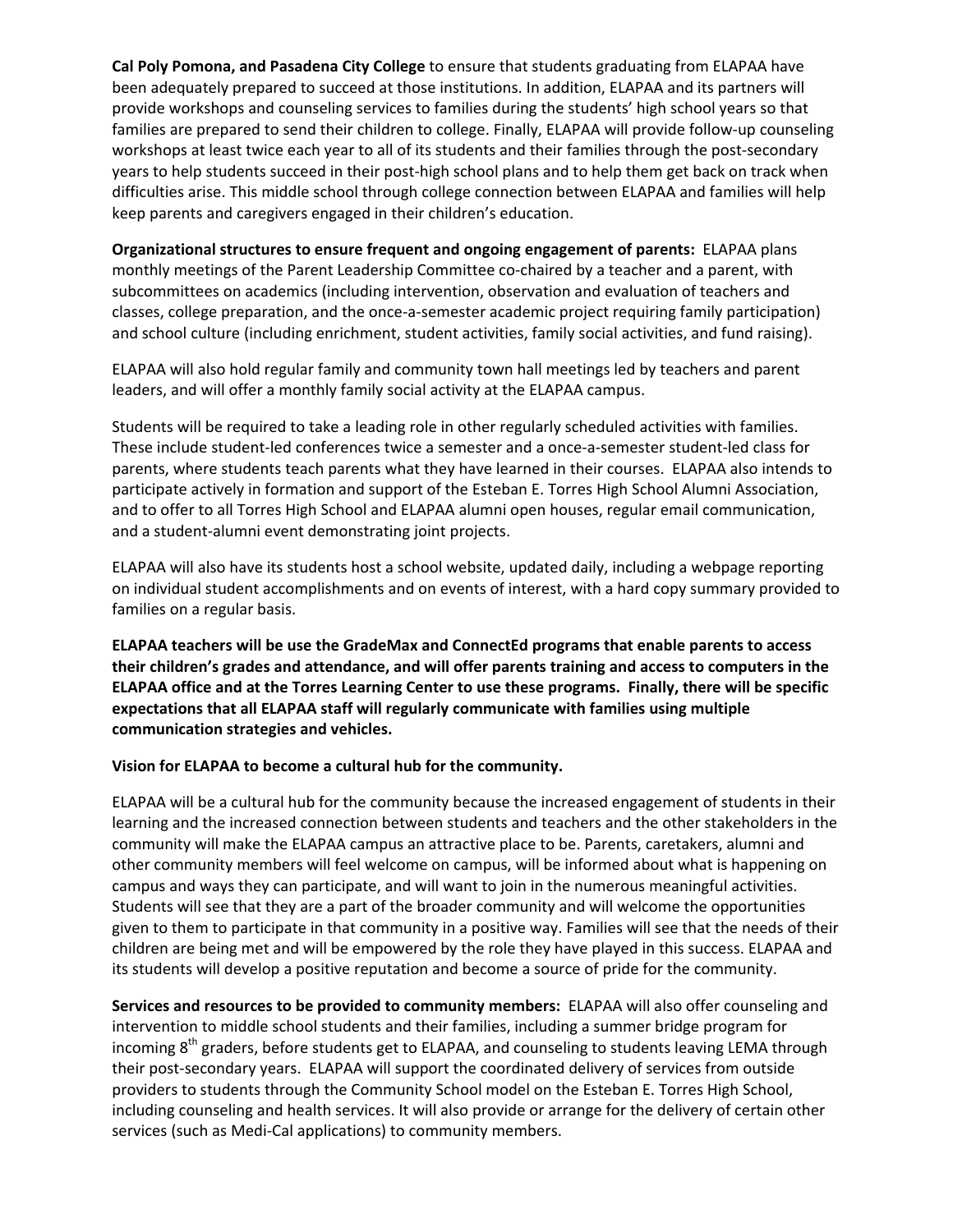**Cal Poly Pomona, and Pasadena City College** to ensure that students graduating from ELAPAA have been adequately prepared to succeed at those institutions. In addition, ELAPAA and its partners will provide workshops and counseling services to families during the students' high school years so that families are prepared to send their children to college. Finally, ELAPAA will provide follow‐up counseling workshops at least twice each year to all of its students and their families through the post-secondary years to help students succeed in their post-high school plans and to help them get back on track when difficulties arise. This middle school through college connection between ELAPAA and families will help keep parents and caregivers engaged in their children's education.

**Organizational structures to ensure frequent and ongoing engagement of parents:** ELAPAA plans monthly meetings of the Parent Leadership Committee co-chaired by a teacher and a parent, with subcommittees on academics (including intervention, observation and evaluation of teachers and classes, college preparation, and the once‐a‐semester academic project requiring family participation) and school culture (including enrichment, student activities, family social activities, and fund raising).

ELAPAA will also hold regular family and community town hall meetings led by teachers and parent leaders, and will offer a monthly family social activity at the ELAPAA campus.

Students will be required to take a leading role in other regularly scheduled activities with families. These include student‐led conferences twice a semester and a once‐a‐semester student‐led class for parents, where students teach parents what they have learned in their courses. ELAPAA also intends to participate actively in formation and support of the Esteban E. Torres High School Alumni Association, and to offer to all Torres High School and ELAPAA alumni open houses, regular email communication, and a student‐alumni event demonstrating joint projects.

ELAPAA will also have its students host a school website, updated daily, including a webpage reporting on individual student accomplishments and on events of interest, with a hard copy summary provided to families on a regular basis.

**ELAPAA teachers will be use the GradeMax and ConnectEd programs that enable parents to access their children's grades and attendance, and will offer parents training and access to computers in the** ELAPAA office and at the Torres Learning Center to use these programs. Finally, there will be specific **expectations that all ELAPAA staff will regularly communicate with families using multiple communication strategies and vehicles.**

**Vision for ELAPAA to become a cultural hub for the community.** 

ELAPAA will be a cultural hub for the community because the increased engagement of students in their learning and the increased connection between students and teachers and the other stakeholders in the community will make the ELAPAA campus an attractive place to be. Parents, caretakers, alumni and other community members will feel welcome on campus, will be informed about what is happening on campus and ways they can participate, and will want to join in the numerous meaningful activities. Students will see that they are a part of the broader community and will welcome the opportunities given to them to participate in that community in a positive way. Families will see that the needs of their children are being met and will be empowered by the role they have played in this success. ELAPAA and its students will develop a positive reputation and become a source of pride for the community.

**Services and resources to be provided to community members:** ELAPAA will also offer counseling and intervention to middle school students and their families, including a summer bridge program for incoming 8<sup>th</sup> graders, before students get to ELAPAA, and counseling to students leaving LEMA through their post‐secondary years. ELAPAA will support the coordinated delivery of services from outside providers to students through the Community School model on the Esteban E. Torres High School, including counseling and health services. It will also provide or arrange for the delivery of certain other services (such as Medi-Cal applications) to community members.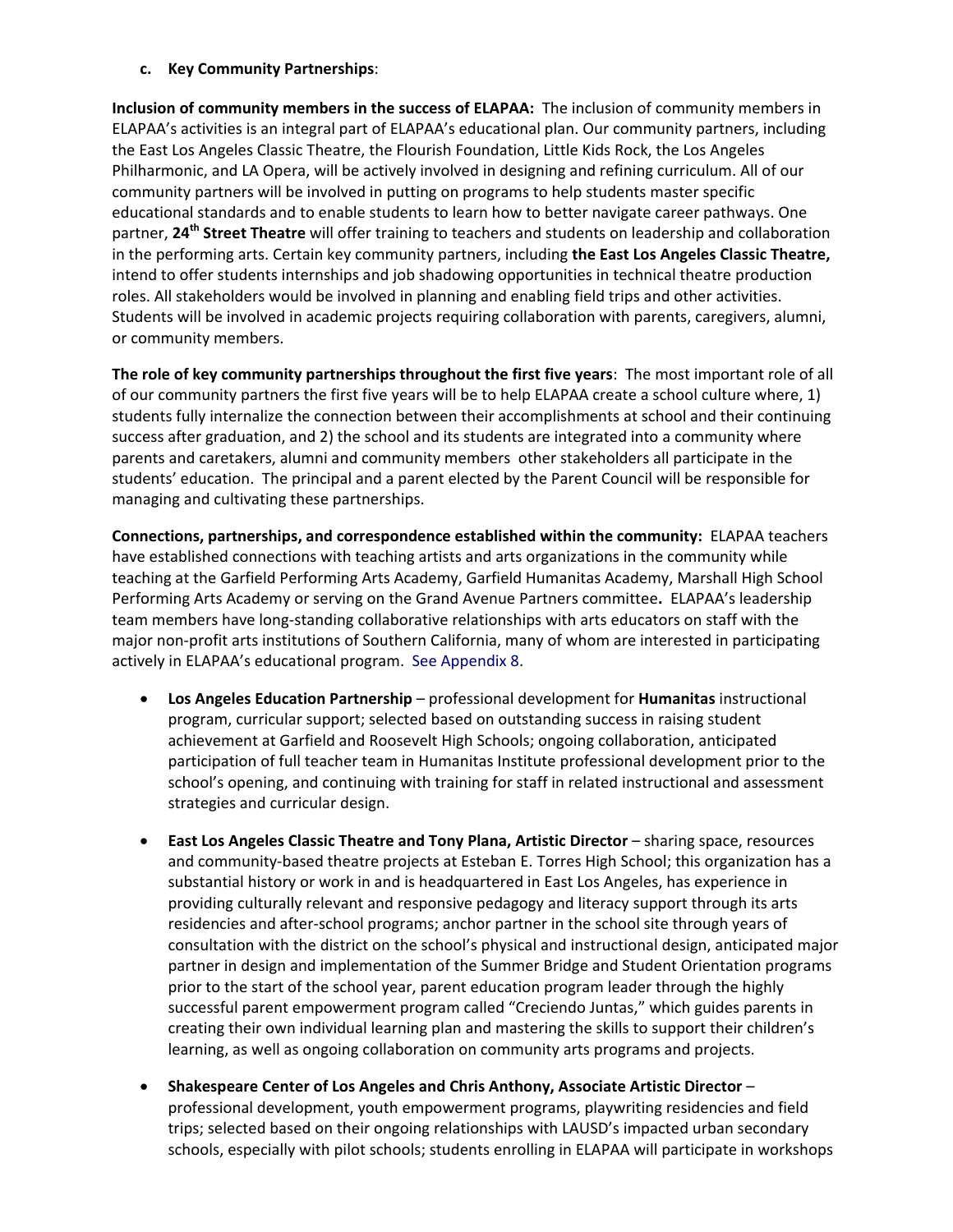## **c. Key Community Partnerships**:

**Inclusion of community members in the success of ELAPAA:** The inclusion of community members in ELAPAA's activities is an integral part of ELAPAA's educational plan. Our community partners, including the East Los Angeles Classic Theatre, the Flourish Foundation, Little Kids Rock, the Los Angeles Philharmonic, and LA Opera, will be actively involved in designing and refining curriculum. All of our community partners will be involved in putting on programs to help students master specific educational standards and to enable students to learn how to better navigate career pathways. One partner, **24th Street Theatre** will offer training to teachers and students on leadership and collaboration in the performing arts. Certain key community partners, including **the East Los Angeles Classic Theatre,** intend to offer students internships and job shadowing opportunities in technical theatre production roles. All stakeholders would be involved in planning and enabling field trips and other activities. Students will be involved in academic projects requiring collaboration with parents, caregivers, alumni, or community members.

**The role of key community partnerships throughout the first five years**: The most important role of all of our community partners the first five years will be to help ELAPAA create a school culture where, 1) students fully internalize the connection between their accomplishments at school and their continuing success after graduation, and 2) the school and its students are integrated into a community where parents and caretakers, alumni and community members other stakeholders all participate in the students' education. The principal and a parent elected by the Parent Council will be responsible for managing and cultivating these partnerships.

**Connections, partnerships, and correspondence established within the community:** ELAPAA teachers have established connections with teaching artists and arts organizations in the community while teaching at the Garfield Performing Arts Academy, Garfield Humanitas Academy, Marshall High School Performing Arts Academy or serving on the Grand Avenue Partners committee**.** ELAPAA's leadership team members have long‐standing collaborative relationships with arts educators on staff with the major non‐profit arts institutions of Southern California, many of whom are interested in participating actively in ELAPAA's educational program. See Appendix 8.

- **Los Angeles Education Partnership** professional development for **Humanitas** instructional program, curricular support; selected based on outstanding success in raising student achievement at Garfield and Roosevelt High Schools; ongoing collaboration, anticipated participation of full teacher team in Humanitas Institute professional development prior to the school's opening, and continuing with training for staff in related instructional and assessment strategies and curricular design.
- **East Los Angeles Classic Theatre and Tony Plana, Artistic Director** sharing space, resources and community‐based theatre projects at Esteban E. Torres High School; this organization has a substantial history or work in and is headquartered in East Los Angeles, has experience in providing culturally relevant and responsive pedagogy and literacy support through its arts residencies and after‐school programs; anchor partner in the school site through years of consultation with the district on the school's physical and instructional design, anticipated major partner in design and implementation of the Summer Bridge and Student Orientation programs prior to the start of the school year, parent education program leader through the highly successful parent empowerment program called "Creciendo Juntas," which guides parents in creating their own individual learning plan and mastering the skills to support their children's learning, as well as ongoing collaboration on community arts programs and projects.
- **Shakespeare Center of Los Angeles and Chris Anthony, Associate Artistic Director** professional development, youth empowerment programs, playwriting residencies and field trips; selected based on their ongoing relationships with LAUSD's impacted urban secondary schools, especially with pilot schools; students enrolling in ELAPAA will participate in workshops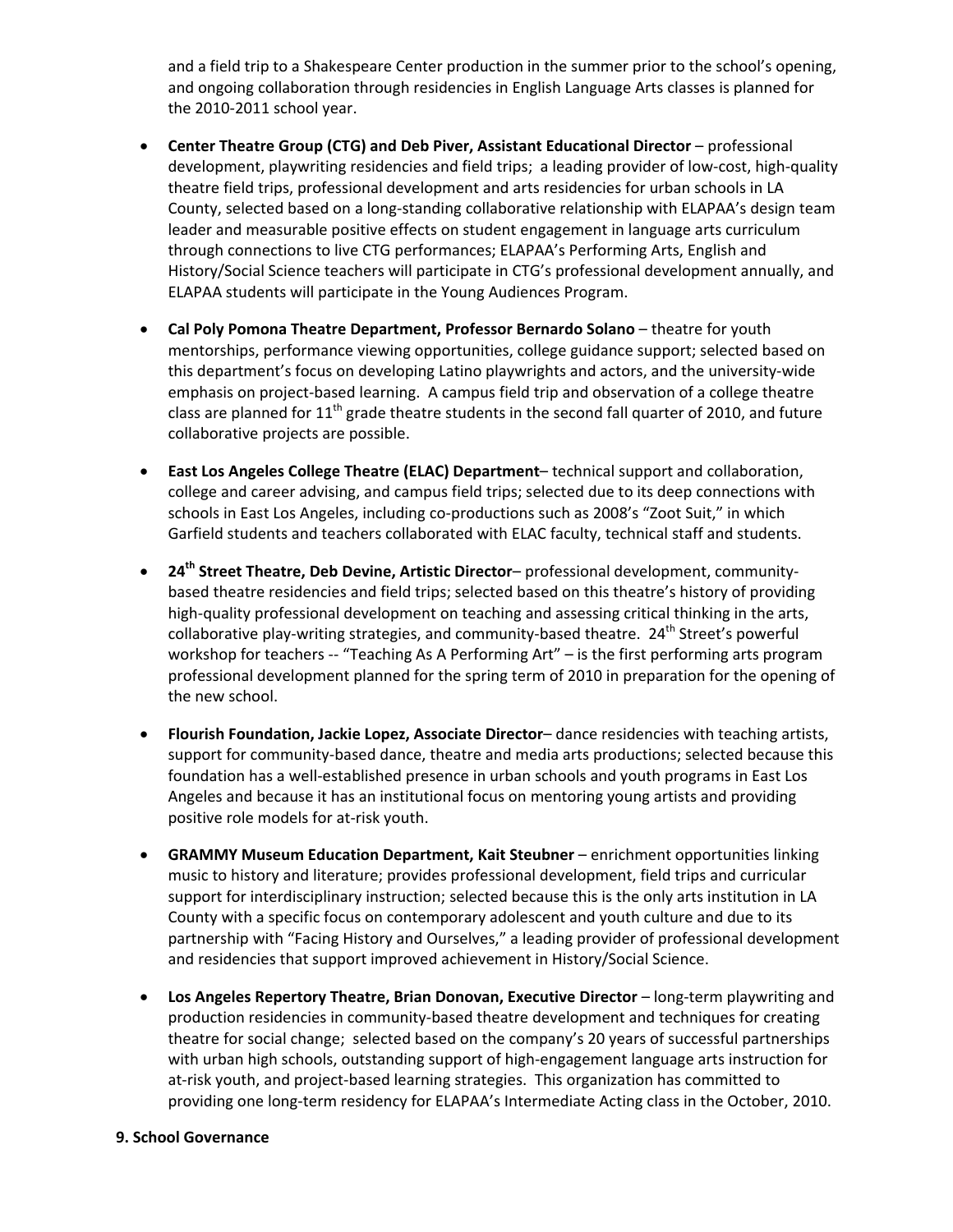and a field trip to a Shakespeare Center production in the summer prior to the school's opening, and ongoing collaboration through residencies in English Language Arts classes is planned for the 2010‐2011 school year.

- **Center Theatre Group (CTG) and Deb Piver, Assistant Educational Director** professional development, playwriting residencies and field trips; a leading provider of low‐cost, high‐quality theatre field trips, professional development and arts residencies for urban schools in LA County, selected based on a long-standing collaborative relationship with ELAPAA's design team leader and measurable positive effects on student engagement in language arts curriculum through connections to live CTG performances; ELAPAA's Performing Arts, English and History/Social Science teachers will participate in CTG's professional development annually, and ELAPAA students will participate in the Young Audiences Program.
- **Cal Poly Pomona Theatre Department, Professor Bernardo Solano** theatre for youth mentorships, performance viewing opportunities, college guidance support; selected based on this department's focus on developing Latino playwrights and actors, and the university‐wide emphasis on project-based learning. A campus field trip and observation of a college theatre class are planned for  $11<sup>th</sup>$  grade theatre students in the second fall quarter of 2010, and future collaborative projects are possible.
- **East Los Angeles College Theatre (ELAC) Department** technical support and collaboration, college and career advising, and campus field trips; selected due to its deep connections with schools in East Los Angeles, including co-productions such as 2008's "Zoot Suit," in which Garfield students and teachers collaborated with ELAC faculty, technical staff and students.
- **24th Street Theatre, Deb Devine, Artistic Director** professional development, community‐ based theatre residencies and field trips; selected based on this theatre's history of providing high-quality professional development on teaching and assessing critical thinking in the arts, collaborative play-writing strategies, and community-based theatre. 24<sup>th</sup> Street's powerful workshop for teachers -- "Teaching As A Performing Art" – is the first performing arts program professional development planned for the spring term of 2010 in preparation for the opening of the new school.
- **Flourish Foundation, Jackie Lopez, Associate Director** dance residencies with teaching artists, support for community-based dance, theatre and media arts productions; selected because this foundation has a well‐established presence in urban schools and youth programs in East Los Angeles and because it has an institutional focus on mentoring young artists and providing positive role models for at‐risk youth.
- **GRAMMY Museum Education Department, Kait Steubner** enrichment opportunities linking music to history and literature; provides professional development, field trips and curricular support for interdisciplinary instruction; selected because this is the only arts institution in LA County with a specific focus on contemporary adolescent and youth culture and due to its partnership with "Facing History and Ourselves," a leading provider of professional development and residencies that support improved achievement in History/Social Science.
- **Los Angeles Repertory Theatre, Brian Donovan, Executive Director** long‐term playwriting and production residencies in community‐based theatre development and techniques for creating theatre for social change; selected based on the company's 20 years of successful partnerships with urban high schools, outstanding support of high‐engagement language arts instruction for at-risk youth, and project-based learning strategies. This organization has committed to providing one long-term residency for ELAPAA's Intermediate Acting class in the October, 2010.

#### **9. School Governance**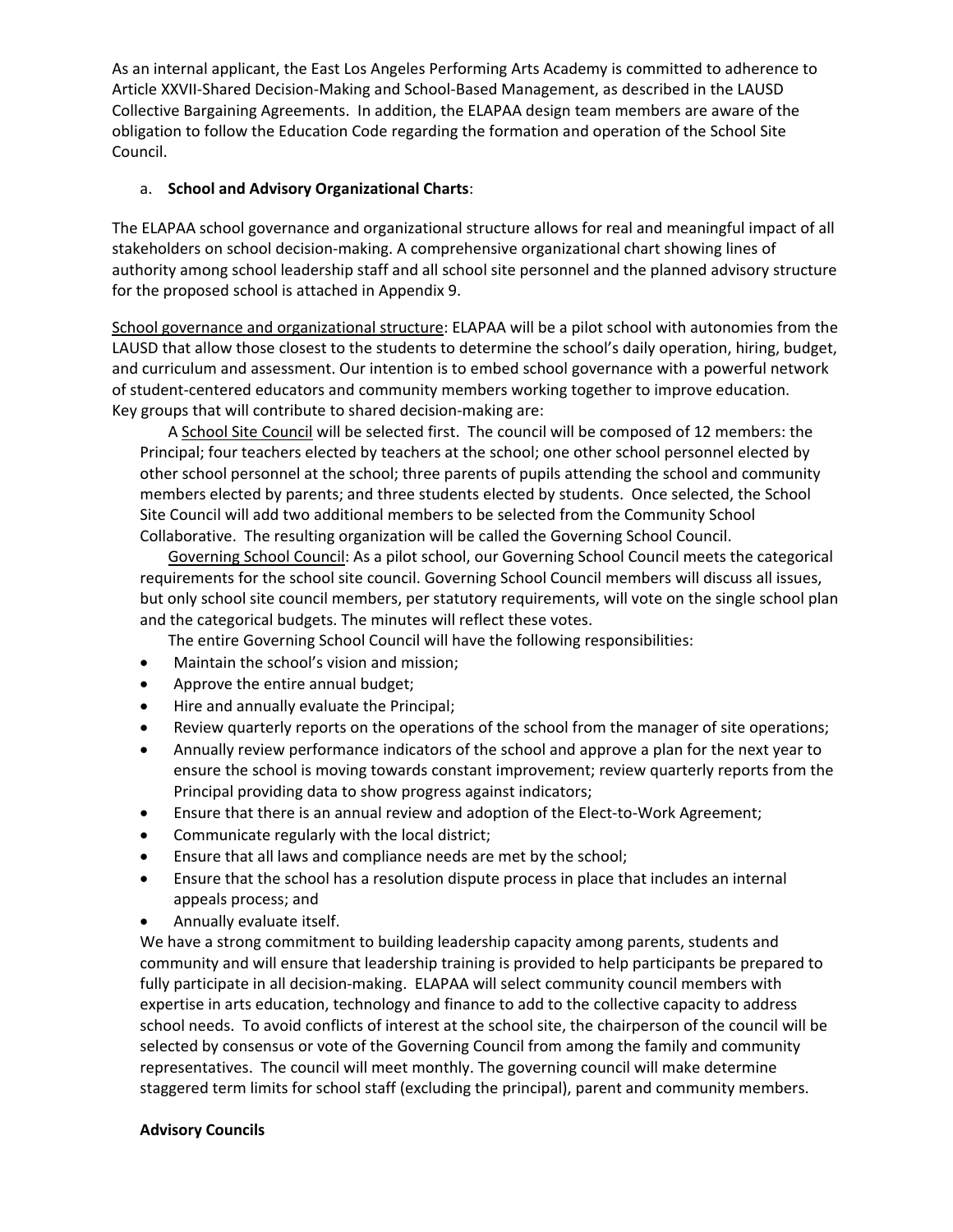As an internal applicant, the East Los Angeles Performing Arts Academy is committed to adherence to Article XXVII‐Shared Decision‐Making and School‐Based Management, as described in the LAUSD Collective Bargaining Agreements. In addition, the ELAPAA design team members are aware of the obligation to follow the Education Code regarding the formation and operation of the School Site Council.

# a. **School and Advisory Organizational Charts**:

The ELAPAA school governance and organizational structure allows for real and meaningful impact of all stakeholders on school decision‐making. A comprehensive organizational chart showing lines of authority among school leadership staff and all school site personnel and the planned advisory structure for the proposed school is attached in Appendix 9.

School governance and organizational structure: ELAPAA will be a pilot school with autonomies from the LAUSD that allow those closest to the students to determine the school's daily operation, hiring, budget, and curriculum and assessment. Our intention is to embed school governance with a powerful network of student‐centered educators and community members working together to improve education. Key groups that will contribute to shared decision‐making are:

A School Site Council will be selected first. The council will be composed of 12 members: the Principal; four teachers elected by teachers at the school; one other school personnel elected by other school personnel at the school; three parents of pupils attending the school and community members elected by parents; and three students elected by students. Once selected, the School Site Council will add two additional members to be selected from the Community School Collaborative. The resulting organization will be called the Governing School Council.

Governing School Council: As a pilot school, our Governing School Council meets the categorical requirements for the school site council. Governing School Council members will discuss all issues, but only school site council members, per statutory requirements, will vote on the single school plan and the categorical budgets. The minutes will reflect these votes.

- The entire Governing School Council will have the following responsibilities:
- Maintain the school's vision and mission;
- Approve the entire annual budget;
- Hire and annually evaluate the Principal;
- Review quarterly reports on the operations of the school from the manager of site operations;
- Annually review performance indicators of the school and approve a plan for the next year to ensure the school is moving towards constant improvement; review quarterly reports from the Principal providing data to show progress against indicators;
- Ensure that there is an annual review and adoption of the Elect-to-Work Agreement;
- Communicate regularly with the local district;
- Ensure that all laws and compliance needs are met by the school;
- Ensure that the school has a resolution dispute process in place that includes an internal appeals process; and
- Annually evaluate itself.

We have a strong commitment to building leadership capacity among parents, students and community and will ensure that leadership training is provided to help participants be prepared to fully participate in all decision-making. ELAPAA will select community council members with expertise in arts education, technology and finance to add to the collective capacity to address school needs. To avoid conflicts of interest at the school site, the chairperson of the council will be selected by consensus or vote of the Governing Council from among the family and community representatives. The council will meet monthly. The governing council will make determine staggered term limits for school staff (excluding the principal), parent and community members.

# **Advisory Councils**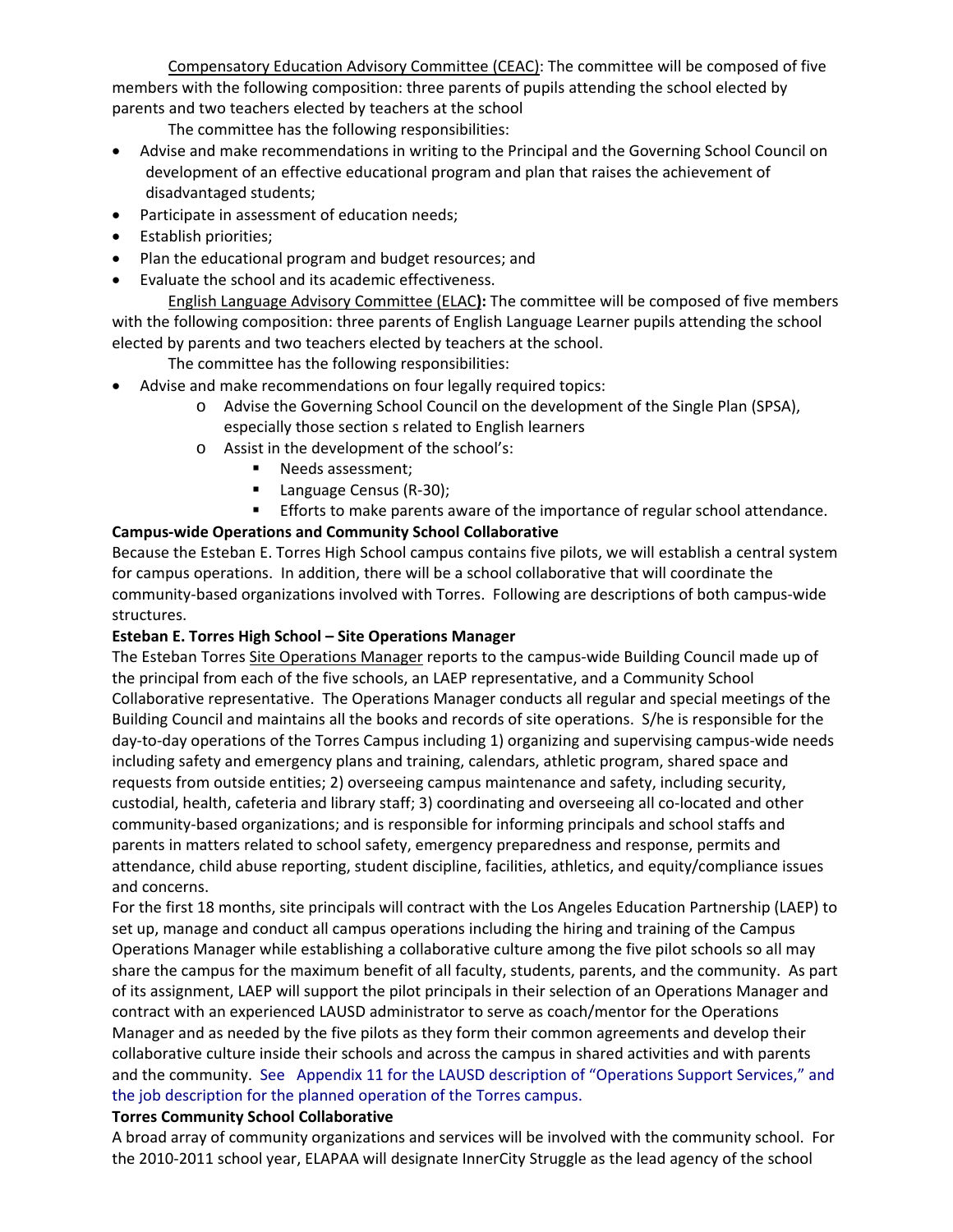Compensatory Education Advisory Committee (CEAC): The committee will be composed of five members with the following composition: three parents of pupils attending the school elected by parents and two teachers elected by teachers at the school

The committee has the following responsibilities:

- Advise and make recommendations in writing to the Principal and the Governing School Council on development of an effective educational program and plan that raises the achievement of disadvantaged students;
- Participate in assessment of education needs;
- Establish priorities;
- Plan the educational program and budget resources; and
- Evaluate the school and its academic effectiveness.

English Language Advisory Committee (ELAC**):** The committee will be composed of five members with the following composition: three parents of English Language Learner pupils attending the school elected by parents and two teachers elected by teachers at the school.

The committee has the following responsibilities:

- Advise and make recommendations on four legally required topics:
	- o Advise the Governing School Council on the development of the Single Plan (SPSA), especially those section s related to English learners
	- o Assist in the development of the school's:
		- **Needs assessment;**
		- Language Census (R-30);

**Efforts to make parents aware of the importance of regular school attendance.** 

## **Campus‐wide Operations and Community School Collaborative**

Because the Esteban E. Torres High School campus contains five pilots, we will establish a central system for campus operations. In addition, there will be a school collaborative that will coordinate the community-based organizations involved with Torres. Following are descriptions of both campus-wide structures.

## **Esteban E. Torres High School – Site Operations Manager**

The Esteban Torres Site Operations Manager reports to the campus-wide Building Council made up of the principal from each of the five schools, an LAEP representative, and a Community School Collaborative representative. The Operations Manager conducts all regular and special meetings of the Building Council and maintains all the books and records of site operations. S/he is responsible for the day‐to‐day operations of the Torres Campus including 1) organizing and supervising campus‐wide needs including safety and emergency plans and training, calendars, athletic program, shared space and requests from outside entities; 2) overseeing campus maintenance and safety, including security, custodial, health, cafeteria and library staff; 3) coordinating and overseeing all co-located and other community‐based organizations; and is responsible for informing principals and school staffs and parents in matters related to school safety, emergency preparedness and response, permits and attendance, child abuse reporting, student discipline, facilities, athletics, and equity/compliance issues and concerns.

For the first 18 months, site principals will contract with the Los Angeles Education Partnership (LAEP) to set up, manage and conduct all campus operations including the hiring and training of the Campus Operations Manager while establishing a collaborative culture among the five pilot schools so all may share the campus for the maximum benefit of all faculty, students, parents, and the community. As part of its assignment, LAEP will support the pilot principals in their selection of an Operations Manager and contract with an experienced LAUSD administrator to serve as coach/mentor for the Operations Manager and as needed by the five pilots as they form their common agreements and develop their collaborative culture inside their schools and across the campus in shared activities and with parents and the community. See Appendix 11 for the LAUSD description of "Operations Support Services," and the job description for the planned operation of the Torres campus.

## **Torres Community School Collaborative**

A broad array of community organizations and services will be involved with the community school. For the 2010‐2011 school year, ELAPAA will designate InnerCity Struggle as the lead agency of the school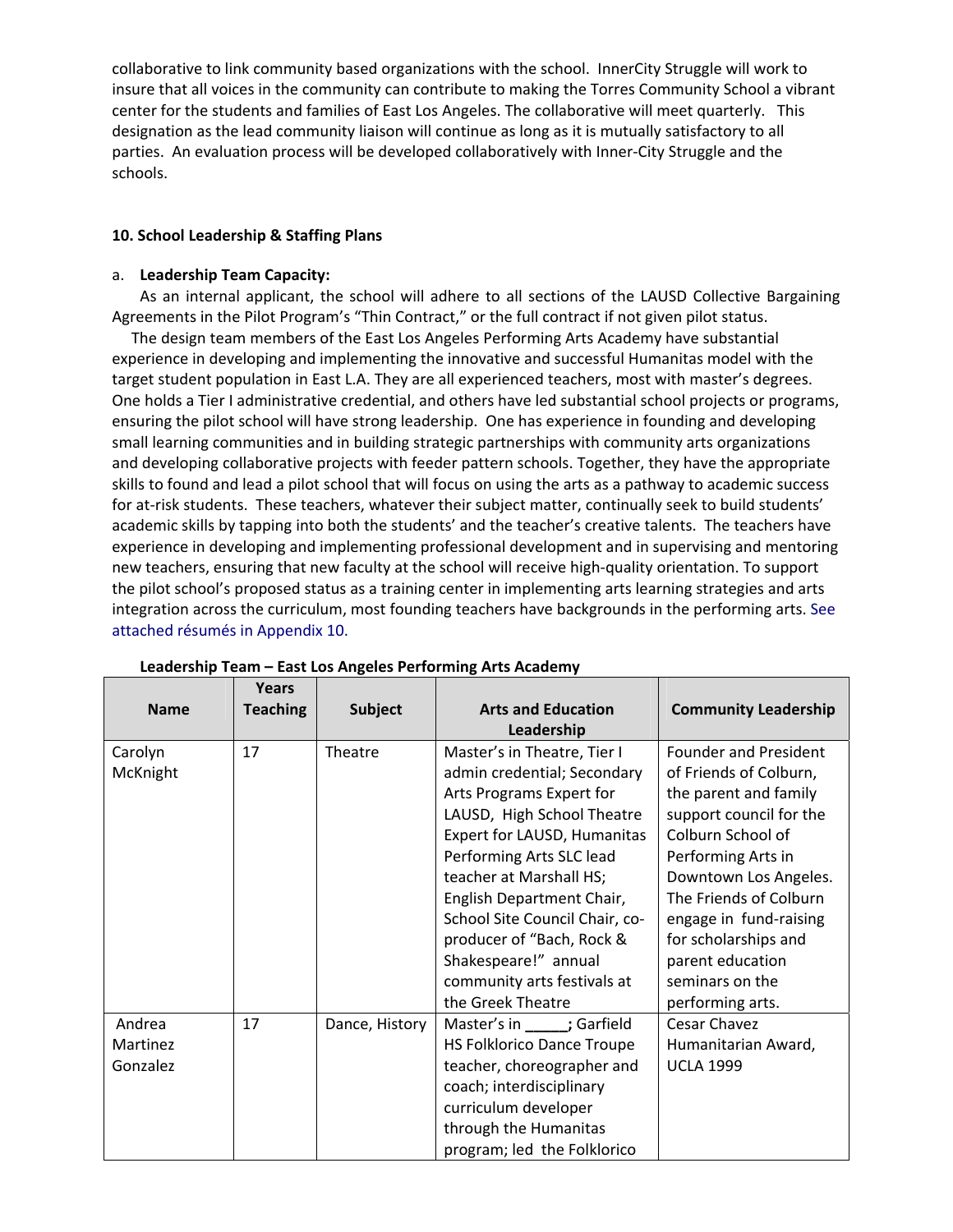collaborative to link community based organizations with the school. InnerCity Struggle will work to insure that all voices in the community can contribute to making the Torres Community School a vibrant center for the students and families of East Los Angeles. The collaborative will meet quarterly. This designation as the lead community liaison will continue as long as it is mutually satisfactory to all parties. An evaluation process will be developed collaboratively with Inner‐City Struggle and the schools.

#### **10. School Leadership & Staffing Plans**

#### a. **Leadership Team Capacity:**

As an internal applicant, the school will adhere to all sections of the LAUSD Collective Bargaining Agreements in the Pilot Program's "Thin Contract," or the full contract if not given pilot status.

 The design team members of the East Los Angeles Performing Arts Academy have substantial experience in developing and implementing the innovative and successful Humanitas model with the target student population in East L.A. They are all experienced teachers, most with master's degrees. One holds a Tier I administrative credential, and others have led substantial school projects or programs, ensuring the pilot school will have strong leadership. One has experience in founding and developing small learning communities and in building strategic partnerships with community arts organizations and developing collaborative projects with feeder pattern schools. Together, they have the appropriate skills to found and lead a pilot school that will focus on using the arts as a pathway to academic success for at-risk students. These teachers, whatever their subject matter, continually seek to build students' academic skills by tapping into both the students' and the teacher's creative talents. The teachers have experience in developing and implementing professional development and in supervising and mentoring new teachers, ensuring that new faculty at the school will receive high‐quality orientation. To support the pilot school's proposed status as a training center in implementing arts learning strategies and arts integration across the curriculum, most founding teachers have backgrounds in the performing arts. See attached résumés in Appendix 10.

|             | Years           |                |                                   |                              |
|-------------|-----------------|----------------|-----------------------------------|------------------------------|
| <b>Name</b> | <b>Teaching</b> | <b>Subject</b> | <b>Arts and Education</b>         | <b>Community Leadership</b>  |
|             |                 |                | Leadership                        |                              |
| Carolyn     | 17              | Theatre        | Master's in Theatre, Tier I       | <b>Founder and President</b> |
| McKnight    |                 |                | admin credential; Secondary       | of Friends of Colburn,       |
|             |                 |                | Arts Programs Expert for          | the parent and family        |
|             |                 |                | LAUSD, High School Theatre        | support council for the      |
|             |                 |                | Expert for LAUSD, Humanitas       | Colburn School of            |
|             |                 |                | Performing Arts SLC lead          | Performing Arts in           |
|             |                 |                | teacher at Marshall HS;           | Downtown Los Angeles.        |
|             |                 |                | English Department Chair,         | The Friends of Colburn       |
|             |                 |                | School Site Council Chair, co-    | engage in fund-raising       |
|             |                 |                | producer of "Bach, Rock &         | for scholarships and         |
|             |                 |                | Shakespeare!" annual              | parent education             |
|             |                 |                | community arts festivals at       | seminars on the              |
|             |                 |                | the Greek Theatre                 | performing arts.             |
| Andrea      | 17              | Dance, History | Master's in _____; Garfield       | Cesar Chavez                 |
| Martinez    |                 |                | <b>HS Folklorico Dance Troupe</b> | Humanitarian Award,          |
| Gonzalez    |                 |                | teacher, choreographer and        | <b>UCLA 1999</b>             |
|             |                 |                | coach; interdisciplinary          |                              |
|             |                 |                | curriculum developer              |                              |
|             |                 |                | through the Humanitas             |                              |
|             |                 |                | program; led the Folklorico       |                              |

#### **Leadership Team – East Los Angeles Performing Arts Academy**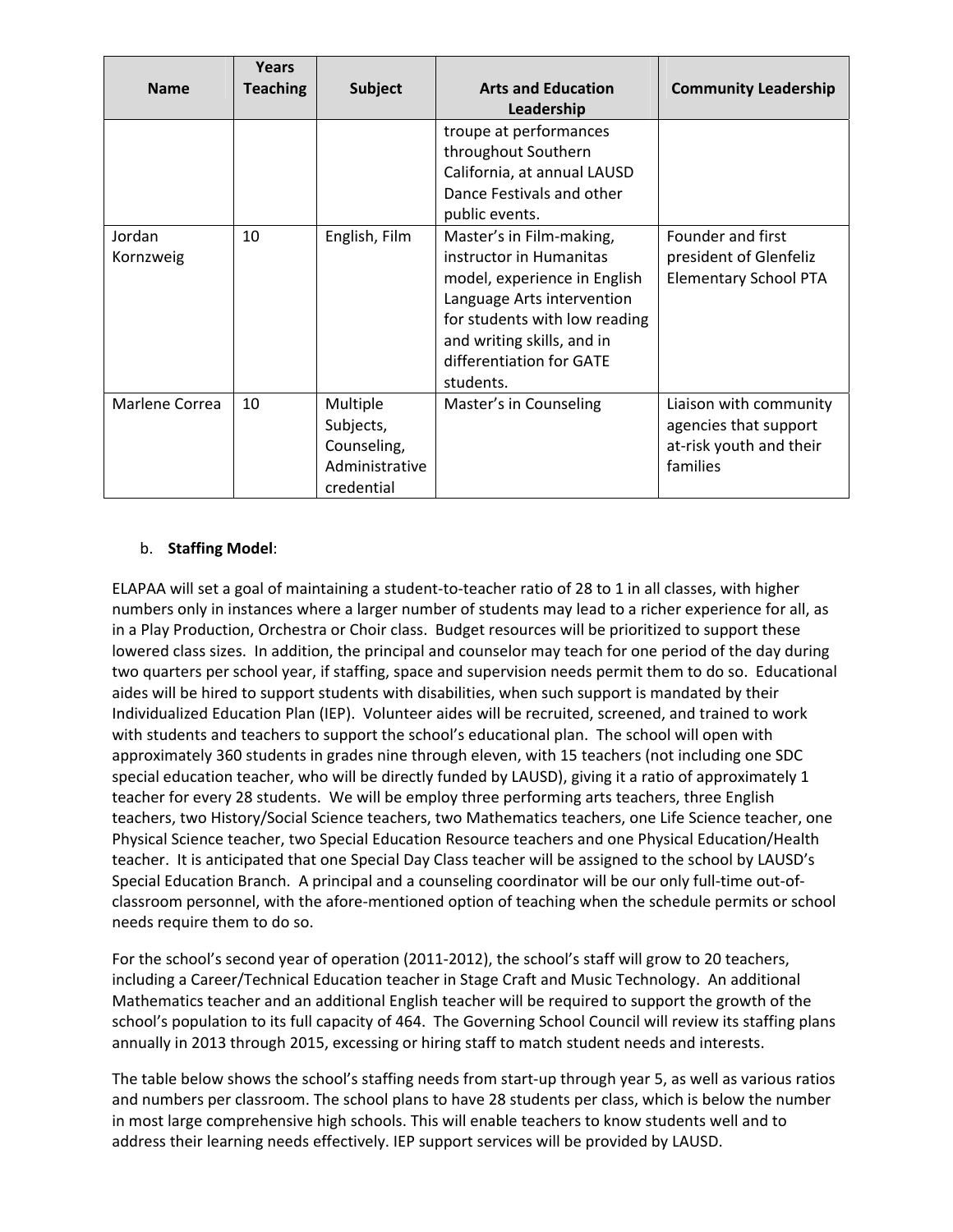| <b>Name</b>         | Years<br><b>Teaching</b> | <b>Subject</b>                                                       | <b>Arts and Education</b><br>Leadership                                                                                                                                                                                   | <b>Community Leadership</b>                                                            |
|---------------------|--------------------------|----------------------------------------------------------------------|---------------------------------------------------------------------------------------------------------------------------------------------------------------------------------------------------------------------------|----------------------------------------------------------------------------------------|
|                     |                          |                                                                      | troupe at performances<br>throughout Southern<br>California, at annual LAUSD<br>Dance Festivals and other<br>public events.                                                                                               |                                                                                        |
| Jordan<br>Kornzweig | 10                       | English, Film                                                        | Master's in Film-making,<br>instructor in Humanitas<br>model, experience in English<br>Language Arts intervention<br>for students with low reading<br>and writing skills, and in<br>differentiation for GATE<br>students. | Founder and first<br>president of Glenfeliz<br><b>Elementary School PTA</b>            |
| Marlene Correa      | 10                       | Multiple<br>Subjects,<br>Counseling,<br>Administrative<br>credential | Master's in Counseling                                                                                                                                                                                                    | Liaison with community<br>agencies that support<br>at-risk youth and their<br>families |

# b. **Staffing Model**:

ELAPAA will set a goal of maintaining a student‐to‐teacher ratio of 28 to 1 in all classes, with higher numbers only in instances where a larger number of students may lead to a richer experience for all, as in a Play Production, Orchestra or Choir class. Budget resources will be prioritized to support these lowered class sizes. In addition, the principal and counselor may teach for one period of the day during two quarters per school year, if staffing, space and supervision needs permit them to do so. Educational aides will be hired to support students with disabilities, when such support is mandated by their Individualized Education Plan (IEP). Volunteer aides will be recruited, screened, and trained to work with students and teachers to support the school's educational plan. The school will open with approximately 360 students in grades nine through eleven, with 15 teachers (not including one SDC special education teacher, who will be directly funded by LAUSD), giving it a ratio of approximately 1 teacher for every 28 students. We will be employ three performing arts teachers, three English teachers, two History/Social Science teachers, two Mathematics teachers, one Life Science teacher, one Physical Science teacher, two Special Education Resource teachers and one Physical Education/Health teacher. It is anticipated that one Special Day Class teacher will be assigned to the school by LAUSD's Special Education Branch. A principal and a counseling coordinator will be our only full‐time out‐of‐ classroom personnel, with the afore‐mentioned option of teaching when the schedule permits or school needs require them to do so.

For the school's second year of operation (2011-2012), the school's staff will grow to 20 teachers, including a Career/Technical Education teacher in Stage Craft and Music Technology. An additional Mathematics teacher and an additional English teacher will be required to support the growth of the school's population to its full capacity of 464. The Governing School Council will review its staffing plans annually in 2013 through 2015, excessing or hiring staff to match student needs and interests.

The table below shows the school's staffing needs from start-up through year 5, as well as various ratios and numbers per classroom. The school plans to have 28 students per class, which is below the number in most large comprehensive high schools. This will enable teachers to know students well and to address their learning needs effectively. IEP support services will be provided by LAUSD.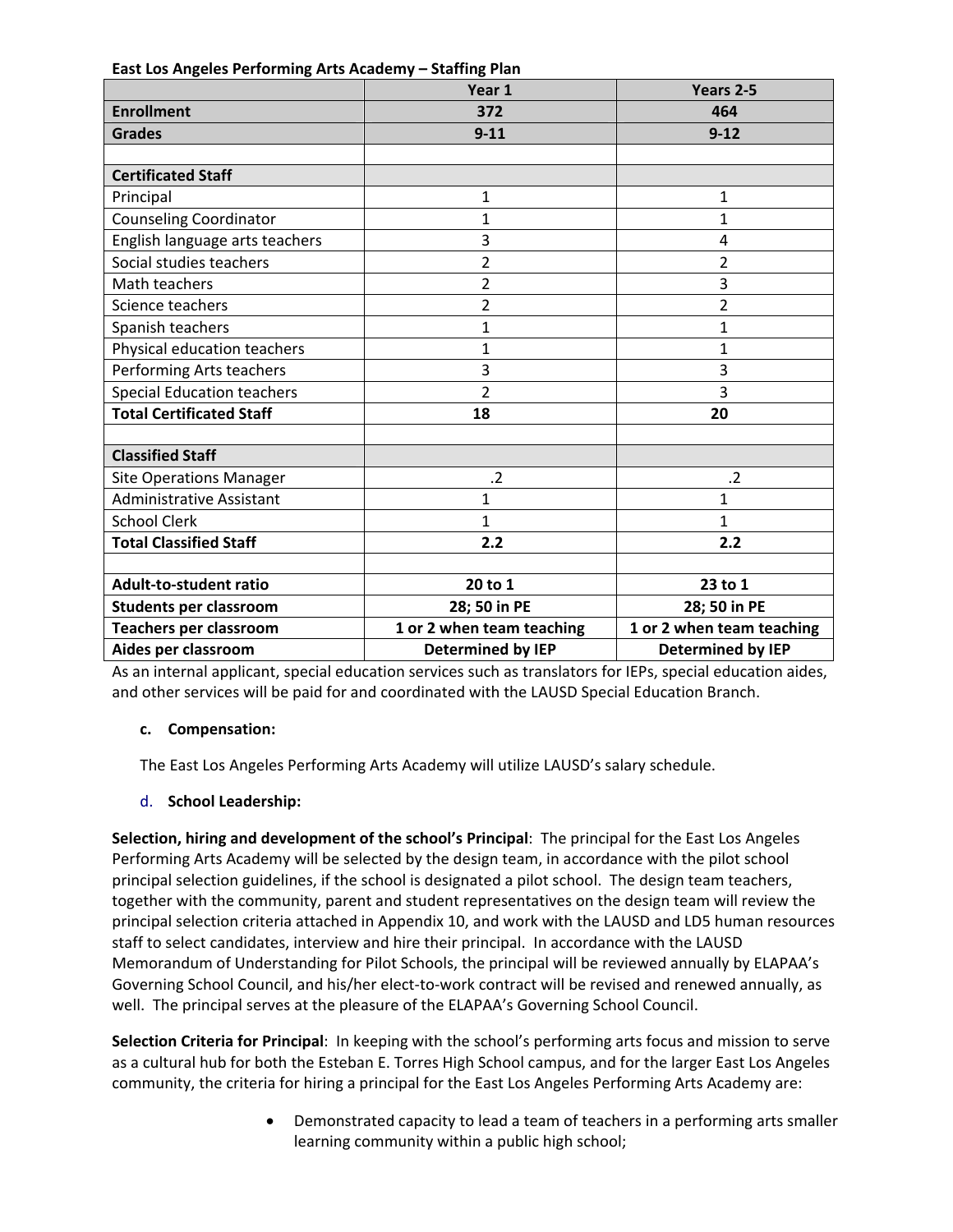**East Los Angeles Performing Arts Academy – Staffing Plan**

|                                   | Year 1                    | Years 2-5                 |
|-----------------------------------|---------------------------|---------------------------|
| <b>Enrollment</b>                 | 372                       | 464                       |
| <b>Grades</b>                     | $9 - 11$                  | $9 - 12$                  |
|                                   |                           |                           |
| <b>Certificated Staff</b>         |                           |                           |
| Principal                         | 1                         | 1                         |
| <b>Counseling Coordinator</b>     | 1                         | $\mathbf{1}$              |
| English language arts teachers    | 3                         | 4                         |
| Social studies teachers           | 2                         | $\overline{2}$            |
| Math teachers                     | $\overline{2}$            | 3                         |
| Science teachers                  | $\overline{2}$            | $\overline{2}$            |
| Spanish teachers                  | $\mathbf{1}$              | $\mathbf{1}$              |
| Physical education teachers       | $\overline{1}$            | 1                         |
| Performing Arts teachers          | 3                         | 3                         |
| <b>Special Education teachers</b> | $\overline{2}$            | 3                         |
| <b>Total Certificated Staff</b>   | 18                        | 20                        |
|                                   |                           |                           |
| <b>Classified Staff</b>           |                           |                           |
| <b>Site Operations Manager</b>    | .2                        | $\cdot$ .2                |
| <b>Administrative Assistant</b>   | $\mathbf 1$               | $\mathbf{1}$              |
| <b>School Clerk</b>               | 1                         | $\mathbf{1}$              |
| <b>Total Classified Staff</b>     | 2.2                       | 2.2                       |
|                                   |                           |                           |
| <b>Adult-to-student ratio</b>     | 20 to 1                   | 23 to 1                   |
| <b>Students per classroom</b>     | 28; 50 in PE              | 28; 50 in PE              |
| Teachers per classroom            | 1 or 2 when team teaching | 1 or 2 when team teaching |
| Aides per classroom               | <b>Determined by IEP</b>  | <b>Determined by IEP</b>  |

As an internal applicant, special education services such as translators for IEPs, special education aides, and other services will be paid for and coordinated with the LAUSD Special Education Branch.

# **c. Compensation:**

The East Los Angeles Performing Arts Academy will utilize LAUSD's salary schedule.

# d. **School Leadership:**

**Selection, hiring and development of the school's Principal**: The principal for the East Los Angeles Performing Arts Academy will be selected by the design team, in accordance with the pilot school principal selection guidelines, if the school is designated a pilot school. The design team teachers, together with the community, parent and student representatives on the design team will review the principal selection criteria attached in Appendix 10, and work with the LAUSD and LD5 human resources staff to select candidates, interview and hire their principal. In accordance with the LAUSD Memorandum of Understanding for Pilot Schools, the principal will be reviewed annually by ELAPAA's Governing School Council, and his/her elect-to-work contract will be revised and renewed annually, as well. The principal serves at the pleasure of the ELAPAA's Governing School Council.

**Selection Criteria for Principal**: In keeping with the school's performing arts focus and mission to serve as a cultural hub for both the Esteban E. Torres High School campus, and for the larger East Los Angeles community, the criteria for hiring a principal for the East Los Angeles Performing Arts Academy are:

> Demonstrated capacity to lead a team of teachers in a performing arts smaller learning community within a public high school;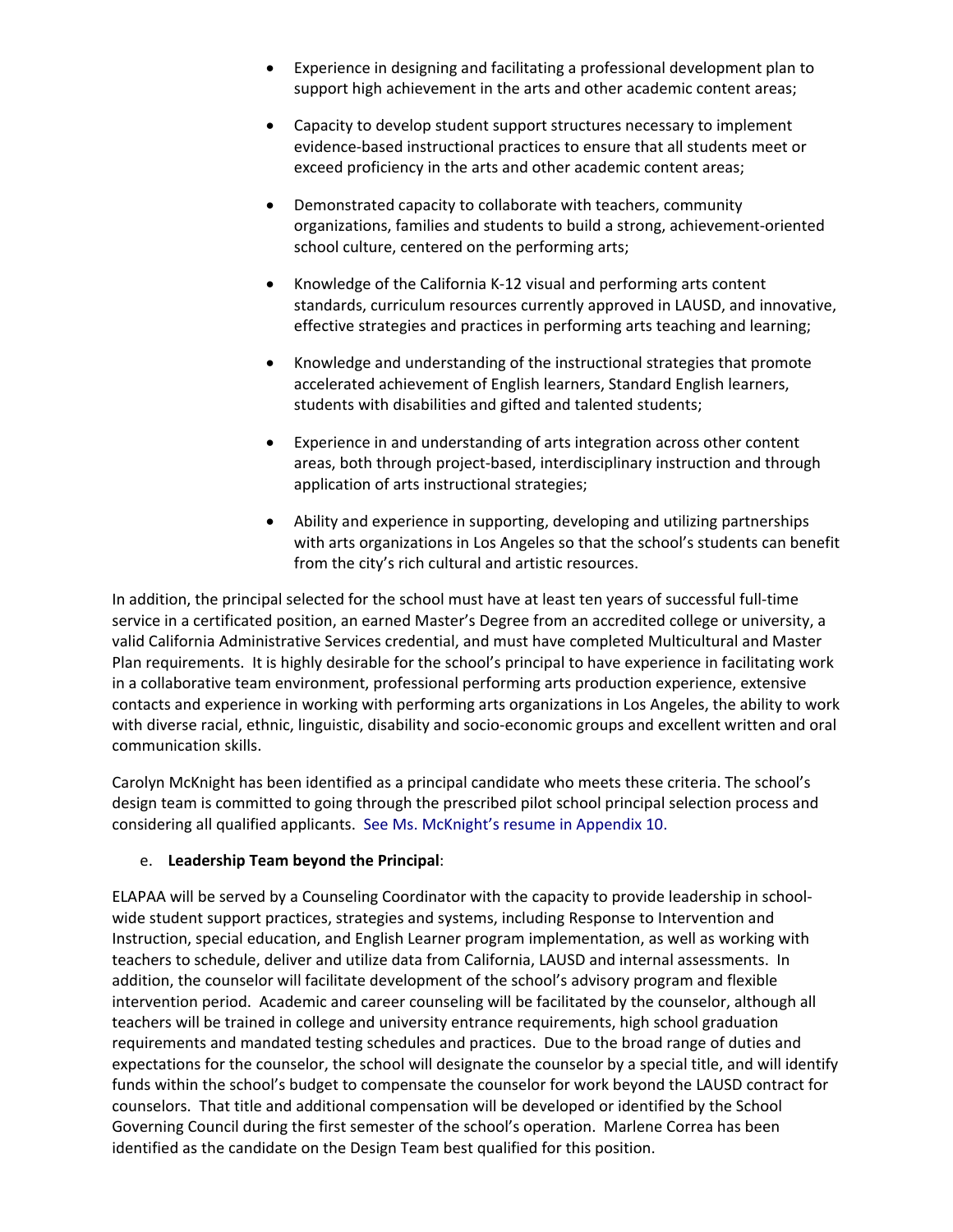- Experience in designing and facilitating a professional development plan to support high achievement in the arts and other academic content areas;
- Capacity to develop student support structures necessary to implement evidence‐based instructional practices to ensure that all students meet or exceed proficiency in the arts and other academic content areas;
- Demonstrated capacity to collaborate with teachers, community organizations, families and students to build a strong, achievement‐oriented school culture, centered on the performing arts;
- Knowledge of the California K-12 visual and performing arts content standards, curriculum resources currently approved in LAUSD, and innovative, effective strategies and practices in performing arts teaching and learning;
- Knowledge and understanding of the instructional strategies that promote accelerated achievement of English learners, Standard English learners, students with disabilities and gifted and talented students;
- Experience in and understanding of arts integration across other content areas, both through project‐based, interdisciplinary instruction and through application of arts instructional strategies;
- Ability and experience in supporting, developing and utilizing partnerships with arts organizations in Los Angeles so that the school's students can benefit from the city's rich cultural and artistic resources.

In addition, the principal selected for the school must have at least ten years of successful full‐time service in a certificated position, an earned Master's Degree from an accredited college or university, a valid California Administrative Services credential, and must have completed Multicultural and Master Plan requirements. It is highly desirable for the school's principal to have experience in facilitating work in a collaborative team environment, professional performing arts production experience, extensive contacts and experience in working with performing arts organizations in Los Angeles, the ability to work with diverse racial, ethnic, linguistic, disability and socio-economic groups and excellent written and oral communication skills.

Carolyn McKnight has been identified as a principal candidate who meets these criteria. The school's design team is committed to going through the prescribed pilot school principal selection process and considering all qualified applicants. See Ms. McKnight's resume in Appendix 10.

## e. **Leadership Team beyond the Principal**:

ELAPAA will be served by a Counseling Coordinator with the capacity to provide leadership in school‐ wide student support practices, strategies and systems, including Response to Intervention and Instruction, special education, and English Learner program implementation, as well as working with teachers to schedule, deliver and utilize data from California, LAUSD and internal assessments. In addition, the counselor will facilitate development of the school's advisory program and flexible intervention period. Academic and career counseling will be facilitated by the counselor, although all teachers will be trained in college and university entrance requirements, high school graduation requirements and mandated testing schedules and practices. Due to the broad range of duties and expectations for the counselor, the school will designate the counselor by a special title, and will identify funds within the school's budget to compensate the counselor for work beyond the LAUSD contract for counselors. That title and additional compensation will be developed or identified by the School Governing Council during the first semester of the school's operation. Marlene Correa has been identified as the candidate on the Design Team best qualified for this position.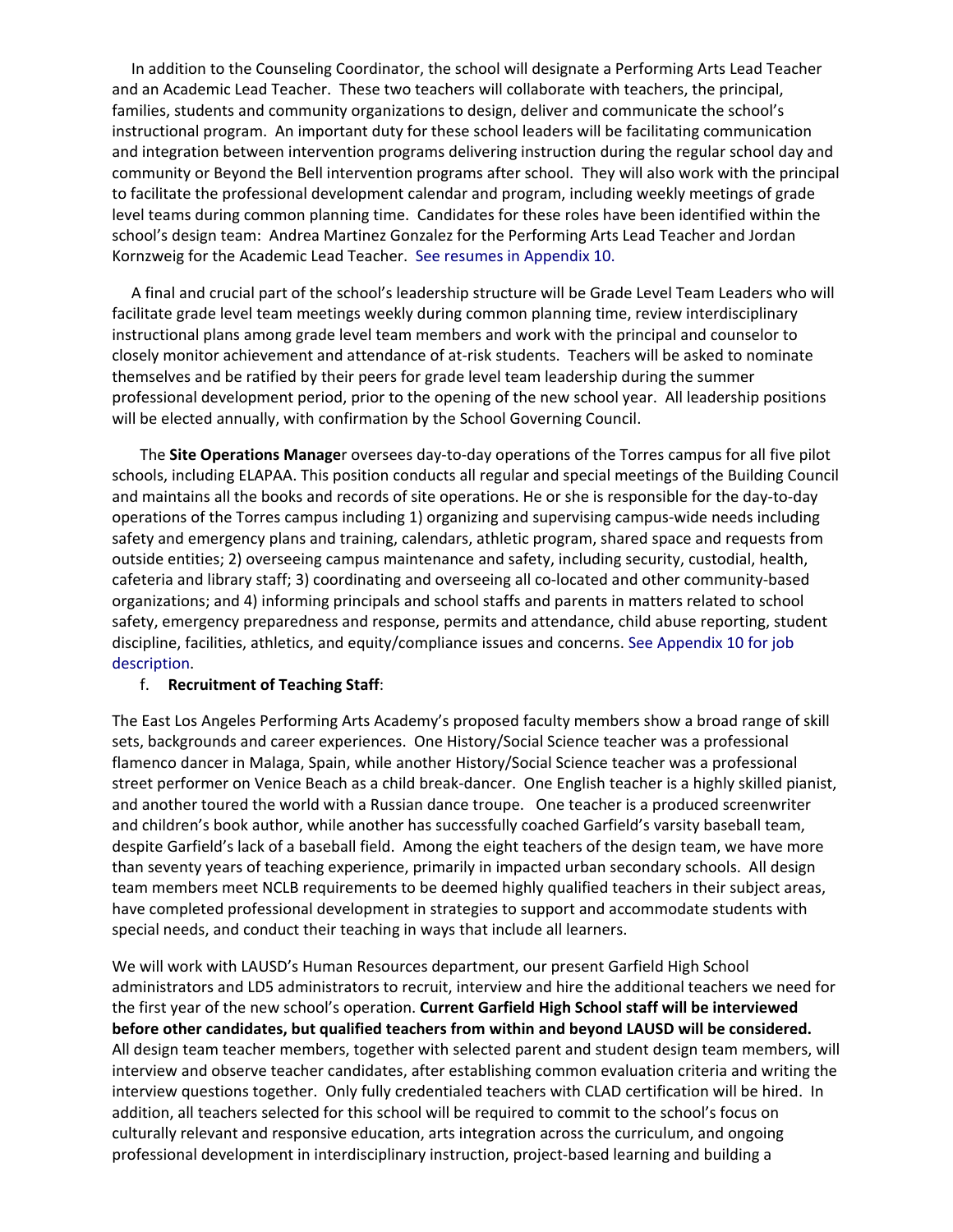In addition to the Counseling Coordinator, the school will designate a Performing Arts Lead Teacher and an Academic Lead Teacher. These two teachers will collaborate with teachers, the principal, families, students and community organizations to design, deliver and communicate the school's instructional program. An important duty for these school leaders will be facilitating communication and integration between intervention programs delivering instruction during the regular school day and community or Beyond the Bell intervention programs after school. They will also work with the principal to facilitate the professional development calendar and program, including weekly meetings of grade level teams during common planning time. Candidates for these roles have been identified within the school's design team: Andrea Martinez Gonzalez for the Performing Arts Lead Teacher and Jordan Kornzweig for the Academic Lead Teacher. See resumes in Appendix 10.

 A final and crucial part of the school's leadership structure will be Grade Level Team Leaders who will facilitate grade level team meetings weekly during common planning time, review interdisciplinary instructional plans among grade level team members and work with the principal and counselor to closely monitor achievement and attendance of at‐risk students. Teachers will be asked to nominate themselves and be ratified by their peers for grade level team leadership during the summer professional development period, prior to the opening of the new school year. All leadership positions will be elected annually, with confirmation by the School Governing Council.

The **Site Operations Manage**r oversees day‐to‐day operations of the Torres campus for all five pilot schools, including ELAPAA. This position conducts all regular and special meetings of the Building Council and maintains all the books and records of site operations. He or she is responsible for the day‐to‐day operations of the Torres campus including 1) organizing and supervising campus‐wide needs including safety and emergency plans and training, calendars, athletic program, shared space and requests from outside entities; 2) overseeing campus maintenance and safety, including security, custodial, health, cafeteria and library staff; 3) coordinating and overseeing all co‐located and other community‐based organizations; and 4) informing principals and school staffs and parents in matters related to school safety, emergency preparedness and response, permits and attendance, child abuse reporting, student discipline, facilities, athletics, and equity/compliance issues and concerns. See Appendix 10 for job description.

#### f. **Recruitment of Teaching Staff**:

The East Los Angeles Performing Arts Academy's proposed faculty members show a broad range of skill sets, backgrounds and career experiences. One History/Social Science teacher was a professional flamenco dancer in Malaga, Spain, while another History/Social Science teacher was a professional street performer on Venice Beach as a child break‐dancer. One English teacher is a highly skilled pianist, and another toured the world with a Russian dance troupe. One teacher is a produced screenwriter and children's book author, while another has successfully coached Garfield's varsity baseball team, despite Garfield's lack of a baseball field. Among the eight teachers of the design team, we have more than seventy years of teaching experience, primarily in impacted urban secondary schools. All design team members meet NCLB requirements to be deemed highly qualified teachers in their subject areas, have completed professional development in strategies to support and accommodate students with special needs, and conduct their teaching in ways that include all learners.

We will work with LAUSD's Human Resources department, our present Garfield High School administrators and LD5 administrators to recruit, interview and hire the additional teachers we need for the first year of the new school's operation. **Current Garfield High School staff will be interviewed before other candidates, but qualified teachers from within and beyond LAUSD will be considered.** All design team teacher members, together with selected parent and student design team members, will interview and observe teacher candidates, after establishing common evaluation criteria and writing the interview questions together. Only fully credentialed teachers with CLAD certification will be hired. In addition, all teachers selected for this school will be required to commit to the school's focus on culturally relevant and responsive education, arts integration across the curriculum, and ongoing professional development in interdisciplinary instruction, project-based learning and building a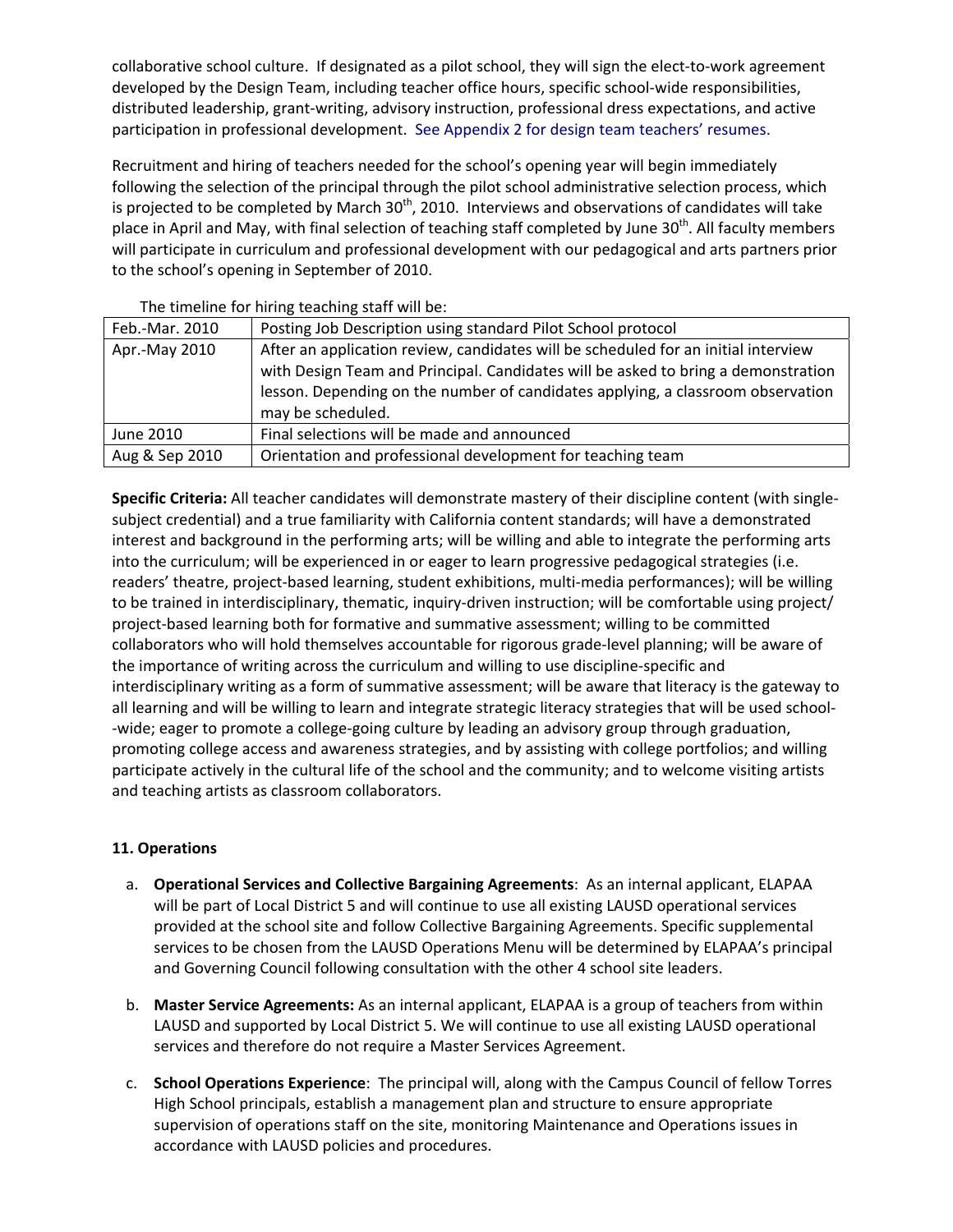collaborative school culture. If designated as a pilot school, they will sign the elect-to-work agreement developed by the Design Team, including teacher office hours, specific school-wide responsibilities, distributed leadership, grant‐writing, advisory instruction, professional dress expectations, and active participation in professional development. See Appendix 2 for design team teachers' resumes.

Recruitment and hiring of teachers needed for the school's opening year will begin immediately following the selection of the principal through the pilot school administrative selection process, which is projected to be completed by March  $30<sup>th</sup>$ , 2010. Interviews and observations of candidates will take place in April and May, with final selection of teaching staff completed by June 30<sup>th</sup>. All faculty members will participate in curriculum and professional development with our pedagogical and arts partners prior to the school's opening in September of 2010.

| Feb.-Mar. 2010 | Posting Job Description using standard Pilot School protocol                       |
|----------------|------------------------------------------------------------------------------------|
| Apr.-May 2010  | After an application review, candidates will be scheduled for an initial interview |
|                | with Design Team and Principal. Candidates will be asked to bring a demonstration  |
|                | lesson. Depending on the number of candidates applying, a classroom observation    |
|                | may be scheduled.                                                                  |
| June 2010      | Final selections will be made and announced                                        |
| Aug & Sep 2010 | Orientation and professional development for teaching team                         |

The timeline for hiring teaching staff will be:

**Specific Criteria:** All teacher candidates will demonstrate mastery of their discipline content (with single‐ subject credential) and a true familiarity with California content standards; will have a demonstrated interest and background in the performing arts; will be willing and able to integrate the performing arts into the curriculum; will be experienced in or eager to learn progressive pedagogical strategies (i.e. readers' theatre, project-based learning, student exhibitions, multi-media performances); will be willing to be trained in interdisciplinary, thematic, inquiry‐driven instruction; will be comfortable using project/ project-based learning both for formative and summative assessment; willing to be committed collaborators who will hold themselves accountable for rigorous grade‐level planning; will be aware of the importance of writing across the curriculum and willing to use discipline‐specific and interdisciplinary writing as a form of summative assessment; will be aware that literacy is the gateway to all learning and will be willing to learn and integrate strategic literacy strategies that will be used school‐ ‐wide; eager to promote a college‐going culture by leading an advisory group through graduation, promoting college access and awareness strategies, and by assisting with college portfolios; and willing participate actively in the cultural life of the school and the community; and to welcome visiting artists and teaching artists as classroom collaborators.

# **11. Operations**

- a. **Operational Services and Collective Bargaining Agreements**: As an internal applicant, ELAPAA will be part of Local District 5 and will continue to use all existing LAUSD operational services provided at the school site and follow Collective Bargaining Agreements. Specific supplemental services to be chosen from the LAUSD Operations Menu will be determined by ELAPAA's principal and Governing Council following consultation with the other 4 school site leaders.
- b. **Master Service Agreements:** As an internal applicant, ELAPAA is a group of teachers from within LAUSD and supported by Local District 5. We will continue to use all existing LAUSD operational services and therefore do not require a Master Services Agreement.
- c. **School Operations Experience**: The principal will, along with the Campus Council of fellow Torres High School principals, establish a management plan and structure to ensure appropriate supervision of operations staff on the site, monitoring Maintenance and Operations issues in accordance with LAUSD policies and procedures.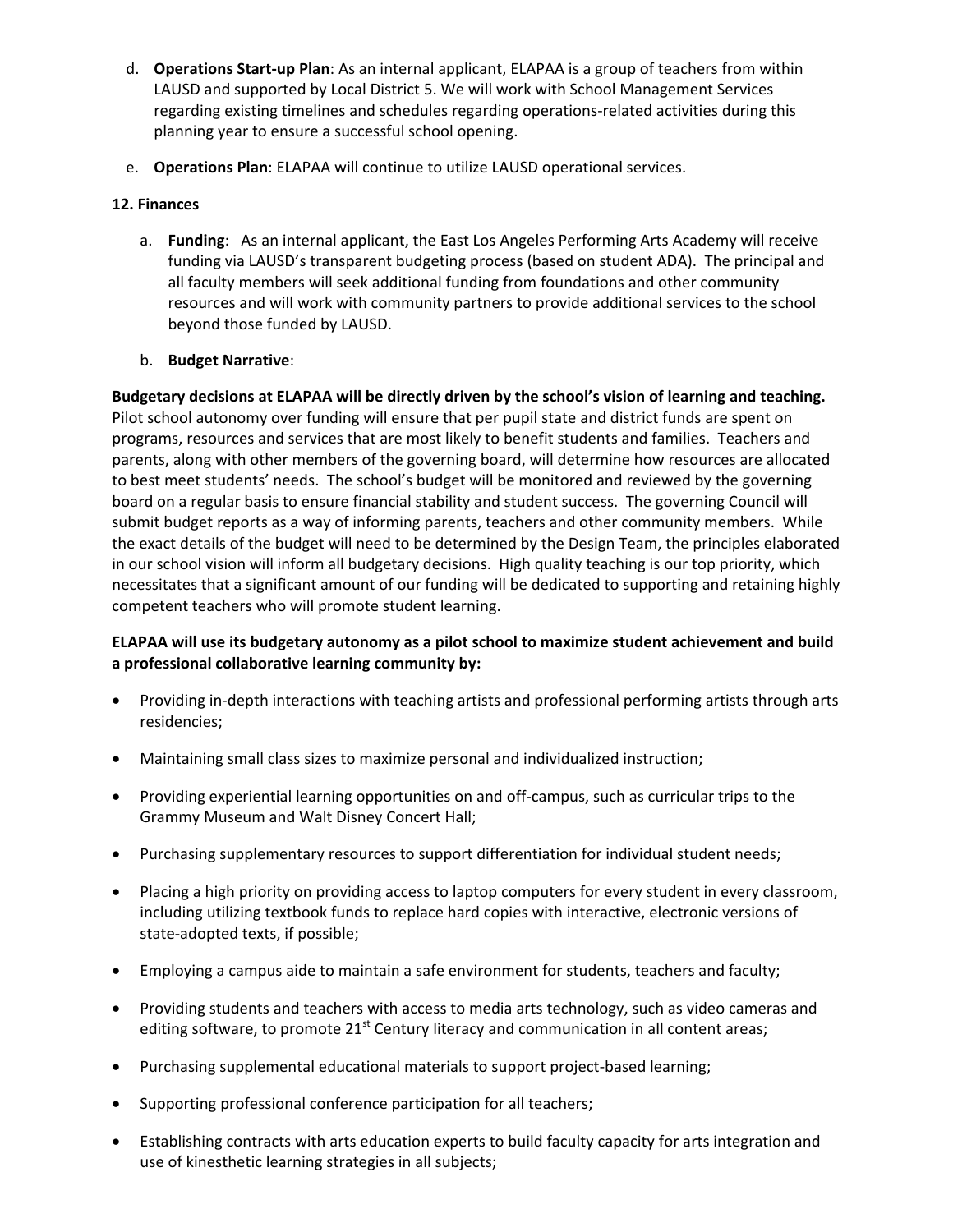- d. **Operations Start‐up Plan**: As an internal applicant, ELAPAA is a group of teachers from within LAUSD and supported by Local District 5. We will work with School Management Services regarding existing timelines and schedules regarding operations‐related activities during this planning year to ensure a successful school opening.
- e. **Operations Plan**: ELAPAA will continue to utilize LAUSD operational services.

## **12. Finances**

a. **Funding**: As an internal applicant, the East Los Angeles Performing Arts Academy will receive funding via LAUSD's transparent budgeting process (based on student ADA). The principal and all faculty members will seek additional funding from foundations and other community resources and will work with community partners to provide additional services to the school beyond those funded by LAUSD.

## b. **Budget Narrative**:

**Budgetary decisions at ELAPAA will be directly driven by the school's vision of learning and teaching.** Pilot school autonomy over funding will ensure that per pupil state and district funds are spent on programs, resources and services that are most likely to benefit students and families. Teachers and parents, along with other members of the governing board, will determine how resources are allocated to best meet students' needs. The school's budget will be monitored and reviewed by the governing board on a regular basis to ensure financial stability and student success. The governing Council will submit budget reports as a way of informing parents, teachers and other community members. While the exact details of the budget will need to be determined by the Design Team, the principles elaborated in our school vision will inform all budgetary decisions. High quality teaching is our top priority, which necessitates that a significant amount of our funding will be dedicated to supporting and retaining highly competent teachers who will promote student learning.

# **ELAPAA will use its budgetary autonomy as a pilot school to maximize student achievement and build a professional collaborative learning community by:**

- Providing in-depth interactions with teaching artists and professional performing artists through arts residencies;
- Maintaining small class sizes to maximize personal and individualized instruction;
- Providing experiential learning opportunities on and off-campus, such as curricular trips to the Grammy Museum and Walt Disney Concert Hall;
- Purchasing supplementary resources to support differentiation for individual student needs;
- Placing a high priority on providing access to laptop computers for every student in every classroom, including utilizing textbook funds to replace hard copies with interactive, electronic versions of state‐adopted texts, if possible;
- Employing a campus aide to maintain a safe environment for students, teachers and faculty;
- Providing students and teachers with access to media arts technology, such as video cameras and editing software, to promote  $21^{st}$  Century literacy and communication in all content areas;
- Purchasing supplemental educational materials to support project-based learning;
- Supporting professional conference participation for all teachers;
- Establishing contracts with arts education experts to build faculty capacity for arts integration and use of kinesthetic learning strategies in all subjects;